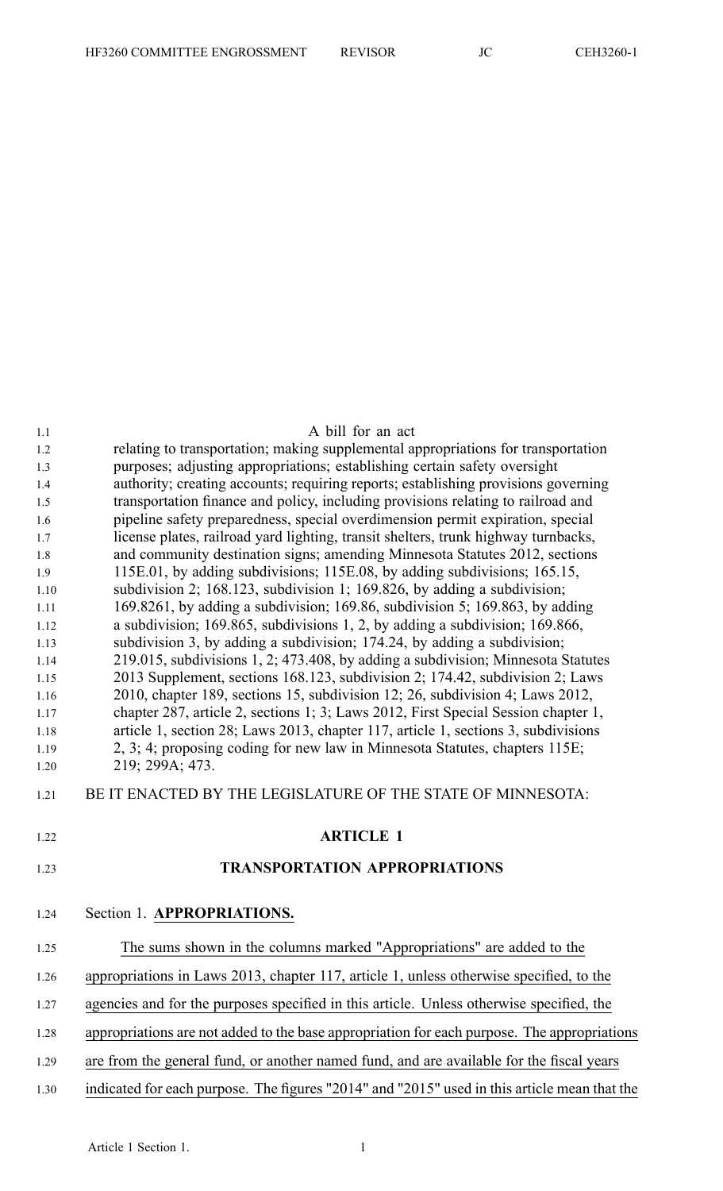| 1.1          | A bill for an act                                                                                                                                                 |
|--------------|-------------------------------------------------------------------------------------------------------------------------------------------------------------------|
| 1.2          | relating to transportation; making supplemental appropriations for transportation                                                                                 |
| 1.3          | purposes; adjusting appropriations; establishing certain safety oversight                                                                                         |
| 1.4          | authority; creating accounts; requiring reports; establishing provisions governing                                                                                |
| 1.5          | transportation finance and policy, including provisions relating to railroad and                                                                                  |
| 1.6          | pipeline safety preparedness, special overdimension permit expiration, special                                                                                    |
| 1.7          | license plates, railroad yard lighting, transit shelters, trunk highway turnbacks,                                                                                |
| 1.8          | and community destination signs; amending Minnesota Statutes 2012, sections                                                                                       |
| 1.9          | 115E.01, by adding subdivisions; 115E.08, by adding subdivisions; 165.15,                                                                                         |
| 1.10         | subdivision 2; $168.123$ , subdivision 1; $169.826$ , by adding a subdivision;                                                                                    |
| 1.11         | 169.8261, by adding a subdivision; 169.86, subdivision 5; 169.863, by adding                                                                                      |
| 1.12         | a subdivision; 169.865, subdivisions 1, 2, by adding a subdivision; 169.866,                                                                                      |
| 1.13         | subdivision 3, by adding a subdivision; 174.24, by adding a subdivision;                                                                                          |
| 1.14<br>1.15 | 219.015, subdivisions 1, 2; 473.408, by adding a subdivision; Minnesota Statutes<br>2013 Supplement, sections 168.123, subdivision 2; 174.42, subdivision 2; Laws |
| 1.16         | 2010, chapter 189, sections 15, subdivision 12; 26, subdivision 4; Laws 2012,                                                                                     |
| 1.17         | chapter 287, article 2, sections 1; 3; Laws 2012, First Special Session chapter 1,                                                                                |
| 1.18         | article 1, section 28; Laws 2013, chapter 117, article 1, sections 3, subdivisions                                                                                |
| 1.19         | 2, 3; 4; proposing coding for new law in Minnesota Statutes, chapters 115E;                                                                                       |
| 1.20         | 219; 299A; 473.                                                                                                                                                   |
| 1.21         | BE IT ENACTED BY THE LEGISLATURE OF THE STATE OF MINNESOTA:                                                                                                       |
| 1.22         | <b>ARTICLE 1</b>                                                                                                                                                  |
| 1.23         | <b>TRANSPORTATION APPROPRIATIONS</b>                                                                                                                              |
| 1.24         | Section 1. APPROPRIATIONS.                                                                                                                                        |
| 1.25         | The sums shown in the columns marked "Appropriations" are added to the                                                                                            |
| 1.26         | appropriations in Laws 2013, chapter 117, article 1, unless otherwise specified, to the                                                                           |
| 1.27         | agencies and for the purposes specified in this article. Unless otherwise specified, the                                                                          |
| 1.28         | appropriations are not added to the base appropriation for each purpose. The appropriations                                                                       |
| 1.29         | are from the general fund, or another named fund, and are available for the fiscal years                                                                          |
| 1.30         | indicated for each purpose. The figures "2014" and "2015" used in this article mean that the                                                                      |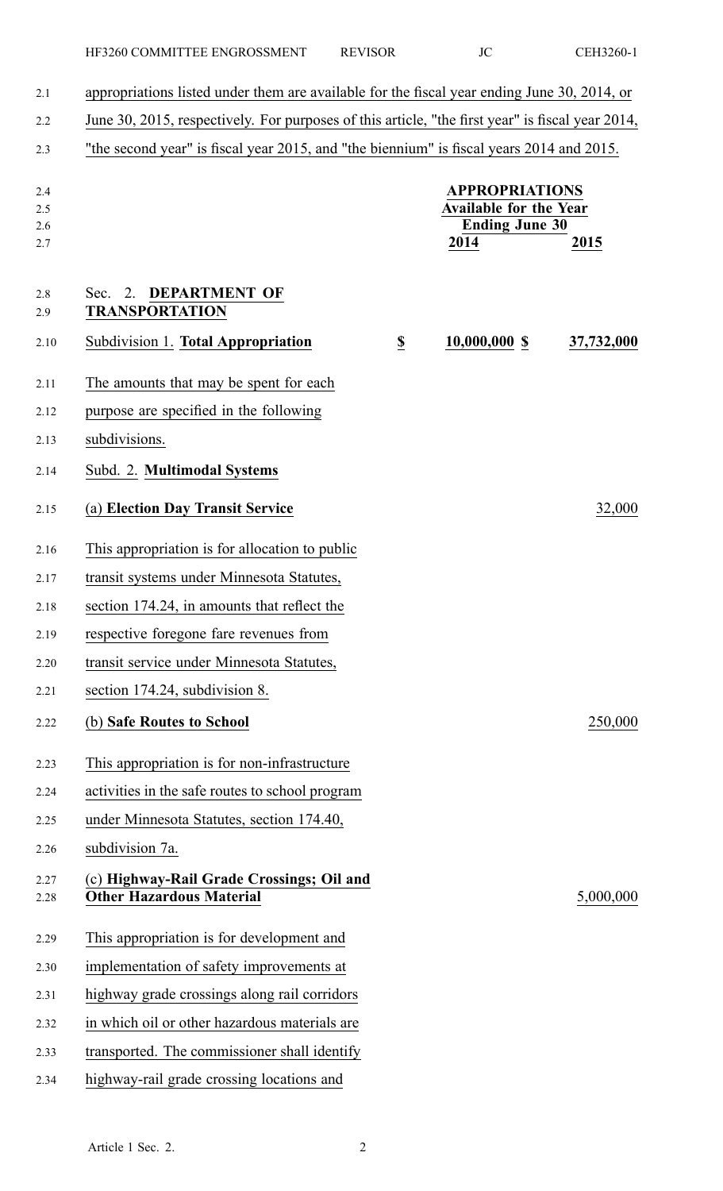| 2.1                      | appropriations listed under them are available for the fiscal year ending June 30, 2014, or      |                         |                                                                                         |            |
|--------------------------|--------------------------------------------------------------------------------------------------|-------------------------|-----------------------------------------------------------------------------------------|------------|
| 2.2                      | June 30, 2015, respectively. For purposes of this article, "the first year" is fiscal year 2014, |                         |                                                                                         |            |
| 2.3                      | "the second year" is fiscal year 2015, and "the biennium" is fiscal years 2014 and 2015.         |                         |                                                                                         |            |
| 2.4<br>2.5<br>2.6<br>2.7 |                                                                                                  |                         | <b>APPROPRIATIONS</b><br><b>Available for the Year</b><br><b>Ending June 30</b><br>2014 | 2015       |
| 2.8<br>2.9               | <b>DEPARTMENT OF</b><br>2.<br>Sec.<br><b>TRANSPORTATION</b>                                      |                         |                                                                                         |            |
| 2.10                     | Subdivision 1. Total Appropriation                                                               | $\overline{\mathbf{S}}$ | $10,000,000$ \$                                                                         | 37,732,000 |
| 2.11                     | The amounts that may be spent for each                                                           |                         |                                                                                         |            |
| 2.12                     | purpose are specified in the following                                                           |                         |                                                                                         |            |
| 2.13                     | subdivisions.                                                                                    |                         |                                                                                         |            |
| 2.14                     | Subd. 2. Multimodal Systems                                                                      |                         |                                                                                         |            |
| 2.15                     | (a) Election Day Transit Service                                                                 |                         |                                                                                         | 32,000     |
| 2.16                     | This appropriation is for allocation to public                                                   |                         |                                                                                         |            |
| 2.17                     | transit systems under Minnesota Statutes,                                                        |                         |                                                                                         |            |
| 2.18                     | section 174.24, in amounts that reflect the                                                      |                         |                                                                                         |            |
| 2.19                     | respective foregone fare revenues from                                                           |                         |                                                                                         |            |
| 2.20                     | transit service under Minnesota Statutes,                                                        |                         |                                                                                         |            |
| 2.21                     | section 174.24, subdivision 8.                                                                   |                         |                                                                                         |            |
| 2.22                     | (b) Safe Routes to School                                                                        |                         |                                                                                         | 250,000    |
| 2.23                     | This appropriation is for non-infrastructure                                                     |                         |                                                                                         |            |
| 2.24                     | activities in the safe routes to school program                                                  |                         |                                                                                         |            |
| 2.25                     | under Minnesota Statutes, section 174.40,                                                        |                         |                                                                                         |            |
| 2.26                     | subdivision 7a.                                                                                  |                         |                                                                                         |            |
| 2.27<br>2.28             | (c) Highway-Rail Grade Crossings; Oil and<br><b>Other Hazardous Material</b>                     |                         |                                                                                         | 5,000,000  |
| 2.29                     | This appropriation is for development and                                                        |                         |                                                                                         |            |
| 2.30                     | implementation of safety improvements at                                                         |                         |                                                                                         |            |
| 2.31                     | highway grade crossings along rail corridors                                                     |                         |                                                                                         |            |
| 2.32                     | in which oil or other hazardous materials are                                                    |                         |                                                                                         |            |
| 2.33                     | transported. The commissioner shall identify                                                     |                         |                                                                                         |            |
| 2.34                     | highway-rail grade crossing locations and                                                        |                         |                                                                                         |            |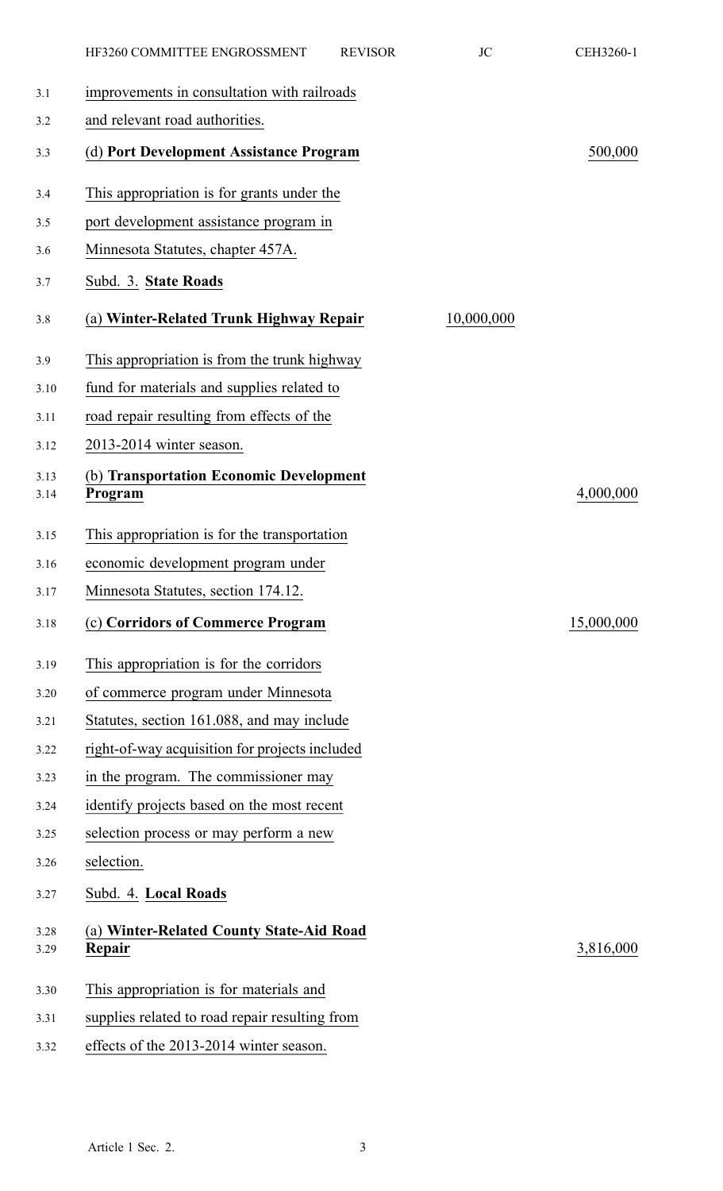|              | HF3260 COMMITTEE ENGROSSMENT                       | <b>REVISOR</b> | <b>JC</b>  | CEH3260-1  |
|--------------|----------------------------------------------------|----------------|------------|------------|
| 3.1          | improvements in consultation with railroads        |                |            |            |
| 3.2          | and relevant road authorities.                     |                |            |            |
| 3.3          | (d) Port Development Assistance Program            |                |            | 500,000    |
| 3.4          | This appropriation is for grants under the         |                |            |            |
| 3.5          | port development assistance program in             |                |            |            |
| 3.6          | Minnesota Statutes, chapter 457A.                  |                |            |            |
| 3.7          | Subd. 3. State Roads                               |                |            |            |
| 3.8          | (a) Winter-Related Trunk Highway Repair            |                | 10,000,000 |            |
| 3.9          | This appropriation is from the trunk highway       |                |            |            |
| 3.10         | fund for materials and supplies related to         |                |            |            |
| 3.11         | road repair resulting from effects of the          |                |            |            |
| 3.12         | 2013-2014 winter season.                           |                |            |            |
| 3.13<br>3.14 | (b) Transportation Economic Development<br>Program |                |            | 4,000,000  |
| 3.15         | This appropriation is for the transportation       |                |            |            |
| 3.16         | economic development program under                 |                |            |            |
| 3.17         | Minnesota Statutes, section 174.12.                |                |            |            |
| 3.18         | (c) Corridors of Commerce Program                  |                |            | 15,000,000 |
| 3.19         | This appropriation is for the corridors            |                |            |            |
| 3.20         | of commerce program under Minnesota                |                |            |            |
| 3.21         | Statutes, section 161.088, and may include         |                |            |            |
| 3.22         | right-of-way acquisition for projects included     |                |            |            |
| 3.23         | in the program. The commissioner may               |                |            |            |
| 3.24         | identify projects based on the most recent         |                |            |            |
| 3.25         | selection process or may perform a new             |                |            |            |
| 3.26         | selection.                                         |                |            |            |
| 3.27         | Subd. 4. Local Roads                               |                |            |            |
| 3.28<br>3.29 | (a) Winter-Related County State-Aid Road<br>Repair |                |            | 3,816,000  |
| 3.30         | This appropriation is for materials and            |                |            |            |
| 3.31         | supplies related to road repair resulting from     |                |            |            |
| 3.32         | effects of the 2013-2014 winter season.            |                |            |            |
|              |                                                    |                |            |            |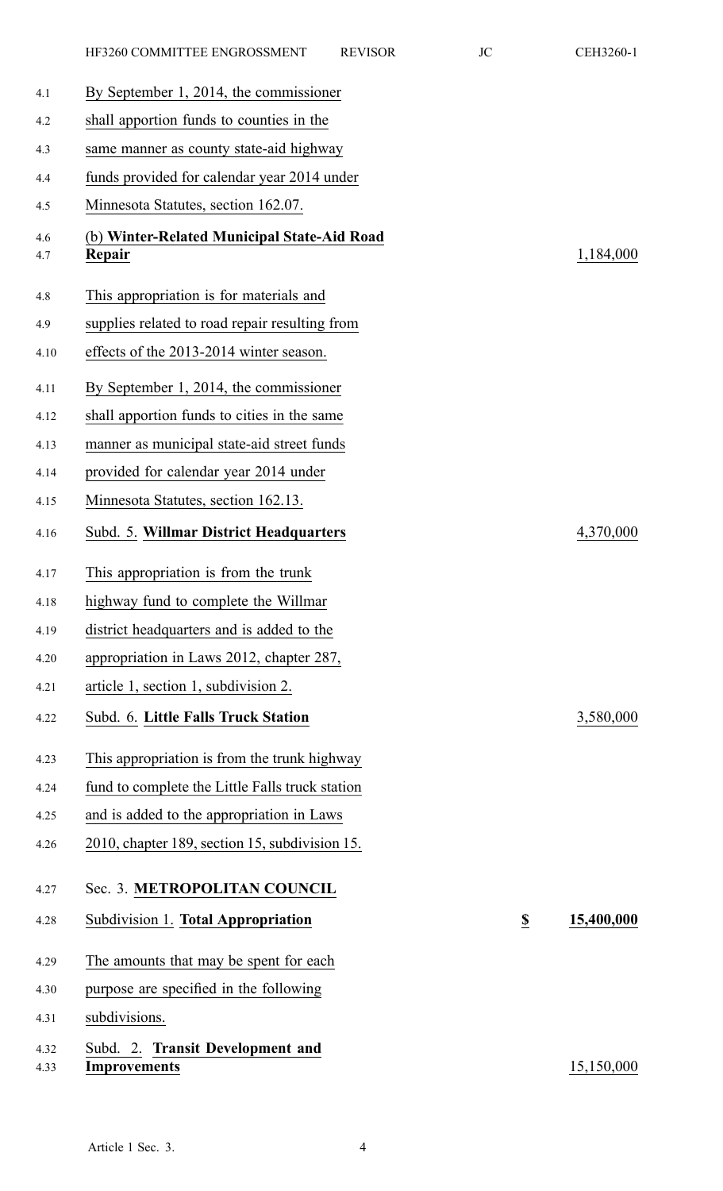| 4.1          | By September 1, 2014, the commissioner                  |                  |            |
|--------------|---------------------------------------------------------|------------------|------------|
| 4.2          | shall apportion funds to counties in the                |                  |            |
| 4.3          | same manner as county state-aid highway                 |                  |            |
| 4.4          | funds provided for calendar year 2014 under             |                  |            |
| 4.5          | Minnesota Statutes, section 162.07.                     |                  |            |
| 4.6<br>4.7   | (b) Winter-Related Municipal State-Aid Road<br>Repair   |                  | 1,184,000  |
| 4.8          | This appropriation is for materials and                 |                  |            |
| 4.9          | supplies related to road repair resulting from          |                  |            |
| 4.10         | effects of the 2013-2014 winter season.                 |                  |            |
| 4.11         | By September 1, 2014, the commissioner                  |                  |            |
| 4.12         | shall apportion funds to cities in the same             |                  |            |
| 4.13         | manner as municipal state-aid street funds              |                  |            |
| 4.14         | provided for calendar year 2014 under                   |                  |            |
| 4.15         | Minnesota Statutes, section 162.13.                     |                  |            |
| 4.16         | Subd. 5. Willmar District Headquarters                  |                  | 4,370,000  |
| 4.17         | This appropriation is from the trunk                    |                  |            |
| 4.18         | highway fund to complete the Willmar                    |                  |            |
| 4.19         | district headquarters and is added to the               |                  |            |
| 4.20         | appropriation in Laws 2012, chapter 287,                |                  |            |
| 4.21         | article 1, section 1, subdivision 2.                    |                  |            |
| 4.22         | Subd. 6. Little Falls Truck Station                     |                  | 3,580,000  |
| 4.23         | This appropriation is from the trunk highway            |                  |            |
| 4.24         | fund to complete the Little Falls truck station         |                  |            |
| 4.25         | and is added to the appropriation in Laws               |                  |            |
| 4.26         | 2010, chapter 189, section 15, subdivision 15.          |                  |            |
| 4.27         | Sec. 3. METROPOLITAN COUNCIL                            |                  |            |
| 4.28         | Subdivision 1. Total Appropriation                      | $\underline{\$}$ | 15,400,000 |
| 4.29         | The amounts that may be spent for each                  |                  |            |
| 4.30         | purpose are specified in the following                  |                  |            |
| 4.31         | subdivisions.                                           |                  |            |
| 4.32<br>4.33 | Subd. 2. Transit Development and<br><b>Improvements</b> |                  | 15,150,000 |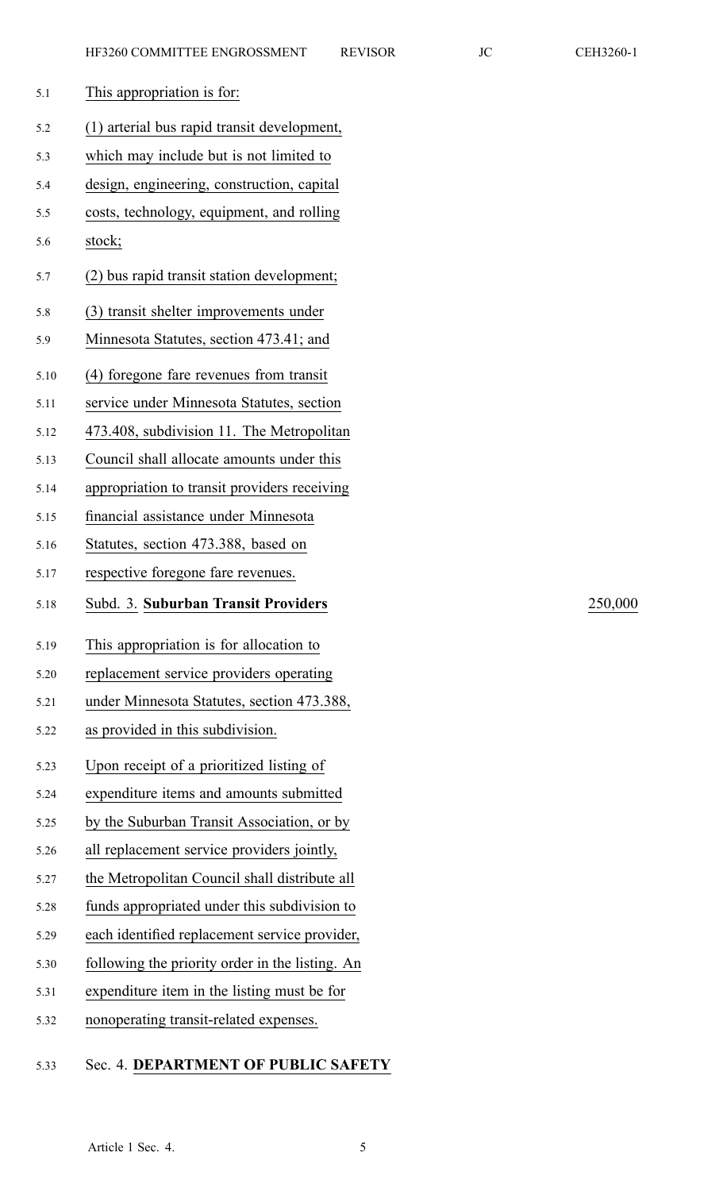| 5.1  | This appropriation is for:                      |         |
|------|-------------------------------------------------|---------|
| 5.2  | (1) arterial bus rapid transit development,     |         |
| 5.3  | which may include but is not limited to         |         |
| 5.4  | design, engineering, construction, capital      |         |
| 5.5  | costs, technology, equipment, and rolling       |         |
| 5.6  | stock;                                          |         |
| 5.7  | (2) bus rapid transit station development;      |         |
| 5.8  | (3) transit shelter improvements under          |         |
| 5.9  | Minnesota Statutes, section 473.41; and         |         |
| 5.10 | (4) foregone fare revenues from transit         |         |
| 5.11 | service under Minnesota Statutes, section       |         |
| 5.12 | 473.408, subdivision 11. The Metropolitan       |         |
| 5.13 | Council shall allocate amounts under this       |         |
| 5.14 | appropriation to transit providers receiving    |         |
| 5.15 | financial assistance under Minnesota            |         |
| 5.16 | Statutes, section 473.388, based on             |         |
| 5.17 | respective foregone fare revenues.              |         |
| 5.18 | Subd. 3. Suburban Transit Providers             | 250,000 |
| 5.19 | This appropriation is for allocation to         |         |
| 5.20 | replacement service providers operating         |         |
| 5.21 | under Minnesota Statutes, section 473.388,      |         |
| 5.22 | as provided in this subdivision.                |         |
| 5.23 | Upon receipt of a prioritized listing of        |         |
| 5.24 |                                                 |         |
| 5.25 | expenditure items and amounts submitted         |         |
| 5.26 | by the Suburban Transit Association, or by      |         |
|      | all replacement service providers jointly,      |         |
| 5.27 | the Metropolitan Council shall distribute all   |         |
| 5.28 | funds appropriated under this subdivision to    |         |
| 5.29 | each identified replacement service provider,   |         |
| 5.30 | following the priority order in the listing. An |         |
| 5.31 | expenditure item in the listing must be for     |         |
| 5.32 | nonoperating transit-related expenses.          |         |

### 5.33 Sec. 4. **DEPARTMENT OF PUBLIC SAFETY**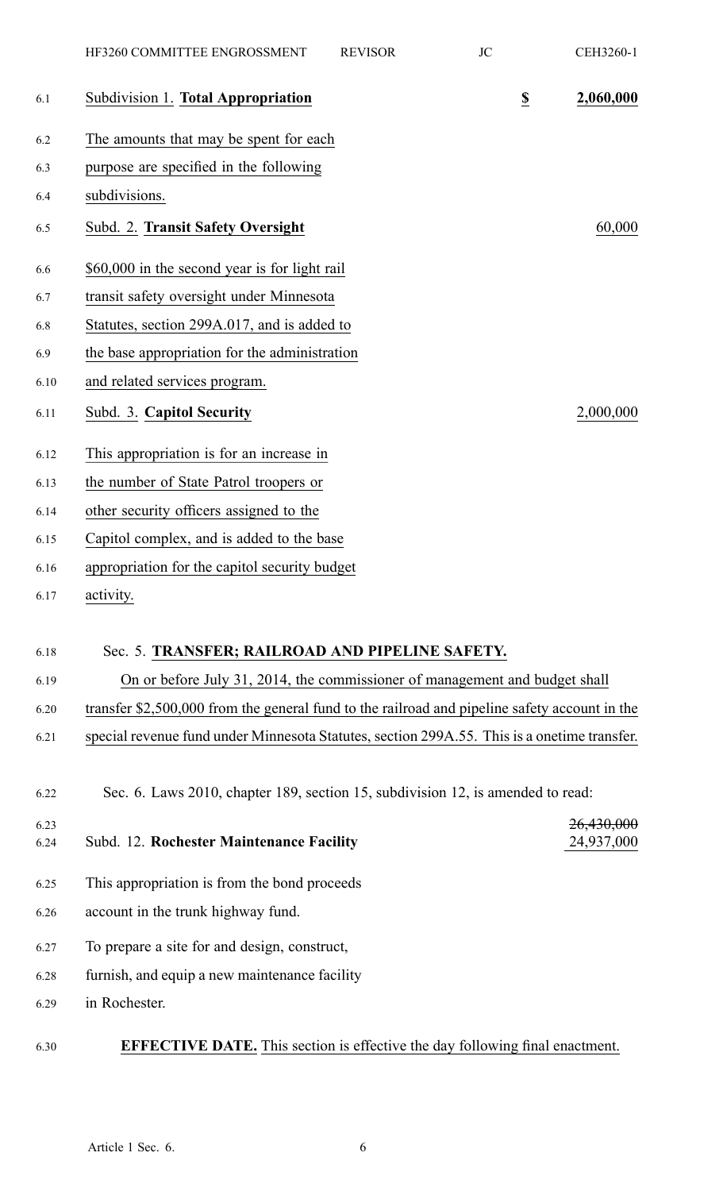|      | HF3260 COMMITTEE ENGROSSMENT                                                                  | <b>REVISOR</b> | <b>JC</b>               | CEH3260-1  |
|------|-----------------------------------------------------------------------------------------------|----------------|-------------------------|------------|
| 6.1  | Subdivision 1. Total Appropriation                                                            |                | $\overline{\mathbf{z}}$ | 2,060,000  |
| 6.2  | The amounts that may be spent for each                                                        |                |                         |            |
| 6.3  | purpose are specified in the following                                                        |                |                         |            |
| 6.4  | subdivisions.                                                                                 |                |                         |            |
| 6.5  | Subd. 2. Transit Safety Oversight                                                             |                |                         | 60,000     |
| 6.6  | \$60,000 in the second year is for light rail                                                 |                |                         |            |
| 6.7  | transit safety oversight under Minnesota                                                      |                |                         |            |
| 6.8  | Statutes, section 299A.017, and is added to                                                   |                |                         |            |
| 6.9  | the base appropriation for the administration                                                 |                |                         |            |
| 6.10 | and related services program.                                                                 |                |                         |            |
| 6.11 | Subd. 3. Capitol Security                                                                     |                |                         | 2,000,000  |
| 6.12 | This appropriation is for an increase in                                                      |                |                         |            |
| 6.13 | the number of State Patrol troopers or                                                        |                |                         |            |
| 6.14 | other security officers assigned to the                                                       |                |                         |            |
| 6.15 | Capitol complex, and is added to the base                                                     |                |                         |            |
| 6.16 | appropriation for the capitol security budget                                                 |                |                         |            |
| 6.17 | activity.                                                                                     |                |                         |            |
| 6.18 | Sec. 5. TRANSFER; RAILROAD AND PIPELINE SAFETY.                                               |                |                         |            |
| 6.19 | On or before July 31, 2014, the commissioner of management and budget shall                   |                |                         |            |
| 6.20 | transfer \$2,500,000 from the general fund to the railroad and pipeline safety account in the |                |                         |            |
| 6.21 | special revenue fund under Minnesota Statutes, section 299A.55. This is a onetime transfer.   |                |                         |            |
| 6.22 | Sec. 6. Laws 2010, chapter 189, section 15, subdivision 12, is amended to read:               |                |                         |            |
| 6.23 |                                                                                               |                |                         | 26,430,000 |
| 6.24 | Subd. 12. Rochester Maintenance Facility                                                      |                |                         | 24,937,000 |
| 6.25 | This appropriation is from the bond proceeds                                                  |                |                         |            |
| 6.26 | account in the trunk highway fund.                                                            |                |                         |            |
| 6.27 | To prepare a site for and design, construct,                                                  |                |                         |            |
| 6.28 | furnish, and equip a new maintenance facility                                                 |                |                         |            |
| 6.29 | in Rochester.                                                                                 |                |                         |            |
| 6.30 | <b>EFFECTIVE DATE.</b> This section is effective the day following final enactment.           |                |                         |            |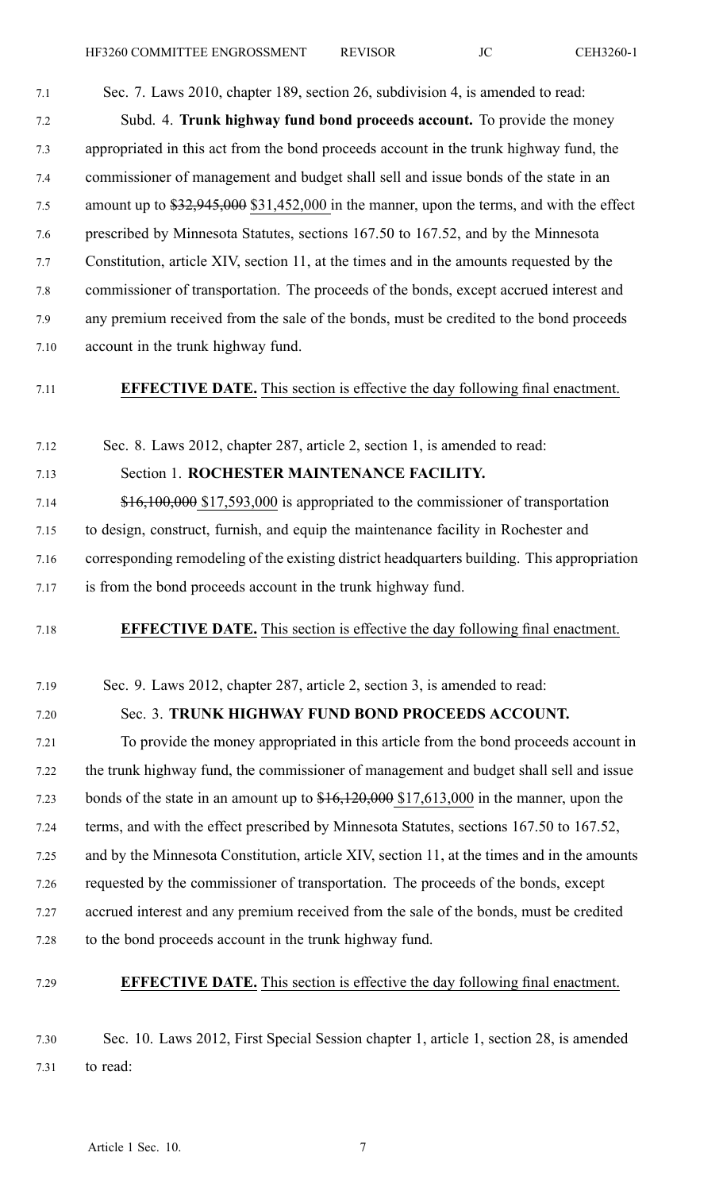7.1 Sec. 7. Laws 2010, chapter 189, section 26, subdivision 4, is amended to read: 7.2 Subd. 4. **Trunk highway fund bond proceeds account.** To provide the money 7.3 appropriated in this act from the bond proceeds account in the trunk highway fund, the 7.4 commissioner of managemen<sup>t</sup> and budget shall sell and issue bonds of the state in an 7.5 amount up to  $\frac{$32,945,000}{$31,452,000}$  in the manner, upon the terms, and with the effect 7.6 prescribed by Minnesota Statutes, sections 167.50 to 167.52, and by the Minnesota 7.7 Constitution, article XIV, section 11, at the times and in the amounts requested by the 7.8 commissioner of transportation. The proceeds of the bonds, excep<sup>t</sup> accrued interest and 7.9 any premium received from the sale of the bonds, must be credited to the bond proceeds 7.10 account in the trunk highway fund.

7.11 **EFFECTIVE DATE.** This section is effective the day following final enactment.

7.12 Sec. 8. Laws 2012, chapter 287, article 2, section 1, is amended to read:

7.13 Section 1. **ROCHESTER MAINTENANCE FACILITY.**

7.14 \$16,100,000 \$17,593,000 is appropriated to the commissioner of transportation 7.15 to design, construct, furnish, and equip the maintenance facility in Rochester and 7.16 corresponding remodeling of the existing district headquarters building. This appropriation 7.17 is from the bond proceeds account in the trunk highway fund.

7.18 **EFFECTIVE DATE.** This section is effective the day following final enactment.

7.19 Sec. 9. Laws 2012, chapter 287, article 2, section 3, is amended to read:

### 7.20 Sec. 3. **TRUNK HIGHWAY FUND BOND PROCEEDS ACCOUNT.**

7.21 To provide the money appropriated in this article from the bond proceeds account in 7.22 the trunk highway fund, the commissioner of managemen<sup>t</sup> and budget shall sell and issue 7.23 bonds of the state in an amount up to  $$16,120,000$  \$17,613,000 in the manner, upon the 7.24 terms, and with the effect prescribed by Minnesota Statutes, sections 167.50 to 167.52, 7.25 and by the Minnesota Constitution, article XIV, section 11, at the times and in the amounts 7.26 requested by the commissioner of transportation. The proceeds of the bonds, excep<sup>t</sup> 7.27 accrued interest and any premium received from the sale of the bonds, must be credited 7.28 to the bond proceeds account in the trunk highway fund.

#### 7.29 **EFFECTIVE DATE.** This section is effective the day following final enactment.

7.30 Sec. 10. Laws 2012, First Special Session chapter 1, article 1, section 28, is amended 7.31 to read: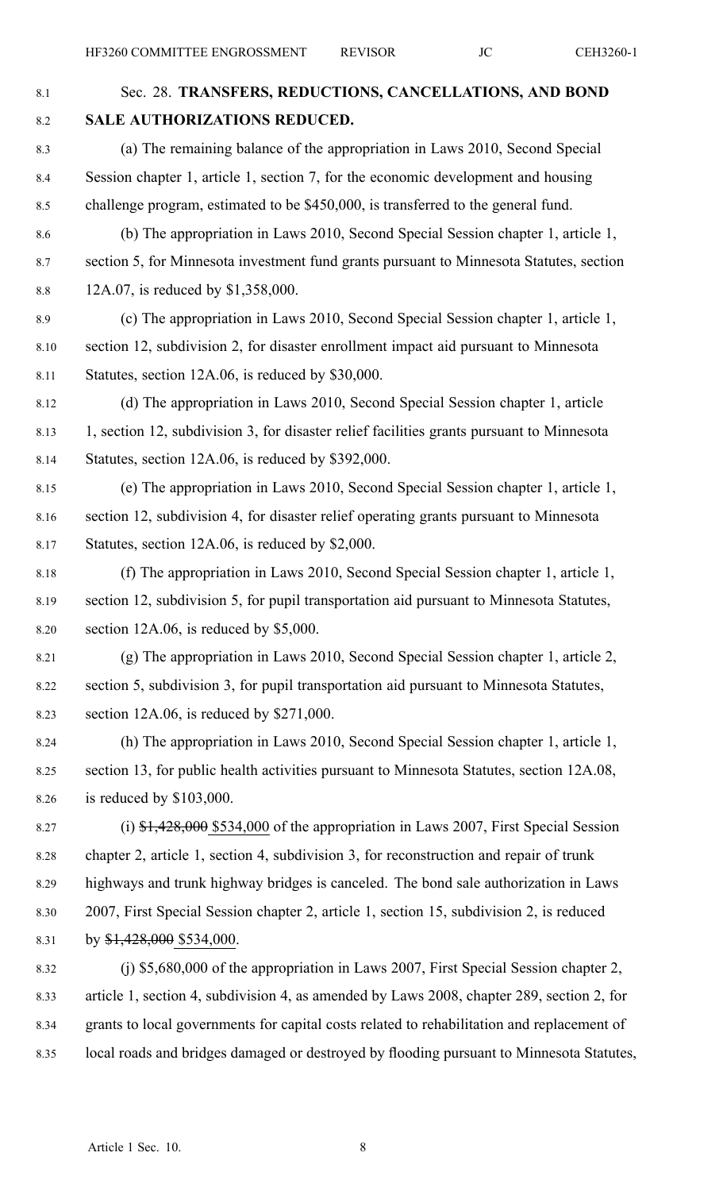| $8.1\,$  | Sec. 28. TRANSFERS, REDUCTIONS, CANCELLATIONS, AND BOND                                        |
|----------|------------------------------------------------------------------------------------------------|
| $8.2\,$  | SALE AUTHORIZATIONS REDUCED.                                                                   |
| 8.3      | (a) The remaining balance of the appropriation in Laws 2010, Second Special                    |
| 8.4      | Session chapter 1, article 1, section 7, for the economic development and housing              |
| 8.5      | challenge program, estimated to be \$450,000, is transferred to the general fund.              |
| 8.6      | (b) The appropriation in Laws 2010, Second Special Session chapter 1, article 1,               |
| 8.7      | section 5, for Minnesota investment fund grants pursuant to Minnesota Statutes, section        |
| $8.8\,$  | 12A.07, is reduced by \$1,358,000.                                                             |
| 8.9      | (c) The appropriation in Laws 2010, Second Special Session chapter 1, article 1,               |
| $8.10\,$ | section 12, subdivision 2, for disaster enrollment impact aid pursuant to Minnesota            |
| 8.11     | Statutes, section 12A.06, is reduced by \$30,000.                                              |
| 8.12     | (d) The appropriation in Laws 2010, Second Special Session chapter 1, article                  |
| 8.13     | 1, section 12, subdivision 3, for disaster relief facilities grants pursuant to Minnesota      |
| 8.14     | Statutes, section 12A.06, is reduced by \$392,000.                                             |
| 8.15     | (e) The appropriation in Laws 2010, Second Special Session chapter 1, article 1,               |
| 8.16     | section 12, subdivision 4, for disaster relief operating grants pursuant to Minnesota          |
| 8.17     | Statutes, section 12A.06, is reduced by \$2,000.                                               |
| 8.18     | (f) The appropriation in Laws 2010, Second Special Session chapter 1, article 1,               |
| 8.19     | section 12, subdivision 5, for pupil transportation aid pursuant to Minnesota Statutes,        |
| 8.20     | section $12A.06$ , is reduced by \$5,000.                                                      |
| 8.21     | (g) The appropriation in Laws 2010, Second Special Session chapter 1, article 2,               |
| 8.22     | section 5, subdivision 3, for pupil transportation aid pursuant to Minnesota Statutes,         |
| 8.23     | section $12A.06$ , is reduced by \$271,000.                                                    |
| 8.24     | (h) The appropriation in Laws 2010, Second Special Session chapter 1, article 1,               |
| 8.25     | section 13, for public health activities pursuant to Minnesota Statutes, section 12A.08,       |
| 8.26     | is reduced by $$103,000$ .                                                                     |
| 8.27     | (i) $\frac{1}{2}$ , 428,000 \$534,000 of the appropriation in Laws 2007, First Special Session |
| 8.28     | chapter 2, article 1, section 4, subdivision 3, for reconstruction and repair of trunk         |
| 8.29     | highways and trunk highway bridges is canceled. The bond sale authorization in Laws            |
| 8.30     | 2007, First Special Session chapter 2, article 1, section 15, subdivision 2, is reduced        |
| 8.31     | by $$1,428,000$ \$534,000.                                                                     |
| 8.32     | (j) \$5,680,000 of the appropriation in Laws 2007, First Special Session chapter 2,            |
| 8.33     | article 1, section 4, subdivision 4, as amended by Laws 2008, chapter 289, section 2, for      |
| 8.34     | grants to local governments for capital costs related to rehabilitation and replacement of     |
| 8.35     | local roads and bridges damaged or destroyed by flooding pursuant to Minnesota Statutes,       |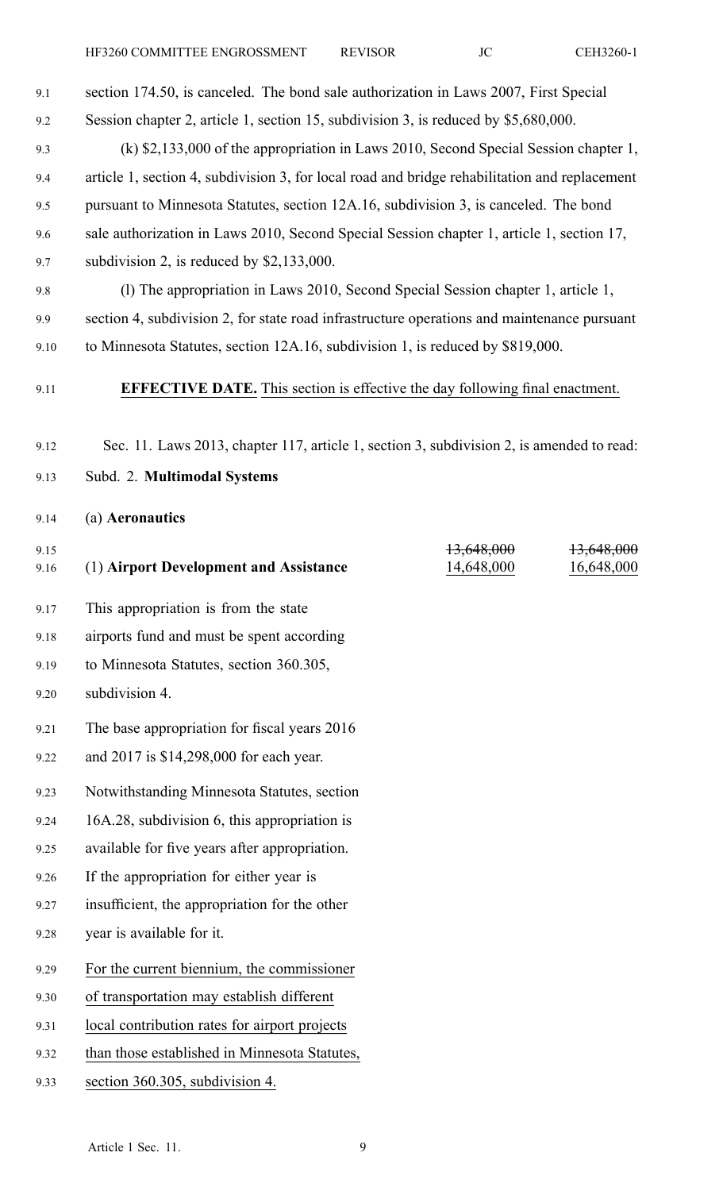| 9.1          | section 174.50, is canceled. The bond sale authorization in Laws 2007, First Special          |                          |                                     |
|--------------|-----------------------------------------------------------------------------------------------|--------------------------|-------------------------------------|
| 9.2          | Session chapter 2, article 1, section 15, subdivision 3, is reduced by \$5,680,000.           |                          |                                     |
| 9.3          | $(k)$ \$2,133,000 of the appropriation in Laws 2010, Second Special Session chapter 1,        |                          |                                     |
| 9.4          | article 1, section 4, subdivision 3, for local road and bridge rehabilitation and replacement |                          |                                     |
| 9.5          | pursuant to Minnesota Statutes, section 12A.16, subdivision 3, is canceled. The bond          |                          |                                     |
| 9.6          | sale authorization in Laws 2010, Second Special Session chapter 1, article 1, section 17,     |                          |                                     |
| 9.7          | subdivision 2, is reduced by $$2,133,000$ .                                                   |                          |                                     |
| 9.8          | (1) The appropriation in Laws 2010, Second Special Session chapter 1, article 1,              |                          |                                     |
| 9.9          | section 4, subdivision 2, for state road infrastructure operations and maintenance pursuant   |                          |                                     |
| 9.10         | to Minnesota Statutes, section 12A.16, subdivision 1, is reduced by \$819,000.                |                          |                                     |
| 9.11         | <b>EFFECTIVE DATE.</b> This section is effective the day following final enactment.           |                          |                                     |
| 9.12         | Sec. 11. Laws 2013, chapter 117, article 1, section 3, subdivision 2, is amended to read:     |                          |                                     |
| 9.13         | Subd. 2. Multimodal Systems                                                                   |                          |                                     |
| 9.14         | (a) Aeronautics                                                                               |                          |                                     |
| 9.15<br>9.16 | (1) Airport Development and Assistance                                                        | 13,648,000<br>14,648,000 | <del>13,648,000</del><br>16,648,000 |
| 9.17         | This appropriation is from the state                                                          |                          |                                     |
| 9.18         | airports fund and must be spent according                                                     |                          |                                     |
| 9.19         | to Minnesota Statutes, section 360.305,                                                       |                          |                                     |
| 9.20         | subdivision 4.                                                                                |                          |                                     |
| 9.21         | The base appropriation for fiscal years 2016                                                  |                          |                                     |
| 9.22         | and 2017 is \$14,298,000 for each year.                                                       |                          |                                     |
| 9.23         | Notwithstanding Minnesota Statutes, section                                                   |                          |                                     |
| 9.24         | 16A.28, subdivision 6, this appropriation is                                                  |                          |                                     |
| 9.25         | available for five years after appropriation.                                                 |                          |                                     |
| 9.26         | If the appropriation for either year is                                                       |                          |                                     |
| 9.27         | insufficient, the appropriation for the other                                                 |                          |                                     |
| 9.28         | year is available for it.                                                                     |                          |                                     |
| 9.29         | For the current biennium, the commissioner                                                    |                          |                                     |
| 9.30         | of transportation may establish different                                                     |                          |                                     |
|              |                                                                                               |                          |                                     |

- 9.31 local contribution rates for airport projects
- 9.32 than those established in Minnesota Statutes,
- 9.33 section 360.305, subdivision 4.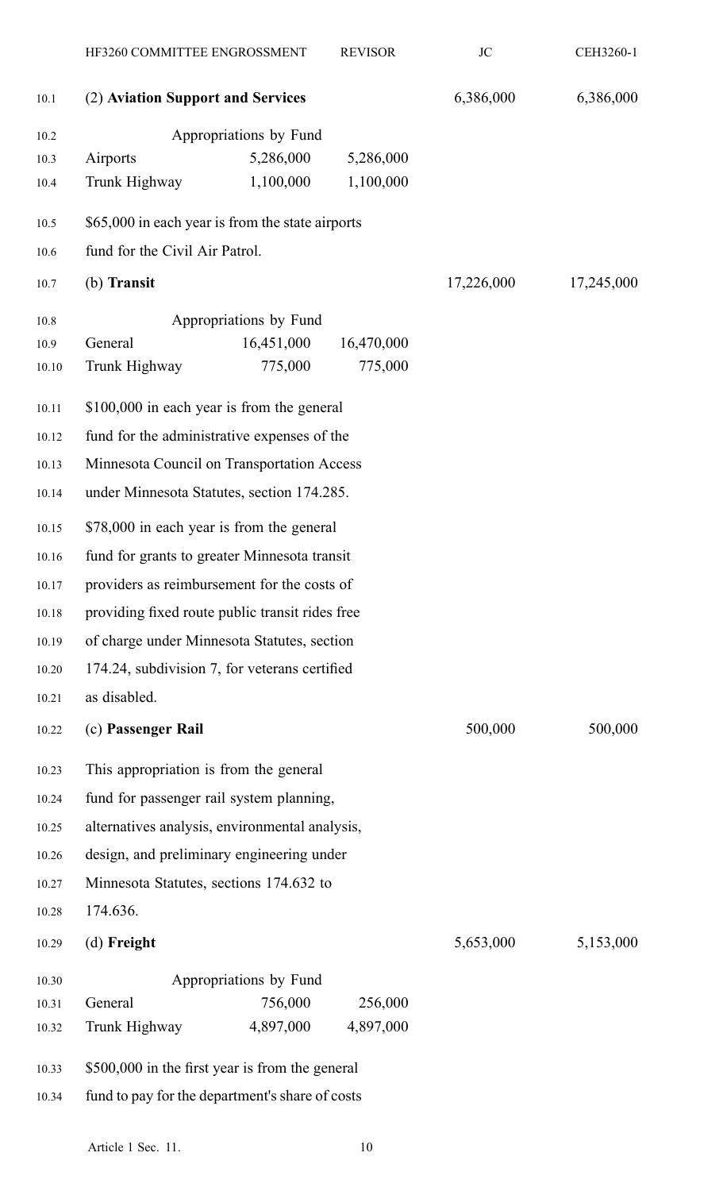|       | HF3260 COMMITTEE ENGROSSMENT                     |                        | <b>REVISOR</b> | JC         | CEH3260-1  |
|-------|--------------------------------------------------|------------------------|----------------|------------|------------|
| 10.1  | (2) Aviation Support and Services                |                        |                | 6,386,000  | 6,386,000  |
| 10.2  | Appropriations by Fund                           |                        |                |            |            |
| 10.3  | Airports                                         | 5,286,000              | 5,286,000      |            |            |
| 10.4  | Trunk Highway                                    | 1,100,000              | 1,100,000      |            |            |
| 10.5  | \$65,000 in each year is from the state airports |                        |                |            |            |
| 10.6  | fund for the Civil Air Patrol.                   |                        |                |            |            |
| 10.7  | (b) Transit                                      |                        |                | 17,226,000 | 17,245,000 |
| 10.8  |                                                  | Appropriations by Fund |                |            |            |
| 10.9  | General                                          | 16,451,000             | 16,470,000     |            |            |
| 10.10 | Trunk Highway                                    | 775,000                | 775,000        |            |            |
| 10.11 | \$100,000 in each year is from the general       |                        |                |            |            |
| 10.12 | fund for the administrative expenses of the      |                        |                |            |            |
| 10.13 | Minnesota Council on Transportation Access       |                        |                |            |            |
| 10.14 | under Minnesota Statutes, section 174.285.       |                        |                |            |            |
| 10.15 | \$78,000 in each year is from the general        |                        |                |            |            |
| 10.16 | fund for grants to greater Minnesota transit     |                        |                |            |            |
| 10.17 | providers as reimbursement for the costs of      |                        |                |            |            |
| 10.18 | providing fixed route public transit rides free  |                        |                |            |            |
| 10.19 | of charge under Minnesota Statutes, section      |                        |                |            |            |
| 10.20 | 174.24, subdivision 7, for veterans certified    |                        |                |            |            |
| 10.21 | as disabled.                                     |                        |                |            |            |
| 10.22 | (c) Passenger Rail                               |                        |                | 500,000    | 500,000    |
| 10.23 | This appropriation is from the general           |                        |                |            |            |
| 10.24 | fund for passenger rail system planning,         |                        |                |            |            |
| 10.25 | alternatives analysis, environmental analysis,   |                        |                |            |            |
| 10.26 | design, and preliminary engineering under        |                        |                |            |            |
| 10.27 | Minnesota Statutes, sections 174.632 to          |                        |                |            |            |
| 10.28 | 174.636.                                         |                        |                |            |            |
| 10.29 | $(d)$ Freight                                    |                        |                | 5,653,000  | 5,153,000  |
| 10.30 |                                                  | Appropriations by Fund |                |            |            |
| 10.31 | General                                          | 756,000                | 256,000        |            |            |
| 10.32 | Trunk Highway                                    | 4,897,000              | 4,897,000      |            |            |
| 10.33 | \$500,000 in the first year is from the general  |                        |                |            |            |
| 10.34 | fund to pay for the department's share of costs  |                        |                |            |            |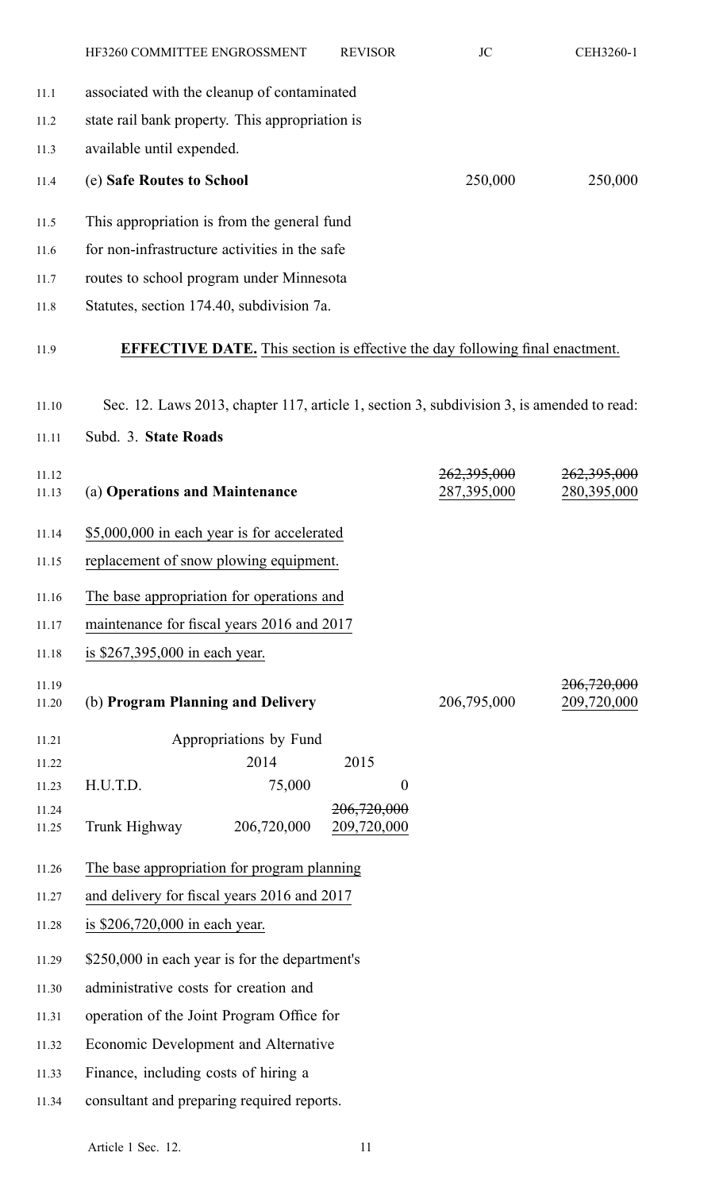|                | HF3260 COMMITTEE ENGROSSMENT                                                              | <b>REVISOR</b> | <b>JC</b>                  | CEH3260-1                  |
|----------------|-------------------------------------------------------------------------------------------|----------------|----------------------------|----------------------------|
| 11.1           | associated with the cleanup of contaminated                                               |                |                            |                            |
| 11.2           | state rail bank property. This appropriation is                                           |                |                            |                            |
| 11.3           | available until expended.                                                                 |                |                            |                            |
| 11.4           | (e) Safe Routes to School                                                                 |                | 250,000                    | 250,000                    |
| 11.5           | This appropriation is from the general fund                                               |                |                            |                            |
| 11.6           | for non-infrastructure activities in the safe                                             |                |                            |                            |
| 11.7           | routes to school program under Minnesota                                                  |                |                            |                            |
| 11.8           | Statutes, section 174.40, subdivision 7a.                                                 |                |                            |                            |
| 11.9           | <b>EFFECTIVE DATE.</b> This section is effective the day following final enactment.       |                |                            |                            |
| 11.10          | Sec. 12. Laws 2013, chapter 117, article 1, section 3, subdivision 3, is amended to read: |                |                            |                            |
| 11.11          | Subd. 3. State Roads                                                                      |                |                            |                            |
| 11.12<br>11.13 | (a) Operations and Maintenance                                                            |                | 262,395,000<br>287,395,000 | 262,395,000<br>280,395,000 |
| 11.14          | \$5,000,000 in each year is for accelerated                                               |                |                            |                            |
| 11.15          | replacement of snow plowing equipment.                                                    |                |                            |                            |
| 11.16          | The base appropriation for operations and                                                 |                |                            |                            |
| 11.17          | maintenance for fiscal years 2016 and 2017                                                |                |                            |                            |
| 11.18          | is \$267,395,000 in each year.                                                            |                |                            |                            |

| 11.19 |                                   |             | <del>206,720,000</del> |
|-------|-----------------------------------|-------------|------------------------|
| 11.20 | (b) Program Planning and Delivery | 206,795,000 | 209,720,000            |
|       |                                   |             |                        |

| 11.21 | Appropriations by Fund |             |             |  |
|-------|------------------------|-------------|-------------|--|
| 11.22 |                        | 2014        | 2015        |  |
| 11.23 | H.U.T.D.               | 75,000      |             |  |
| 11.24 |                        |             | 206,720,000 |  |
| 11.25 | Trunk Highway          | 206,720,000 | 209,720,000 |  |

- 11.26 The base appropriation for program planning
- 11.27 and delivery for fiscal years 2016 and 2017
- 11.28 is \$206,720,000 in each year.
- 11.29 \$250,000 in each year is for the department's
- 11.30 administrative costs for creation and
- 11.31 operation of the Joint Program Office for
- 11.32 Economic Development and Alternative
- 11.33 Finance, including costs of hiring <sup>a</sup>
- 11.34 consultant and preparing required reports.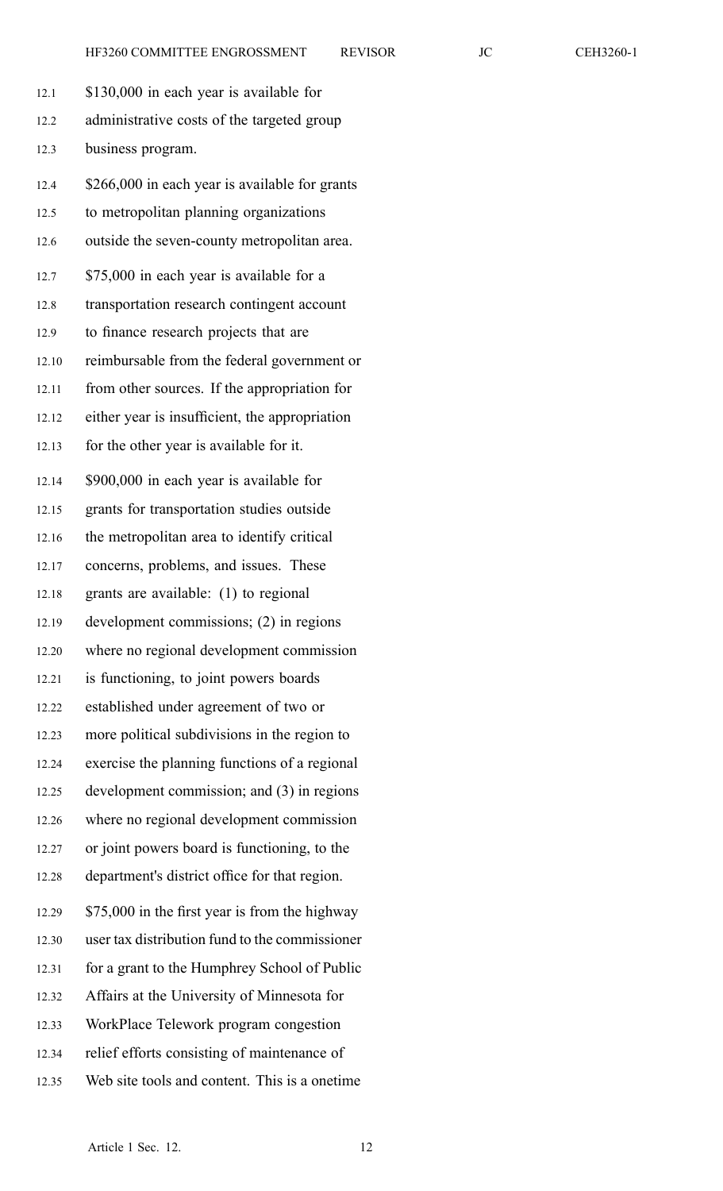| 12.1  | \$130,000 in each year is available for        |
|-------|------------------------------------------------|
| 12.2  | administrative costs of the targeted group     |
| 12.3  | business program.                              |
| 12.4  | \$266,000 in each year is available for grants |
| 12.5  | to metropolitan planning organizations         |
| 12.6  | outside the seven-county metropolitan area.    |
| 12.7  | \$75,000 in each year is available for a       |
| 12.8  | transportation research contingent account     |
| 12.9  | to finance research projects that are          |
| 12.10 | reimbursable from the federal government or    |
| 12.11 | from other sources. If the appropriation for   |
| 12.12 | either year is insufficient, the appropriation |
| 12.13 | for the other year is available for it.        |
| 12.14 | \$900,000 in each year is available for        |
| 12.15 | grants for transportation studies outside      |
| 12.16 | the metropolitan area to identify critical     |
| 12.17 | concerns, problems, and issues. These          |
| 12.18 | grants are available: (1) to regional          |
| 12.19 | development commissions; (2) in regions        |
| 12.20 | where no regional development commission       |
| 12.21 | is functioning, to joint powers boards         |
| 12.22 | established under agreement of two or          |
| 12.23 | more political subdivisions in the region to   |
| 12.24 | exercise the planning functions of a regional  |
| 12.25 | development commission; and (3) in regions     |
| 12.26 | where no regional development commission       |
| 12.27 | or joint powers board is functioning, to the   |
| 12.28 | department's district office for that region.  |
| 12.29 | \$75,000 in the first year is from the highway |
| 12.30 | user tax distribution fund to the commissioner |
| 12.31 | for a grant to the Humphrey School of Public   |
| 12.32 | Affairs at the University of Minnesota for     |
| 12.33 | WorkPlace Telework program congestion          |
| 12.34 | relief efforts consisting of maintenance of    |
| 12.35 | Web site tools and content. This is a onetime. |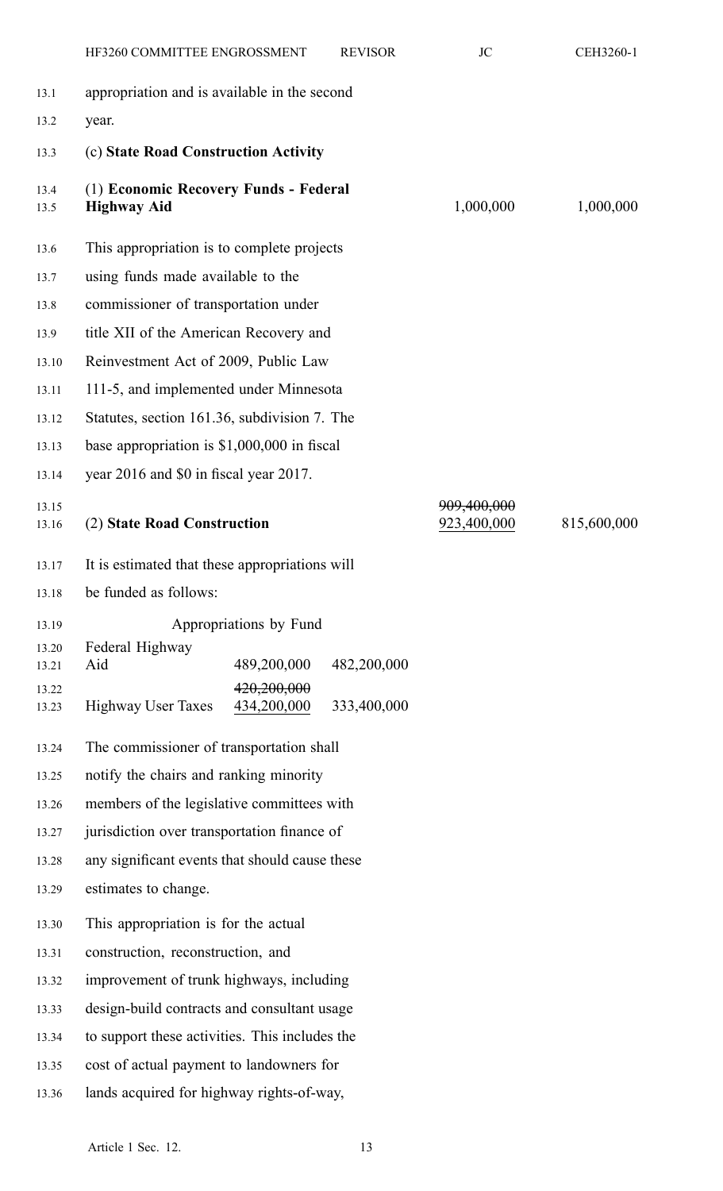|                | HF3260 COMMITTEE ENGROSSMENT                                | <b>REVISOR</b> | JC                         | CEH3260-1   |
|----------------|-------------------------------------------------------------|----------------|----------------------------|-------------|
| 13.1           | appropriation and is available in the second                |                |                            |             |
| 13.2           | year.                                                       |                |                            |             |
| 13.3           | (c) State Road Construction Activity                        |                |                            |             |
| 13.4<br>13.5   | (1) Economic Recovery Funds - Federal<br><b>Highway Aid</b> |                | 1,000,000                  | 1,000,000   |
| 13.6           | This appropriation is to complete projects                  |                |                            |             |
| 13.7           | using funds made available to the                           |                |                            |             |
| 13.8           | commissioner of transportation under                        |                |                            |             |
| 13.9           | title XII of the American Recovery and                      |                |                            |             |
| 13.10          | Reinvestment Act of 2009, Public Law                        |                |                            |             |
| 13.11          | 111-5, and implemented under Minnesota                      |                |                            |             |
| 13.12          | Statutes, section 161.36, subdivision 7. The                |                |                            |             |
| 13.13          | base appropriation is $$1,000,000$ in fiscal                |                |                            |             |
| 13.14          | year 2016 and \$0 in fiscal year 2017.                      |                |                            |             |
| 13.15<br>13.16 | (2) State Road Construction                                 |                | 909,400,000<br>923,400,000 | 815,600,000 |
| 13.17          | It is estimated that these appropriations will              |                |                            |             |
| 13.18          | be funded as follows:                                       |                |                            |             |
| 13.19          | Appropriations by Fund                                      |                |                            |             |
| 13.20<br>13.21 | Federal Highway<br>489,200,000<br>Aid                       | 482,200,000    |                            |             |
| 13.22<br>13.23 | 420,200,000<br>434,200,000<br><b>Highway User Taxes</b>     | 333,400,000    |                            |             |
| 13.24          | The commissioner of transportation shall                    |                |                            |             |
| 13.25          | notify the chairs and ranking minority                      |                |                            |             |
| 13.26          | members of the legislative committees with                  |                |                            |             |
| 13.27          | jurisdiction over transportation finance of                 |                |                            |             |
| 13.28          | any significant events that should cause these              |                |                            |             |
| 13.29          | estimates to change.                                        |                |                            |             |
| 13.30          | This appropriation is for the actual                        |                |                            |             |
| 13.31          | construction, reconstruction, and                           |                |                            |             |
| 13.32          | improvement of trunk highways, including                    |                |                            |             |
| 13.33          | design-build contracts and consultant usage                 |                |                            |             |
| 13.34          | to support these activities. This includes the              |                |                            |             |
| 13.35          | cost of actual payment to landowners for                    |                |                            |             |
| 13.36          | lands acquired for highway rights-of-way,                   |                |                            |             |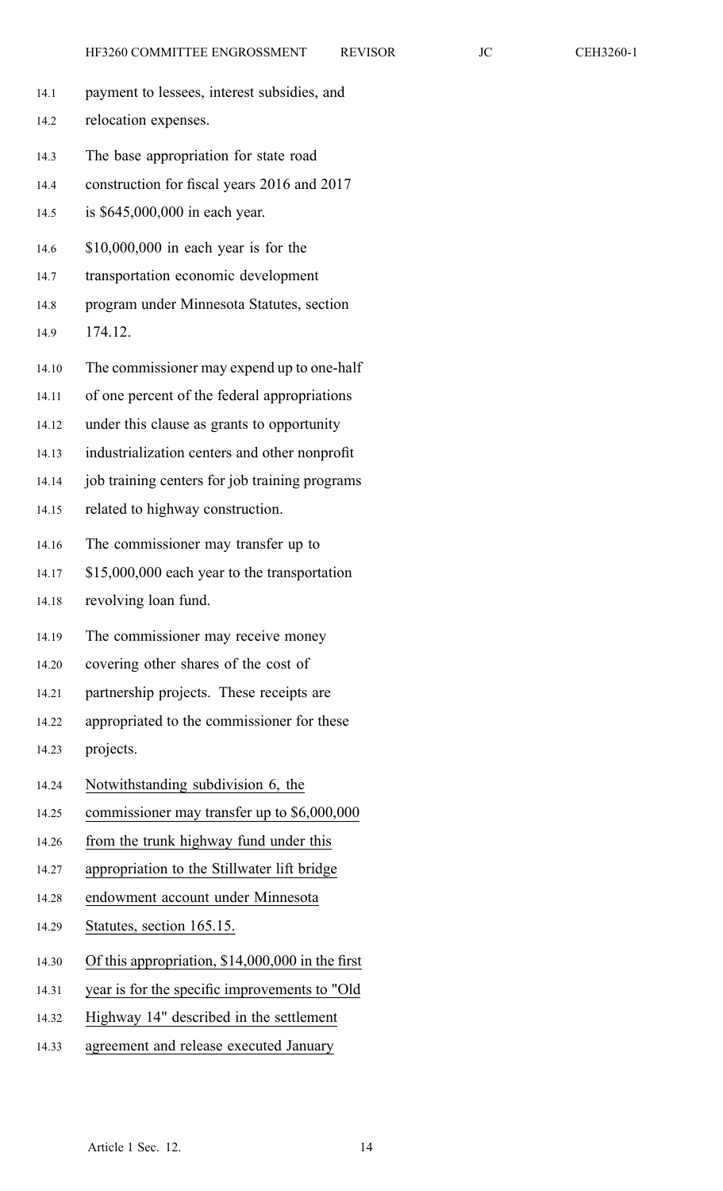- 14.1 paymen<sup>t</sup> to lessees, interest subsidies, and
- 14.2 relocation expenses.
- 14.3 The base appropriation for state road
- 14.4 construction for fiscal years 2016 and 2017
- 14.5 is \$645,000,000 in each year.
- 14.6 \$10,000,000 in each year is for the
- 14.7 transportation economic development
- 14.8 program under Minnesota Statutes, section
- 14.9 174.12.
- 14.10 The commissioner may expend up to one-half
- 14.11 of one percen<sup>t</sup> of the federal appropriations
- 14.12 under this clause as grants to opportunity
- 14.13 industrialization centers and other nonprofit
- 14.14 job training centers for job training programs
- 14.15 related to highway construction.
- 14.16 The commissioner may transfer up to
- 14.17 \$15,000,000 each year to the transportation
- 14.18 revolving loan fund.
- 14.19 The commissioner may receive money
- 14.20 covering other shares of the cost of
- 14.21 partnership projects. These receipts are
- 14.22 appropriated to the commissioner for these
- 14.23 projects.
- 14.24 Notwithstanding subdivision 6, the
- 14.25 commissioner may transfer up to \$6,000,000
- 14.26 from the trunk highway fund under this
- 14.27 appropriation to the Stillwater lift bridge
- 14.28 endowment account under Minnesota
- 14.29 Statutes, section 165.15.
- 14.30 Of this appropriation, \$14,000,000 in the first
- 14.31 year is for the specific improvements to "Old
- 14.32 Highway 14" described in the settlement
- 14.33 agreemen<sup>t</sup> and release executed January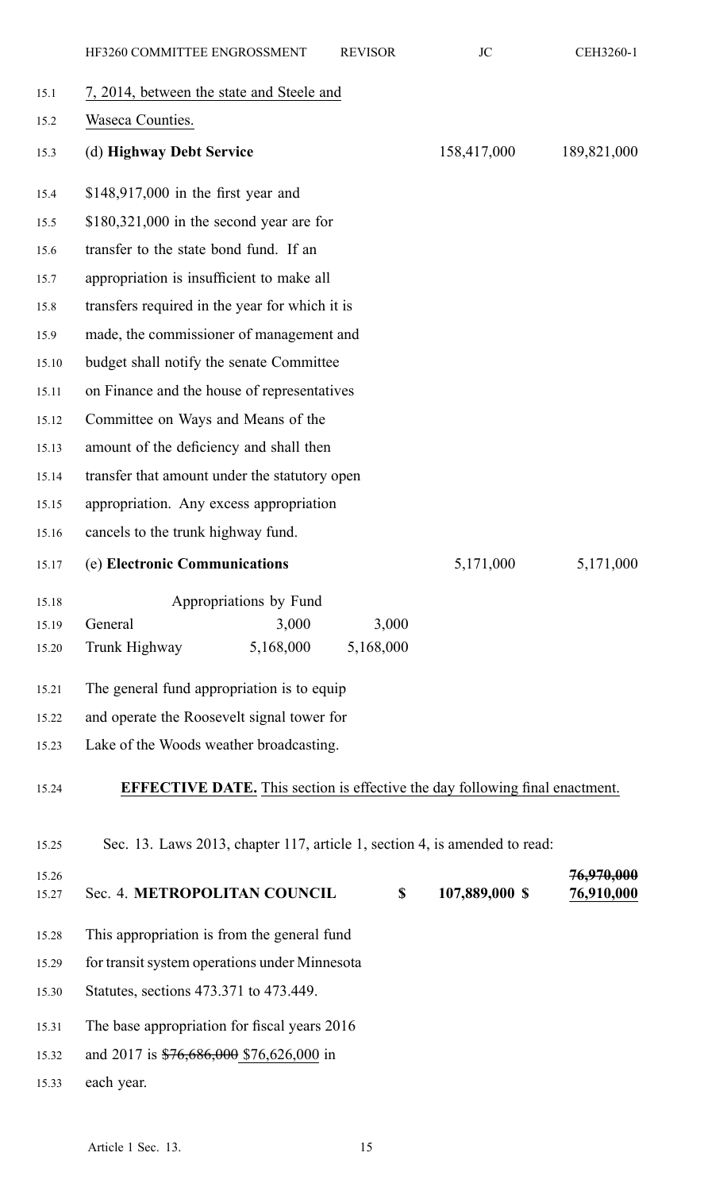|                | HF3260 COMMITTEE ENGROSSMENT                                                        | <b>REVISOR</b> | <b>JC</b>      | CEH3260-1                |  |
|----------------|-------------------------------------------------------------------------------------|----------------|----------------|--------------------------|--|
| 15.1           | 7, 2014, between the state and Steele and                                           |                |                |                          |  |
| 15.2           | Waseca Counties.                                                                    |                |                |                          |  |
| 15.3           | (d) Highway Debt Service                                                            |                | 158,417,000    | 189,821,000              |  |
| 15.4           | $$148,917,000$ in the first year and                                                |                |                |                          |  |
| 15.5           | $$180,321,000$ in the second year are for                                           |                |                |                          |  |
| 15.6           | transfer to the state bond fund. If an                                              |                |                |                          |  |
| 15.7           | appropriation is insufficient to make all                                           |                |                |                          |  |
| 15.8           | transfers required in the year for which it is                                      |                |                |                          |  |
| 15.9           | made, the commissioner of management and                                            |                |                |                          |  |
| 15.10          | budget shall notify the senate Committee                                            |                |                |                          |  |
| 15.11          | on Finance and the house of representatives                                         |                |                |                          |  |
| 15.12          | Committee on Ways and Means of the                                                  |                |                |                          |  |
| 15.13          | amount of the deficiency and shall then                                             |                |                |                          |  |
| 15.14          | transfer that amount under the statutory open                                       |                |                |                          |  |
| 15.15          | appropriation. Any excess appropriation                                             |                |                |                          |  |
| 15.16          | cancels to the trunk highway fund.                                                  |                |                |                          |  |
| 15.17          | (e) Electronic Communications                                                       |                | 5,171,000      | 5,171,000                |  |
| 15.18          | Appropriations by Fund                                                              |                |                |                          |  |
| 15.19          | 3,000<br>General                                                                    | 3,000          |                |                          |  |
| 15.20          | 5,168,000<br>Trunk Highway                                                          | 5,168,000      |                |                          |  |
| 15.21          | The general fund appropriation is to equip                                          |                |                |                          |  |
| 15.22          | and operate the Roosevelt signal tower for                                          |                |                |                          |  |
| 15.23          | Lake of the Woods weather broadcasting.                                             |                |                |                          |  |
| 15.24          | <b>EFFECTIVE DATE.</b> This section is effective the day following final enactment. |                |                |                          |  |
| 15.25          | Sec. 13. Laws 2013, chapter 117, article 1, section 4, is amended to read:          |                |                |                          |  |
| 15.26<br>15.27 | Sec. 4. METROPOLITAN COUNCIL                                                        | \$             | 107,889,000 \$ | 76,970,000<br>76,910,000 |  |
| 15.28          | This appropriation is from the general fund                                         |                |                |                          |  |
| 15.29          | for transit system operations under Minnesota                                       |                |                |                          |  |
| 15.30          | Statutes, sections 473.371 to 473.449.                                              |                |                |                          |  |
| 15.31          | The base appropriation for fiscal years 2016                                        |                |                |                          |  |
| 15.32          | and 2017 is \$76,686,000 \$76,626,000 in                                            |                |                |                          |  |
| 15.33          | each year.                                                                          |                |                |                          |  |
|                |                                                                                     |                |                |                          |  |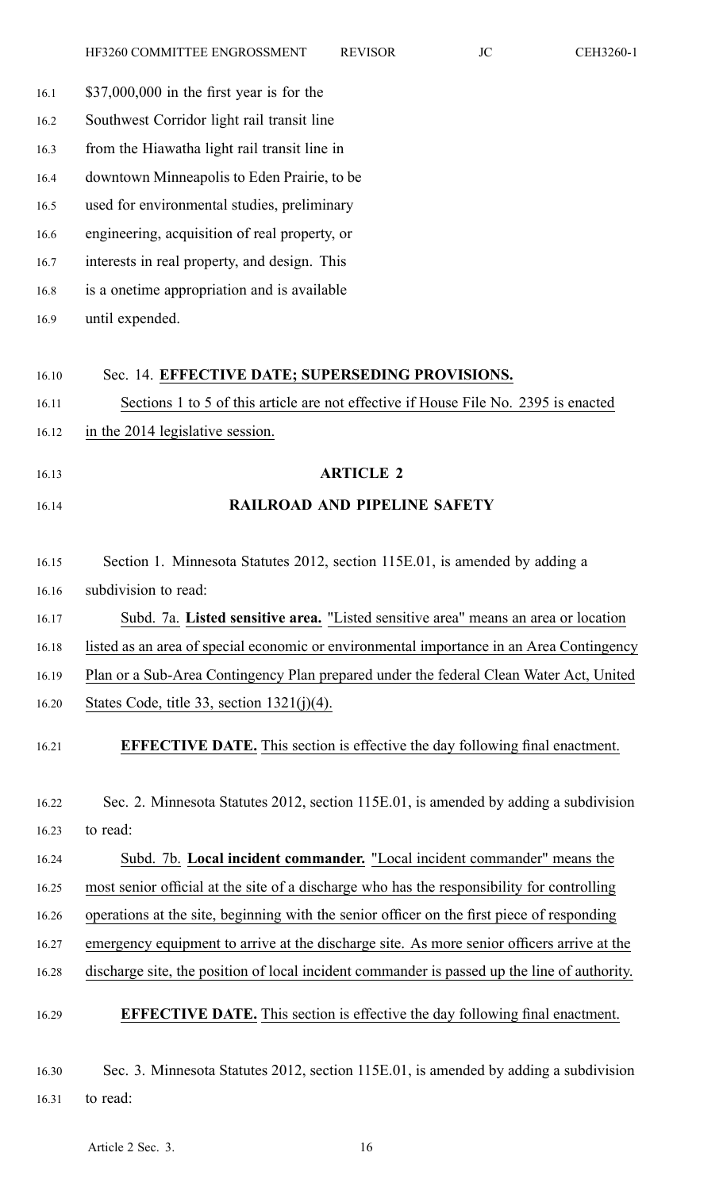| $$37,000,000$ in the first year is for the                                                                                                                                                 |
|--------------------------------------------------------------------------------------------------------------------------------------------------------------------------------------------|
| Southwest Corridor light rail transit line                                                                                                                                                 |
| from the Hiawatha light rail transit line in                                                                                                                                               |
| downtown Minneapolis to Eden Prairie, to be                                                                                                                                                |
| used for environmental studies, preliminary                                                                                                                                                |
| engineering, acquisition of real property, or                                                                                                                                              |
| interests in real property, and design. This                                                                                                                                               |
| is a onetime appropriation and is available                                                                                                                                                |
| until expended.                                                                                                                                                                            |
| Sec. 14. EFFECTIVE DATE; SUPERSEDING PROVISIONS.                                                                                                                                           |
| Sections 1 to 5 of this article are not effective if House File No. 2395 is enacted                                                                                                        |
| in the 2014 legislative session.                                                                                                                                                           |
| <b>ARTICLE 2</b>                                                                                                                                                                           |
| <b>RAILROAD AND PIPELINE SAFETY</b>                                                                                                                                                        |
| Section 1. Minnesota Statutes 2012, section 115E.01, is amended by adding a                                                                                                                |
| subdivision to read:                                                                                                                                                                       |
| Subd. 7a. Listed sensitive area. "Listed sensitive area" means an area or location                                                                                                         |
| listed as an area of special economic or environmental importance in an Area Contingency                                                                                                   |
| Plan or a Sub-Area Contingency Plan prepared under the federal Clean Water Act, United                                                                                                     |
| States Code, title 33, section $1321(j)(4)$ .                                                                                                                                              |
| <b>EFFECTIVE DATE.</b> This section is effective the day following final enactment.                                                                                                        |
| Sec. 2. Minnesota Statutes 2012, section 115E.01, is amended by adding a subdivision                                                                                                       |
| to read:                                                                                                                                                                                   |
| Subd. 7b. Local incident commander. "Local incident commander" means the                                                                                                                   |
| most senior official at the site of a discharge who has the responsibility for controlling                                                                                                 |
| operations at the site, beginning with the senior officer on the first piece of responding                                                                                                 |
|                                                                                                                                                                                            |
|                                                                                                                                                                                            |
| emergency equipment to arrive at the discharge site. As more senior officers arrive at the<br>discharge site, the position of local incident commander is passed up the line of authority. |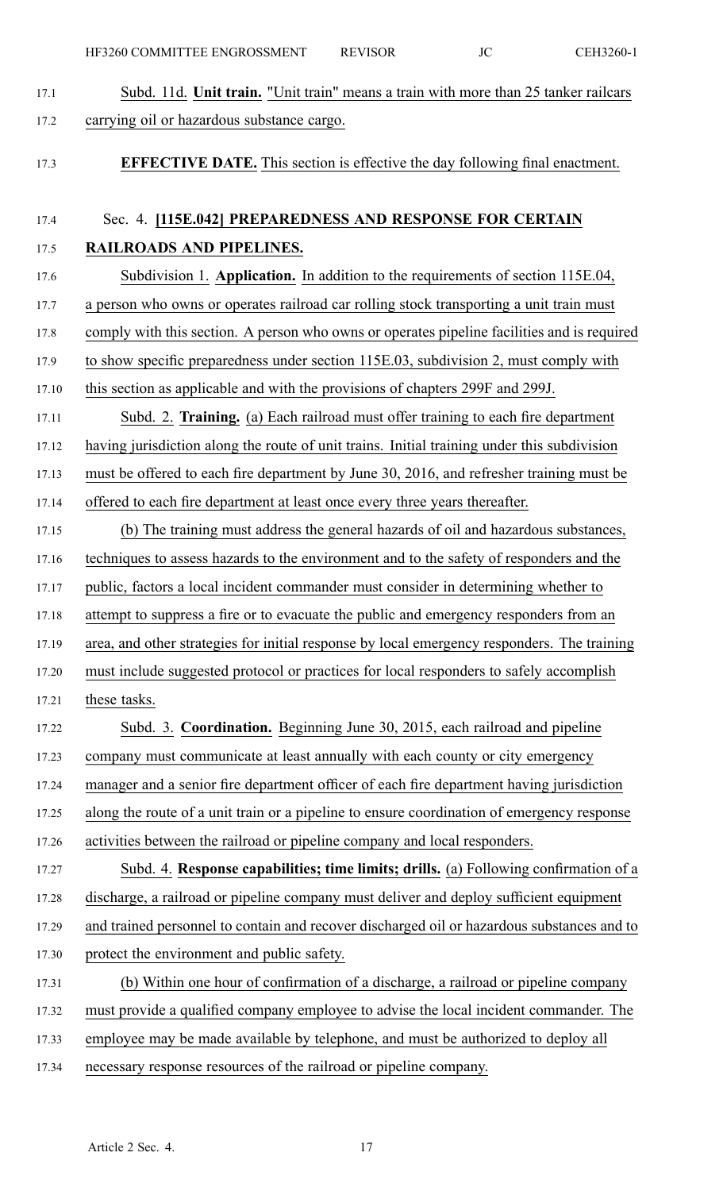17.1 Subd. 11d. **Unit train.** "Unit train" means <sup>a</sup> train with more than 25 tanker railcars 17.2 carrying oil or hazardous substance cargo. 17.3 **EFFECTIVE DATE.** This section is effective the day following final enactment. 17.4 Sec. 4. **[115E.042] PREPAREDNESS AND RESPONSE FOR CERTAIN** 17.5 **RAILROADS AND PIPELINES.** 17.6 Subdivision 1. **Application.** In addition to the requirements of section 115E.04, 17.7 <sup>a</sup> person who owns or operates railroad car rolling stock transporting <sup>a</sup> unit train must 17.8 comply with this section. A person who owns or operates pipeline facilities and is required 17.9 to show specific preparedness under section 115E.03, subdivision 2, must comply with 17.10 this section as applicable and with the provisions of chapters 299F and 299J. 17.11 Subd. 2. **Training.** (a) Each railroad must offer training to each fire department 17.12 having jurisdiction along the route of unit trains. Initial training under this subdivision 17.13 must be offered to each fire department by June 30, 2016, and refresher training must be 17.14 offered to each fire department at least once every three years thereafter. 17.15 (b) The training must address the general hazards of oil and hazardous substances, 17.16 techniques to assess hazards to the environment and to the safety of responders and the 17.17 public, factors <sup>a</sup> local incident commander must consider in determining whether to 17.18 attempt to suppress <sup>a</sup> fire or to evacuate the public and emergency responders from an 17.19 area, and other strategies for initial response by local emergency responders. The training 17.20 must include suggested protocol or practices for local responders to safely accomplish 17.21 these tasks. 17.22 Subd. 3. **Coordination.** Beginning June 30, 2015, each railroad and pipeline 17.23 company must communicate at least annually with each county or city emergency 17.24 manager and <sup>a</sup> senior fire department officer of each fire department having jurisdiction 17.25 along the route of <sup>a</sup> unit train or <sup>a</sup> pipeline to ensure coordination of emergency response 17.26 activities between the railroad or pipeline company and local responders. 17.27 Subd. 4. **Response capabilities; time limits; drills.** (a) Following confirmation of <sup>a</sup> 17.28 discharge, <sup>a</sup> railroad or pipeline company must deliver and deploy sufficient equipment 17.29 and trained personnel to contain and recover discharged oil or hazardous substances and to 17.30 protect the environment and public safety. 17.31 (b) Within one hour of confirmation of <sup>a</sup> discharge, <sup>a</sup> railroad or pipeline company 17.32 must provide <sup>a</sup> qualified company employee to advise the local incident commander. The 17.33 employee may be made available by telephone, and must be authorized to deploy all 17.34 necessary response resources of the railroad or pipeline company.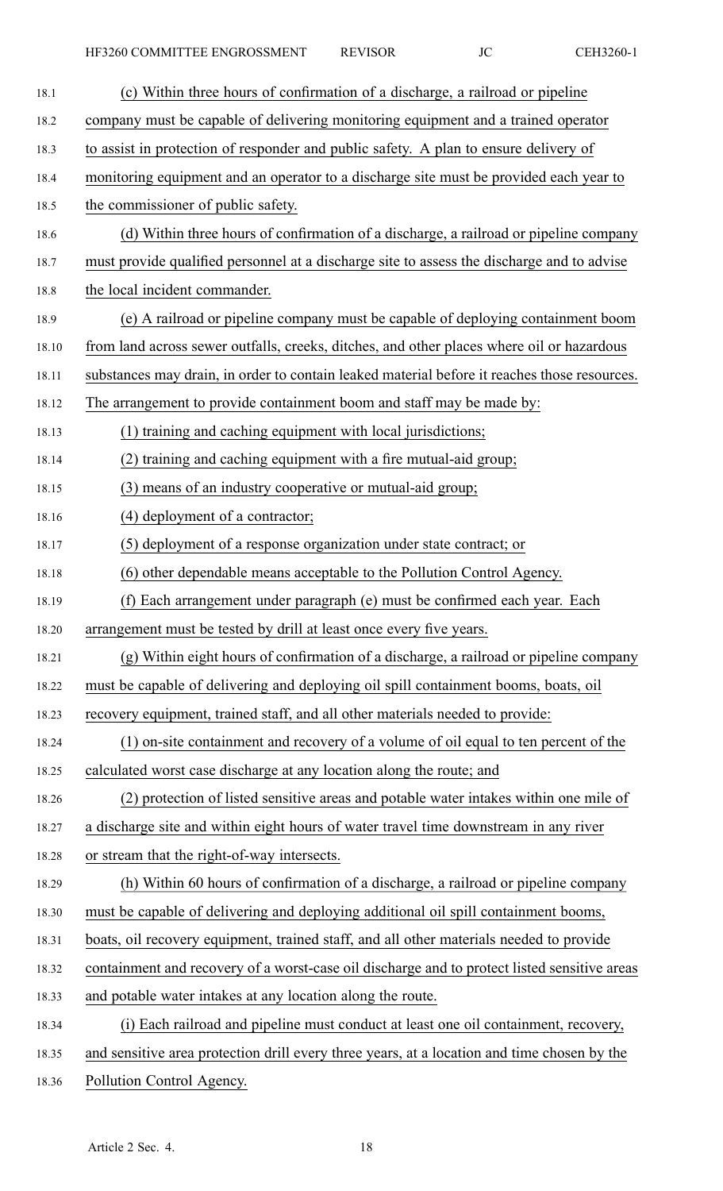| 18.1  | (c) Within three hours of confirmation of a discharge, a railroad or pipeline                |
|-------|----------------------------------------------------------------------------------------------|
| 18.2  | company must be capable of delivering monitoring equipment and a trained operator            |
| 18.3  | to assist in protection of responder and public safety. A plan to ensure delivery of         |
| 18.4  | monitoring equipment and an operator to a discharge site must be provided each year to       |
| 18.5  | the commissioner of public safety.                                                           |
| 18.6  | (d) Within three hours of confirmation of a discharge, a railroad or pipeline company        |
| 18.7  | must provide qualified personnel at a discharge site to assess the discharge and to advise   |
| 18.8  | the local incident commander.                                                                |
| 18.9  | (e) A railroad or pipeline company must be capable of deploying containment boom             |
| 18.10 | from land across sewer outfalls, creeks, ditches, and other places where oil or hazardous    |
| 18.11 | substances may drain, in order to contain leaked material before it reaches those resources. |
| 18.12 | The arrangement to provide containment boom and staff may be made by:                        |
| 18.13 | (1) training and caching equipment with local jurisdictions;                                 |
| 18.14 | (2) training and caching equipment with a fire mutual-aid group;                             |
| 18.15 | (3) means of an industry cooperative or mutual-aid group;                                    |
| 18.16 | (4) deployment of a contractor;                                                              |
| 18.17 | (5) deployment of a response organization under state contract; or                           |
| 18.18 | (6) other dependable means acceptable to the Pollution Control Agency.                       |
| 18.19 | (f) Each arrangement under paragraph (e) must be confirmed each year. Each                   |
| 18.20 | arrangement must be tested by drill at least once every five years.                          |
| 18.21 | (g) Within eight hours of confirmation of a discharge, a railroad or pipeline company        |
| 18.22 | must be capable of delivering and deploying oil spill containment booms, boats, oil          |
| 18.23 | recovery equipment, trained staff, and all other materials needed to provide:                |
| 18.24 | (1) on-site containment and recovery of a volume of oil equal to ten percent of the          |
| 18.25 | calculated worst case discharge at any location along the route; and                         |
| 18.26 | (2) protection of listed sensitive areas and potable water intakes within one mile of        |
| 18.27 | a discharge site and within eight hours of water travel time downstream in any river         |
| 18.28 | or stream that the right-of-way intersects.                                                  |
| 18.29 | (h) Within 60 hours of confirmation of a discharge, a railroad or pipeline company           |
| 18.30 | must be capable of delivering and deploying additional oil spill containment booms,          |
| 18.31 | boats, oil recovery equipment, trained staff, and all other materials needed to provide      |
| 18.32 | containment and recovery of a worst-case oil discharge and to protect listed sensitive areas |
| 18.33 | and potable water intakes at any location along the route.                                   |
| 18.34 | (i) Each railroad and pipeline must conduct at least one oil containment, recovery,          |
| 18.35 | and sensitive area protection drill every three years, at a location and time chosen by the  |
|       |                                                                                              |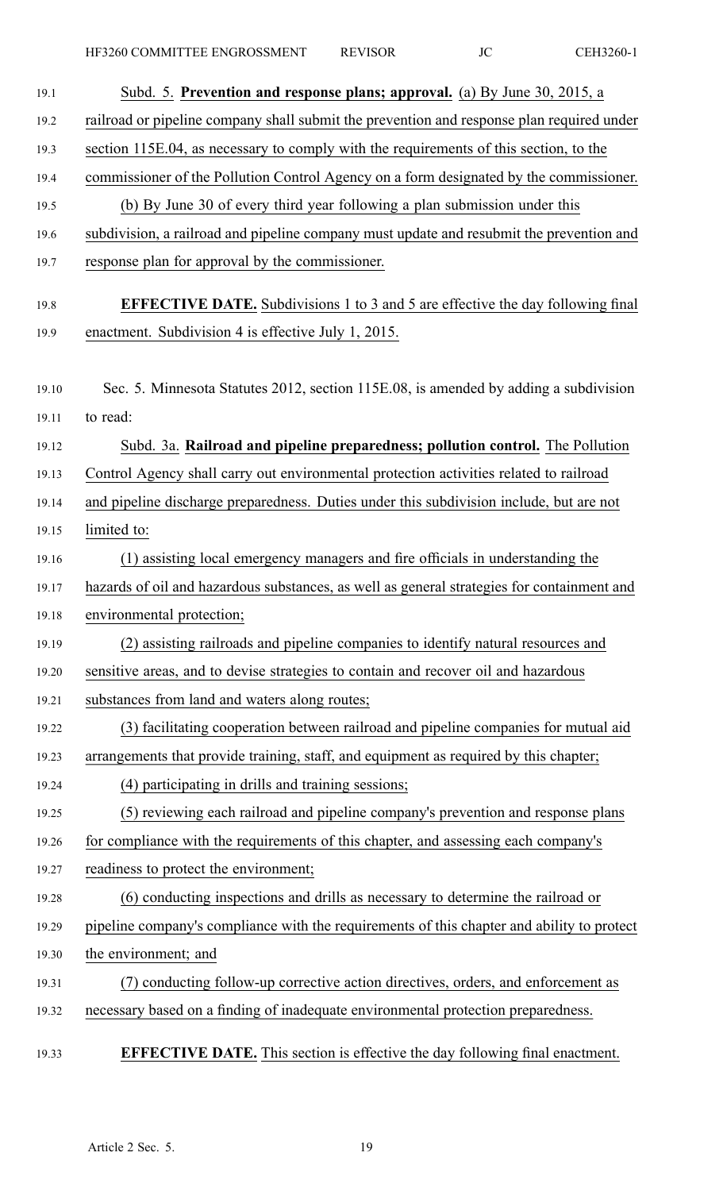HF3260 COMMITTEE ENGROSSMENT REVISOR JC CEH3260-1

| Subd. 5. Prevention and response plans; approval. (a) By June 30, 2015, a                  |
|--------------------------------------------------------------------------------------------|
| railroad or pipeline company shall submit the prevention and response plan required under  |
| section 115E.04, as necessary to comply with the requirements of this section, to the      |
| commissioner of the Pollution Control Agency on a form designated by the commissioner.     |
| (b) By June 30 of every third year following a plan submission under this                  |
| subdivision, a railroad and pipeline company must update and resubmit the prevention and   |
| response plan for approval by the commissioner.                                            |
| <b>EFFECTIVE DATE.</b> Subdivisions 1 to 3 and 5 are effective the day following final     |
| enactment. Subdivision 4 is effective July 1, 2015.                                        |
| Sec. 5. Minnesota Statutes 2012, section 115E.08, is amended by adding a subdivision       |
| to read:                                                                                   |
| Subd. 3a. Railroad and pipeline preparedness; pollution control. The Pollution             |
| Control Agency shall carry out environmental protection activities related to railroad     |
| and pipeline discharge preparedness. Duties under this subdivision include, but are not    |
| limited to:                                                                                |
| (1) assisting local emergency managers and fire officials in understanding the             |
| hazards of oil and hazardous substances, as well as general strategies for containment and |
| environmental protection;                                                                  |
| (2) assisting railroads and pipeline companies to identify natural resources and           |
| sensitive areas, and to devise strategies to contain and recover oil and hazardous         |
| substances from land and waters along routes;                                              |
| (3) facilitating cooperation between railroad and pipeline companies for mutual aid        |
| arrangements that provide training, staff, and equipment as required by this chapter;      |
| (4) participating in drills and training sessions;                                         |
| (5) reviewing each railroad and pipeline company's prevention and response plans           |
| for compliance with the requirements of this chapter, and assessing each company's         |
| readiness to protect the environment;                                                      |
| (6) conducting inspections and drills as necessary to determine the railroad or            |
| pipeline company's compliance with the requirements of this chapter and ability to protect |
| the environment; and                                                                       |
| (7) conducting follow-up corrective action directives, orders, and enforcement as          |
| necessary based on a finding of inadequate environmental protection preparedness.          |
| <b>EFFECTIVE DATE.</b> This section is effective the day following final enactment.        |
|                                                                                            |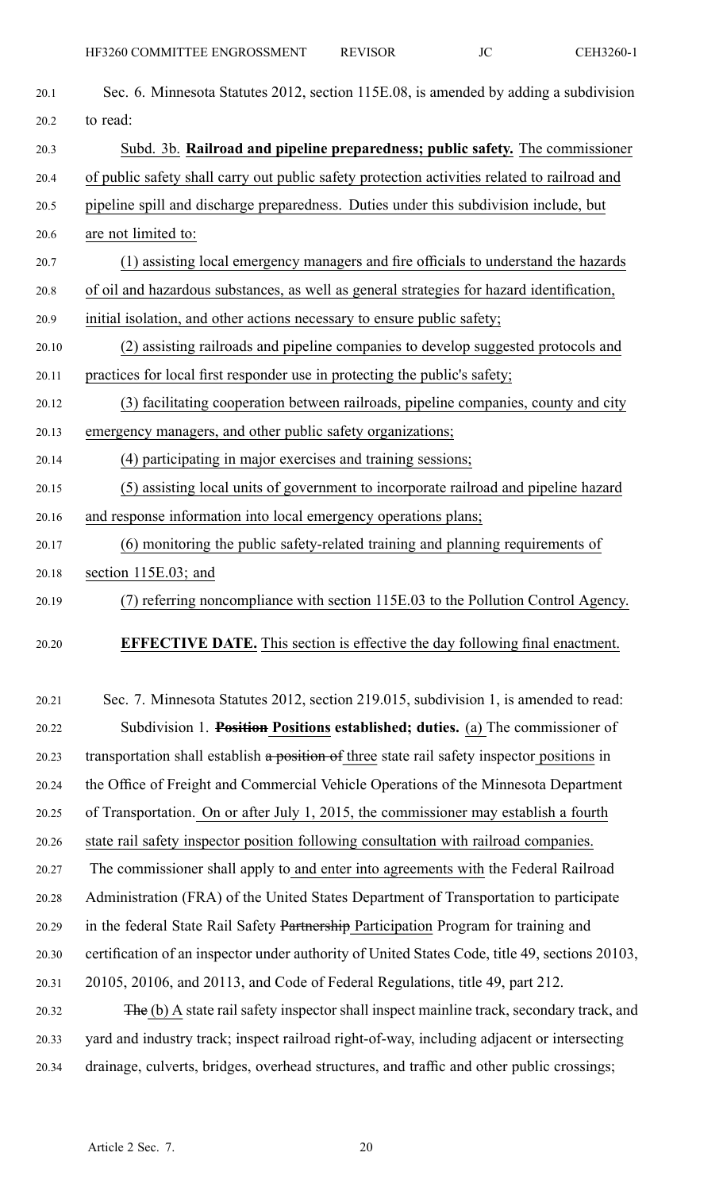| 20.1  | Sec. 6. Minnesota Statutes 2012, section 115E.08, is amended by adding a subdivision         |
|-------|----------------------------------------------------------------------------------------------|
| 20.2  | to read:                                                                                     |
| 20.3  | Subd. 3b. Railroad and pipeline preparedness; public safety. The commissioner                |
| 20.4  | of public safety shall carry out public safety protection activities related to railroad and |
| 20.5  | pipeline spill and discharge preparedness. Duties under this subdivision include, but        |
| 20.6  | are not limited to:                                                                          |
| 20.7  | (1) assisting local emergency managers and fire officials to understand the hazards          |
| 20.8  | of oil and hazardous substances, as well as general strategies for hazard identification,    |
| 20.9  | initial isolation, and other actions necessary to ensure public safety;                      |
| 20.10 | (2) assisting railroads and pipeline companies to develop suggested protocols and            |
| 20.11 | practices for local first responder use in protecting the public's safety;                   |
| 20.12 | (3) facilitating cooperation between railroads, pipeline companies, county and city          |
| 20.13 | emergency managers, and other public safety organizations;                                   |
| 20.14 | (4) participating in major exercises and training sessions;                                  |
| 20.15 | (5) assisting local units of government to incorporate railroad and pipeline hazard          |
| 20.16 | and response information into local emergency operations plans;                              |
| 20.17 | (6) monitoring the public safety-related training and planning requirements of               |
| 20.18 | section 115E.03; and                                                                         |
| 20.19 | (7) referring noncompliance with section 115E.03 to the Pollution Control Agency.            |
| 20.20 | <b>EFFECTIVE DATE.</b> This section is effective the day following final enactment.          |

20.21 Sec. 7. Minnesota Statutes 2012, section 219.015, subdivision 1, is amended to read: 20.22 Subdivision 1. **Position Positions established; duties.** (a) The commissioner of 20.23 transportation shall establish a position of three state rail safety inspector positions in 20.24 the Office of Freight and Commercial Vehicle Operations of the Minnesota Department 20.25 of Transportation. On or after July 1, 2015, the commissioner may establish <sup>a</sup> fourth 20.26 state rail safety inspector position following consultation with railroad companies. 20.27 The commissioner shall apply to and enter into agreements with the Federal Railroad 20.28 Administration (FRA) of the United States Department of Transportation to participate 20.29 in the federal State Rail Safety Partnership Participation Program for training and 20.30 certification of an inspector under authority of United States Code, title 49, sections 20103, 20.31 20105, 20106, and 20113, and Code of Federal Regulations, title 49, par<sup>t</sup> 212. 20.32 The (b) A state rail safety inspector shall inspect mainline track, secondary track, and 20.33 yard and industry track; inspect railroad right-of-way, including adjacent or intersecting

20.34 drainage, culverts, bridges, overhead structures, and traffic and other public crossings;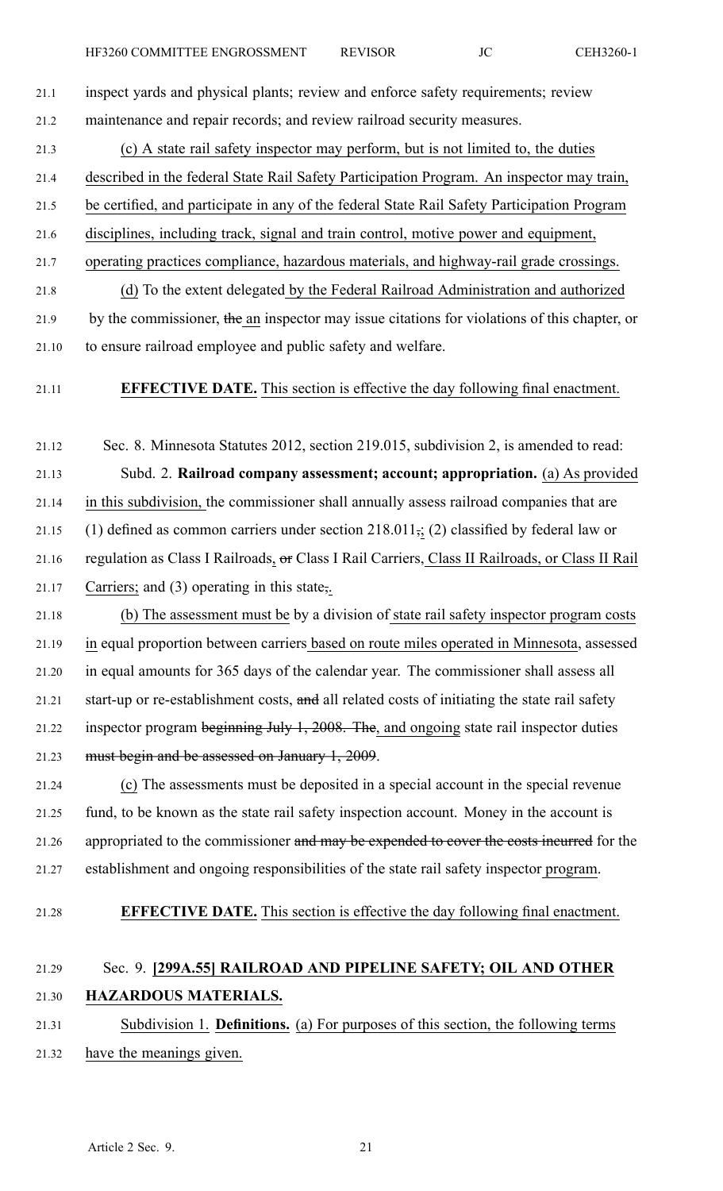- 21.1 inspect yards and physical plants; review and enforce safety requirements; review 21.2 maintenance and repair records; and review railroad security measures.
	-
- 21.3 (c) A state rail safety inspector may perform, but is not limited to, the duties
- 21.4 described in the federal State Rail Safety Participation Program. An inspector may train,
- 21.5 be certified, and participate in any of the federal State Rail Safety Participation Program
- 21.6 disciplines, including track, signal and train control, motive power and equipment,
- 21.7 operating practices compliance, hazardous materials, and highway-rail grade crossings.
- 21.8 (d) To the extent delegated by the Federal Railroad Administration and authorized 21.9 by the commissioner, the an inspector may issue citations for violations of this chapter, or
- 21.10 to ensure railroad employee and public safety and welfare.
- 21.11 **EFFECTIVE DATE.** This section is effective the day following final enactment.
- 21.12 Sec. 8. Minnesota Statutes 2012, section 219.015, subdivision 2, is amended to read:
- 21.13 Subd. 2. **Railroad company assessment; account; appropriation.** (a) As provided
- 21.14 in this subdivision, the commissioner shall annually assess railroad companies that are
- 21.15 (1) defined as common carriers under section  $218.011$ ; (2) classified by federal law or
- 21.16 regulation as Class I Railroads, or Class I Rail Carriers, Class II Railroads, or Class II Rail 21.17 Carriers; and (3) operating in this state,.
- 21.18 (b) The assessment must be by <sup>a</sup> division of state rail safety inspector program costs 21.19 in equal proportion between carriers based on route miles operated in Minnesota, assessed 21.20 in equal amounts for 365 days of the calendar year. The commissioner shall assess all 21.21 start-up or re-establishment costs, and all related costs of initiating the state rail safety 21.22 inspector program beginning July 1, 2008. The, and ongoing state rail inspector duties 21.23 must begin and be assessed on January 1, 2009.
- 21.24 (c) The assessments must be deposited in <sup>a</sup> special account in the special revenue 21.25 fund, to be known as the state rail safety inspection account. Money in the account is 21.26 appropriated to the commissioner and may be expended to cover the costs incurred for the 21.27 establishment and ongoing responsibilities of the state rail safety inspector program.
- 

21.28 **EFFECTIVE DATE.** This section is effective the day following final enactment.

## 21.29 Sec. 9. **[299A.55] RAILROAD AND PIPELINE SAFETY; OIL AND OTHER** 21.30 **HAZARDOUS MATERIALS.**

21.31 Subdivision 1. **Definitions.** (a) For purposes of this section, the following terms 21.32 have the meanings given.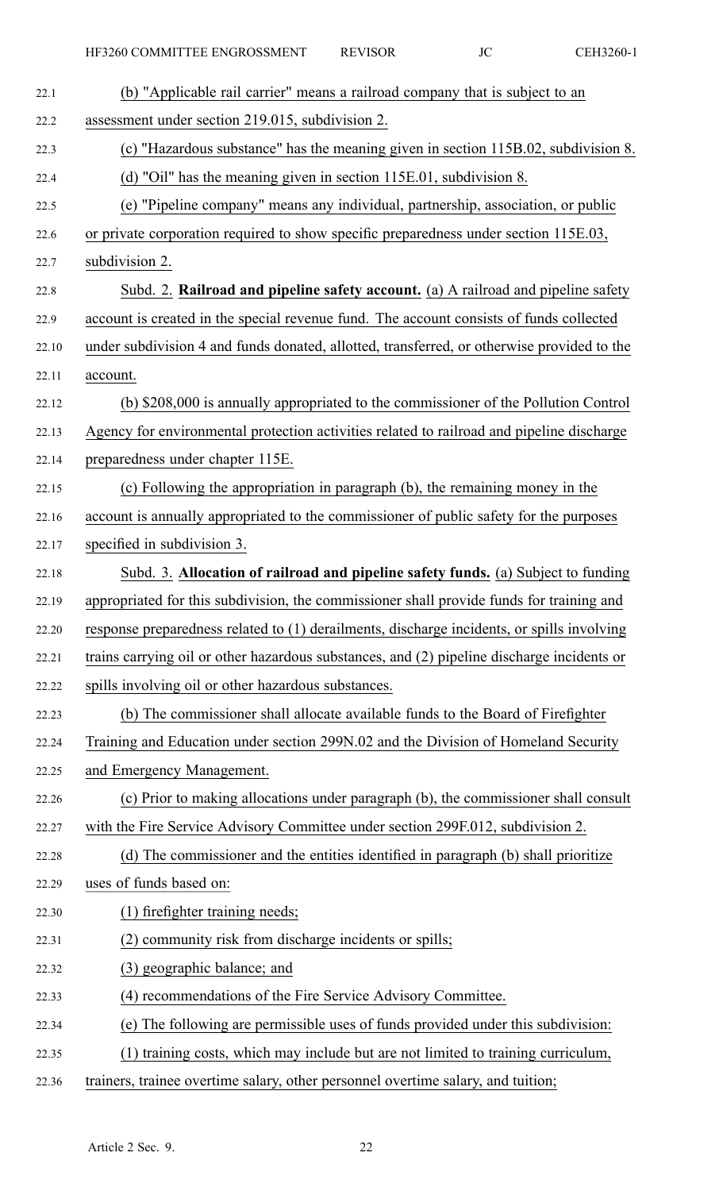| 22.1  | (b) "Applicable rail carrier" means a railroad company that is subject to an               |
|-------|--------------------------------------------------------------------------------------------|
| 22.2  | assessment under section 219.015, subdivision 2.                                           |
| 22.3  | (c) "Hazardous substance" has the meaning given in section 115B.02, subdivision 8.         |
| 22.4  | (d) "Oil" has the meaning given in section 115E.01, subdivision 8.                         |
| 22.5  | (e) "Pipeline company" means any individual, partnership, association, or public           |
| 22.6  | or private corporation required to show specific preparedness under section 115E.03,       |
| 22.7  | subdivision 2.                                                                             |
| 22.8  | Subd. 2. Railroad and pipeline safety account. (a) A railroad and pipeline safety          |
| 22.9  | account is created in the special revenue fund. The account consists of funds collected    |
| 22.10 | under subdivision 4 and funds donated, allotted, transferred, or otherwise provided to the |
| 22.11 | account.                                                                                   |
| 22.12 | (b) \$208,000 is annually appropriated to the commissioner of the Pollution Control        |
| 22.13 | Agency for environmental protection activities related to railroad and pipeline discharge  |
| 22.14 | preparedness under chapter 115E.                                                           |
| 22.15 | (c) Following the appropriation in paragraph (b), the remaining money in the               |
| 22.16 | account is annually appropriated to the commissioner of public safety for the purposes     |
| 22.17 | specified in subdivision 3.                                                                |
| 22.18 | Subd. 3. Allocation of railroad and pipeline safety funds. (a) Subject to funding          |
| 22.19 | appropriated for this subdivision, the commissioner shall provide funds for training and   |
| 22.20 | response preparedness related to (1) derailments, discharge incidents, or spills involving |
| 22.21 | trains carrying oil or other hazardous substances, and (2) pipeline discharge incidents or |
| 22.22 | spills involving oil or other hazardous substances.                                        |
| 22.23 | (b) The commissioner shall allocate available funds to the Board of Firefighter            |
| 22.24 | Training and Education under section 299N.02 and the Division of Homeland Security         |
| 22.25 | and Emergency Management.                                                                  |
| 22.26 | (c) Prior to making allocations under paragraph (b), the commissioner shall consult        |
| 22.27 | with the Fire Service Advisory Committee under section 299F.012, subdivision 2.            |
| 22.28 | (d) The commissioner and the entities identified in paragraph (b) shall prioritize         |
| 22.29 | uses of funds based on:                                                                    |
| 22.30 | (1) firefighter training needs;                                                            |
| 22.31 | (2) community risk from discharge incidents or spills;                                     |
| 22.32 | (3) geographic balance; and                                                                |
| 22.33 | (4) recommendations of the Fire Service Advisory Committee.                                |
| 22.34 | (e) The following are permissible uses of funds provided under this subdivision:           |
| 22.35 | (1) training costs, which may include but are not limited to training curriculum,          |
| 22.36 | trainers, trainee overtime salary, other personnel overtime salary, and tuition;           |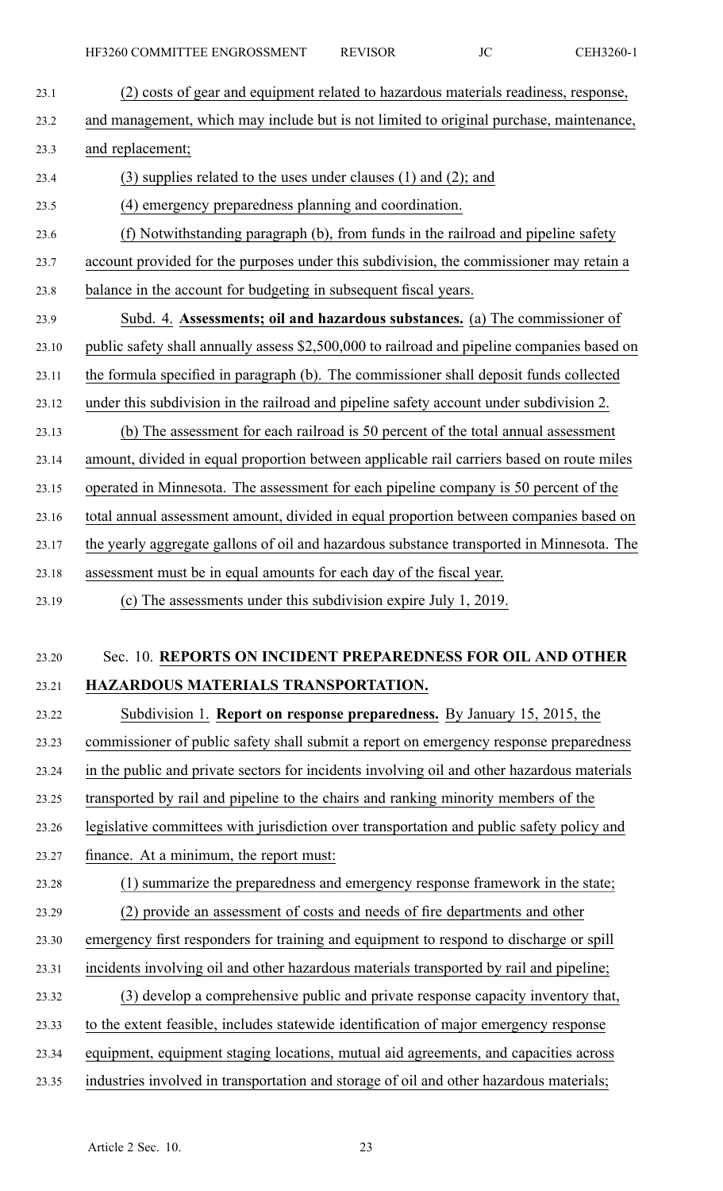23.1 (2) costs of gear and equipment related to hazardous materials readiness, response, 23.2 and management, which may include but is not limited to original purchase, maintenance, 23.3 and replacement; 23.4 (3) supplies related to the uses under clauses (1) and (2); and 23.5 (4) emergency preparedness planning and coordination. 23.6 (f) Notwithstanding paragraph (b), from funds in the railroad and pipeline safety 23.7 account provided for the purposes under this subdivision, the commissioner may retain <sup>a</sup> 23.8 balance in the account for budgeting in subsequent fiscal years. 23.9 Subd. 4. **Assessments; oil and hazardous substances.** (a) The commissioner of 23.10 public safety shall annually assess \$2,500,000 to railroad and pipeline companies based on 23.11 the formula specified in paragraph (b). The commissioner shall deposit funds collected 23.12 under this subdivision in the railroad and pipeline safety account under subdivision 2. 23.13 (b) The assessment for each railroad is 50 percen<sup>t</sup> of the total annual assessment 23.14 amount, divided in equal proportion between applicable rail carriers based on route miles 23.15 operated in Minnesota. The assessment for each pipeline company is 50 percen<sup>t</sup> of the 23.16 total annual assessment amount, divided in equal proportion between companies based on 23.17 the yearly aggregate gallons of oil and hazardous substance transported in Minnesota. The 23.18 assessment must be in equal amounts for each day of the fiscal year. 23.19 (c) The assessments under this subdivision expire July 1, 2019. 23.20 Sec. 10. **REPORTS ON INCIDENT PREPAREDNESS FOR OIL AND OTHER** 23.21 **HAZARDOUS MATERIALS TRANSPORTATION.** 23.22 Subdivision 1. **Report on response preparedness.** By January 15, 2015, the 23.23 commissioner of public safety shall submit <sup>a</sup> repor<sup>t</sup> on emergency response preparedness

23.24 in the public and private sectors for incidents involving oil and other hazardous materials

23.25 transported by rail and pipeline to the chairs and ranking minority members of the

23.26 legislative committees with jurisdiction over transportation and public safety policy and

23.27 finance. At <sup>a</sup> minimum, the repor<sup>t</sup> must:

23.28 (1) summarize the preparedness and emergency response framework in the state; 23.29 (2) provide an assessment of costs and needs of fire departments and other 23.30 emergency first responders for training and equipment to respond to discharge or spill 23.31 incidents involving oil and other hazardous materials transported by rail and pipeline; 23.32 (3) develop <sup>a</sup> comprehensive public and private response capacity inventory that, 23.33 to the extent feasible, includes statewide identification of major emergency response

23.34 equipment, equipment staging locations, mutual aid agreements, and capacities across

23.35 industries involved in transportation and storage of oil and other hazardous materials;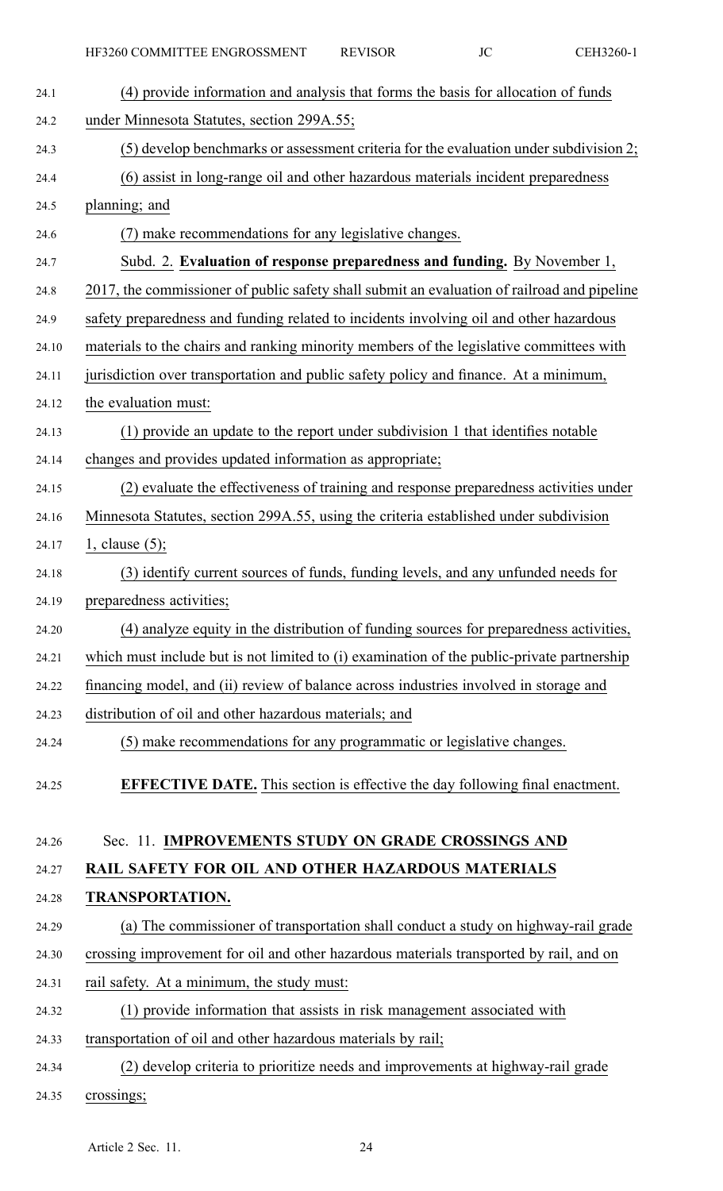| 24.1  | (4) provide information and analysis that forms the basis for allocation of funds           |
|-------|---------------------------------------------------------------------------------------------|
| 24.2  | under Minnesota Statutes, section 299A.55;                                                  |
| 24.3  | (5) develop benchmarks or assessment criteria for the evaluation under subdivision 2;       |
| 24.4  | (6) assist in long-range oil and other hazardous materials incident preparedness            |
| 24.5  | planning; and                                                                               |
| 24.6  | (7) make recommendations for any legislative changes.                                       |
| 24.7  | Subd. 2. Evaluation of response preparedness and funding. By November 1,                    |
| 24.8  | 2017, the commissioner of public safety shall submit an evaluation of railroad and pipeline |
| 24.9  | safety preparedness and funding related to incidents involving oil and other hazardous      |
| 24.10 | materials to the chairs and ranking minority members of the legislative committees with     |
| 24.11 | jurisdiction over transportation and public safety policy and finance. At a minimum,        |
| 24.12 | the evaluation must:                                                                        |
| 24.13 | (1) provide an update to the report under subdivision 1 that identifies notable             |
| 24.14 | changes and provides updated information as appropriate;                                    |
| 24.15 | (2) evaluate the effectiveness of training and response preparedness activities under       |
| 24.16 | Minnesota Statutes, section 299A.55, using the criteria established under subdivision       |
| 24.17 | 1, clause $(5)$ ;                                                                           |
| 24.18 | (3) identify current sources of funds, funding levels, and any unfunded needs for           |
| 24.19 | preparedness activities;                                                                    |
| 24.20 | (4) analyze equity in the distribution of funding sources for preparedness activities,      |
| 24.21 | which must include but is not limited to (i) examination of the public-private partnership  |
| 24.22 | financing model, and (ii) review of balance across industries involved in storage and       |
| 24.23 | distribution of oil and other hazardous materials; and                                      |
| 24.24 | (5) make recommendations for any programmatic or legislative changes.                       |
| 24.25 | <b>EFFECTIVE DATE.</b> This section is effective the day following final enactment.         |
| 24.26 | Sec. 11. IMPROVEMENTS STUDY ON GRADE CROSSINGS AND                                          |
| 24.27 | RAIL SAFETY FOR OIL AND OTHER HAZARDOUS MATERIALS                                           |
| 24.28 | <b>TRANSPORTATION.</b>                                                                      |
| 24.29 | (a) The commissioner of transportation shall conduct a study on highway-rail grade          |
| 24.30 | crossing improvement for oil and other hazardous materials transported by rail, and on      |
| 24.31 | rail safety. At a minimum, the study must:                                                  |
| 24.32 | (1) provide information that assists in risk management associated with                     |
| 24.33 | transportation of oil and other hazardous materials by rail;                                |
| 24.34 | (2) develop criteria to prioritize needs and improvements at highway-rail grade             |
| 24.35 | crossings;                                                                                  |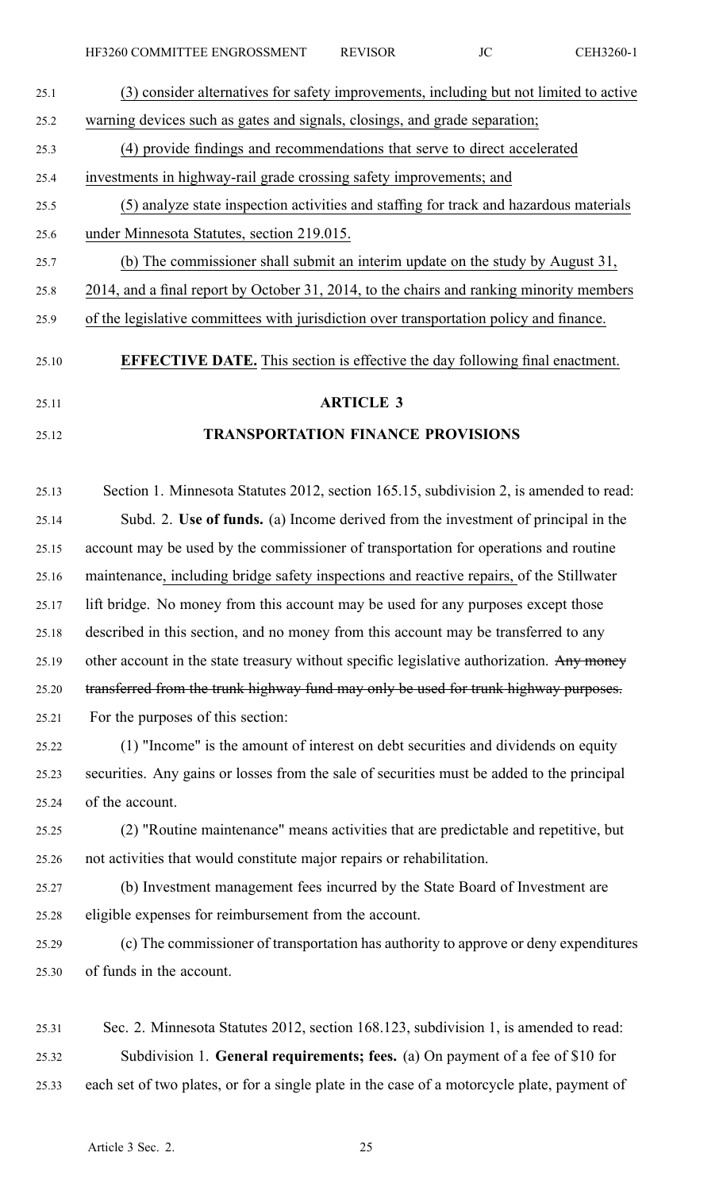| 25.1  | (3) consider alternatives for safety improvements, including but not limited to active     |
|-------|--------------------------------------------------------------------------------------------|
| 25.2  | warning devices such as gates and signals, closings, and grade separation;                 |
| 25.3  | (4) provide findings and recommendations that serve to direct accelerated                  |
| 25.4  | investments in highway-rail grade crossing safety improvements; and                        |
| 25.5  | (5) analyze state inspection activities and staffing for track and hazardous materials     |
| 25.6  | under Minnesota Statutes, section 219.015.                                                 |
| 25.7  | (b) The commissioner shall submit an interim update on the study by August 31,             |
| 25.8  | 2014, and a final report by October 31, 2014, to the chairs and ranking minority members   |
| 25.9  | of the legislative committees with jurisdiction over transportation policy and finance.    |
| 25.10 | <b>EFFECTIVE DATE.</b> This section is effective the day following final enactment.        |
| 25.11 | <b>ARTICLE 3</b>                                                                           |
| 25.12 | <b>TRANSPORTATION FINANCE PROVISIONS</b>                                                   |
|       |                                                                                            |
| 25.13 | Section 1. Minnesota Statutes 2012, section 165.15, subdivision 2, is amended to read:     |
| 25.14 | Subd. 2. Use of funds. (a) Income derived from the investment of principal in the          |
| 25.15 | account may be used by the commissioner of transportation for operations and routine       |
| 25.16 | maintenance, including bridge safety inspections and reactive repairs, of the Stillwater   |
| 25.17 | lift bridge. No money from this account may be used for any purposes except those          |
| 25.18 | described in this section, and no money from this account may be transferred to any        |
| 25.19 | other account in the state treasury without specific legislative authorization. Any money  |
| 25.20 | transferred from the trunk highway fund may only be used for trunk highway purposes.       |
| 25.21 | For the purposes of this section:                                                          |
| 25.22 | (1) "Income" is the amount of interest on debt securities and dividends on equity          |
| 25.23 | securities. Any gains or losses from the sale of securities must be added to the principal |
| 25.24 | of the account.                                                                            |
| 25.25 | (2) "Routine maintenance" means activities that are predictable and repetitive, but        |
| 25.26 | not activities that would constitute major repairs or rehabilitation.                      |
| 25.27 | (b) Investment management fees incurred by the State Board of Investment are               |
| 25.28 | eligible expenses for reimbursement from the account.                                      |
| 25.29 | (c) The commissioner of transportation has authority to approve or deny expenditures       |
| 25.30 | of funds in the account.                                                                   |
|       |                                                                                            |

25.31 Sec. 2. Minnesota Statutes 2012, section 168.123, subdivision 1, is amended to read: 25.32 Subdivision 1. **General requirements; fees.** (a) On paymen<sup>t</sup> of <sup>a</sup> fee of \$10 for 25.33 each set of two plates, or for <sup>a</sup> single plate in the case of <sup>a</sup> motorcycle plate, paymen<sup>t</sup> of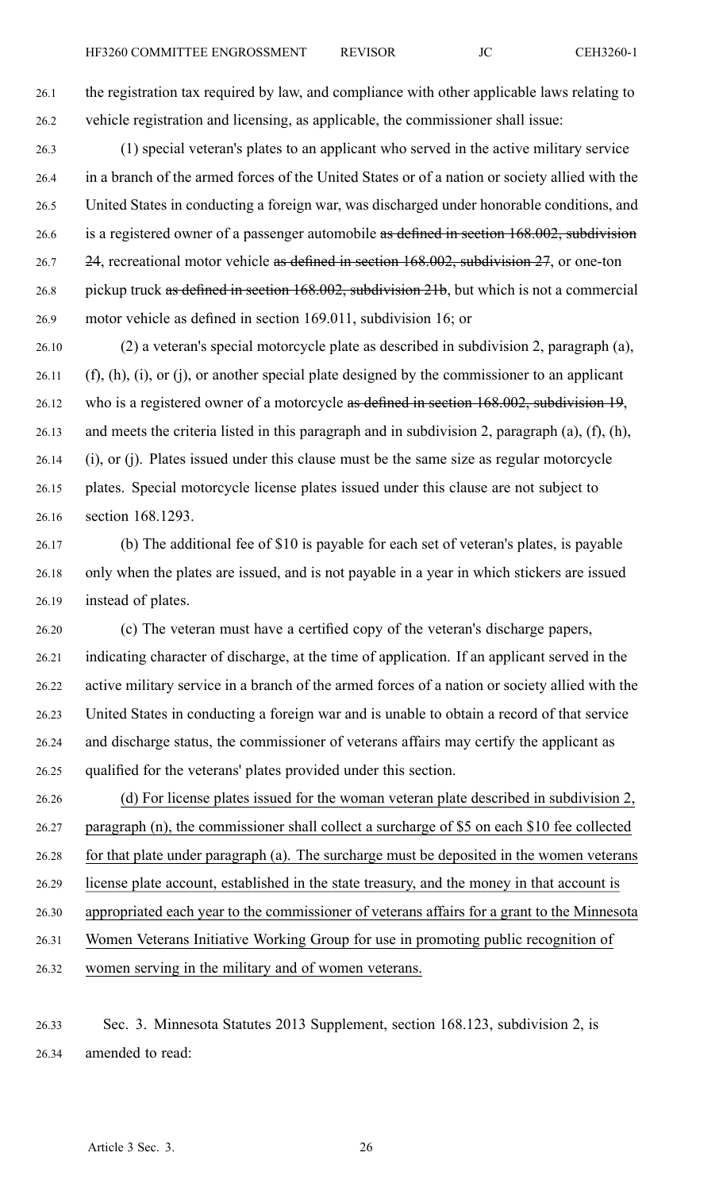26.1 the registration tax required by law, and compliance with other applicable laws relating to 26.2 vehicle registration and licensing, as applicable, the commissioner shall issue:

- 26.3 (1) special veteran's plates to an applicant who served in the active military service 26.4 in <sup>a</sup> branch of the armed forces of the United States or of <sup>a</sup> nation or society allied with the 26.5 United States in conducting <sup>a</sup> foreign war, was discharged under honorable conditions, and 26.6 is a registered owner of a passenger automobile as defined in section 168.002, subdivision 26.7 24, recreational motor vehicle as defined in section 168.002, subdivision 27, or one-ton 26.8 pickup truck as defined in section 168.002, subdivision 21b, but which is not <sup>a</sup> commercial 26.9 motor vehicle as defined in section 169.011, subdivision 16; or
- 26.10 (2) <sup>a</sup> veteran's special motorcycle plate as described in subdivision 2, paragraph (a), 26.11 (f), (h), (i), or (j), or another special plate designed by the commissioner to an applicant 26.12 who is a registered owner of a motorcycle as defined in section 168.002, subdivision 19, 26.13 and meets the criteria listed in this paragraph and in subdivision 2, paragraph (a), (f), (h), 26.14 (i), or (j). Plates issued under this clause must be the same size as regular motorcycle 26.15 plates. Special motorcycle license plates issued under this clause are not subject to 26.16 section 168.1293.
- 26.17 (b) The additional fee of \$10 is payable for each set of veteran's plates, is payable 26.18 only when the plates are issued, and is not payable in <sup>a</sup> year in which stickers are issued 26.19 instead of plates.
- 26.20 (c) The veteran must have <sup>a</sup> certified copy of the veteran's discharge papers, 26.21 indicating character of discharge, at the time of application. If an applicant served in the 26.22 active military service in <sup>a</sup> branch of the armed forces of <sup>a</sup> nation or society allied with the 26.23 United States in conducting <sup>a</sup> foreign war and is unable to obtain <sup>a</sup> record of that service 26.24 and discharge status, the commissioner of veterans affairs may certify the applicant as 26.25 qualified for the veterans' plates provided under this section.
- 26.26 (d) For license plates issued for the woman veteran plate described in subdivision 2, 26.27 paragraph (n), the commissioner shall collect <sup>a</sup> surcharge of \$5 on each \$10 fee collected 26.28 for that plate under paragraph (a). The surcharge must be deposited in the women veterans 26.29 license plate account, established in the state treasury, and the money in that account is 26.30 appropriated each year to the commissioner of veterans affairs for <sup>a</sup> gran<sup>t</sup> to the Minnesota 26.31 Women Veterans Initiative Working Group for use in promoting public recognition of 26.32 women serving in the military and of women veterans.
- 26.33 Sec. 3. Minnesota Statutes 2013 Supplement, section 168.123, subdivision 2, is 26.34 amended to read: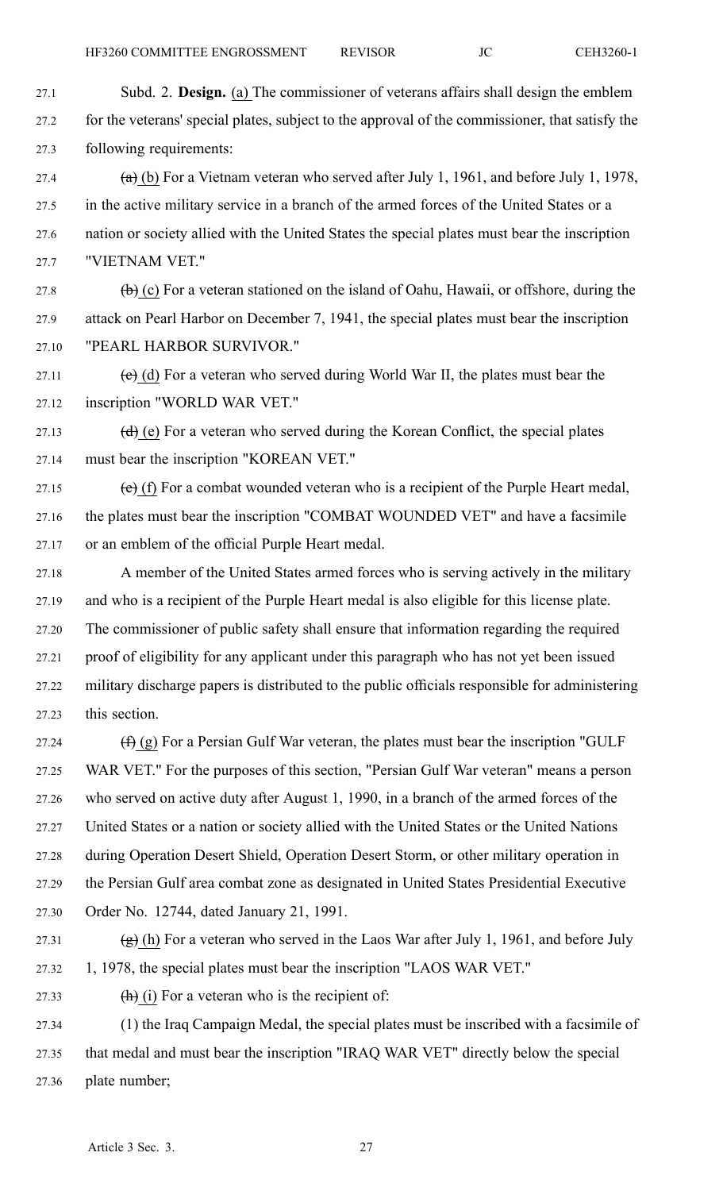27.1 Subd. 2. **Design.** (a) The commissioner of veterans affairs shall design the emblem 27.2 for the veterans' special plates, subject to the approval of the commissioner, that satisfy the 27.3 following requirements:

27.4 (a) (b) For a Vietnam veteran who served after July 1, 1961, and before July 1, 1978, 27.5 in the active military service in <sup>a</sup> branch of the armed forces of the United States or <sup>a</sup> 27.6 nation or society allied with the United States the special plates must bear the inscription 27.7 "VIETNAM VET."

27.8 (b) (c) For a veteran stationed on the island of Oahu, Hawaii, or offshore, during the 27.9 attack on Pearl Harbor on December 7, 1941, the special plates must bear the inscription 27.10 "PEARL HARBOR SURVIVOR."

27.11 (e) (d) For a veteran who served during World War II, the plates must bear the 27.12 inscription "WORLD WAR VET."

27.13  $(d)$  (e) For a veteran who served during the Korean Conflict, the special plates 27.14 must bear the inscription "KOREAN VET."

27.15 (e) (f) For a combat wounded veteran who is a recipient of the Purple Heart medal, 27.16 the plates must bear the inscription "COMBAT WOUNDED VET" and have <sup>a</sup> facsimile 27.17 or an emblem of the official Purple Heart medal.

27.18 A member of the United States armed forces who is serving actively in the military 27.19 and who is <sup>a</sup> recipient of the Purple Heart medal is also eligible for this license plate. 27.20 The commissioner of public safety shall ensure that information regarding the required 27.21 proof of eligibility for any applicant under this paragraph who has not ye<sup>t</sup> been issued 27.22 military discharge papers is distributed to the public officials responsible for administering 27.23 this section.

27.24  $(f)$  (g) For a Persian Gulf War veteran, the plates must bear the inscription "GULF 27.25 WAR VET." For the purposes of this section, "Persian Gulf War veteran" means <sup>a</sup> person 27.26 who served on active duty after August 1, 1990, in <sup>a</sup> branch of the armed forces of the 27.27 United States or <sup>a</sup> nation or society allied with the United States or the United Nations 27.28 during Operation Desert Shield, Operation Desert Storm, or other military operation in 27.29 the Persian Gulf area combat zone as designated in United States Presidential Executive 27.30 Order No. 12744, dated January 21, 1991.

27.31 (g) (h) For a veteran who served in the Laos War after July 1, 1961, and before July 27.32 1, 1978, the special plates must bear the inscription "LAOS WAR VET."

27.33  $(h)$  (i) For a veteran who is the recipient of:

27.34 (1) the Iraq Campaign Medal, the special plates must be inscribed with <sup>a</sup> facsimile of 27.35 that medal and must bear the inscription "IRAQ WAR VET" directly below the special 27.36 plate number;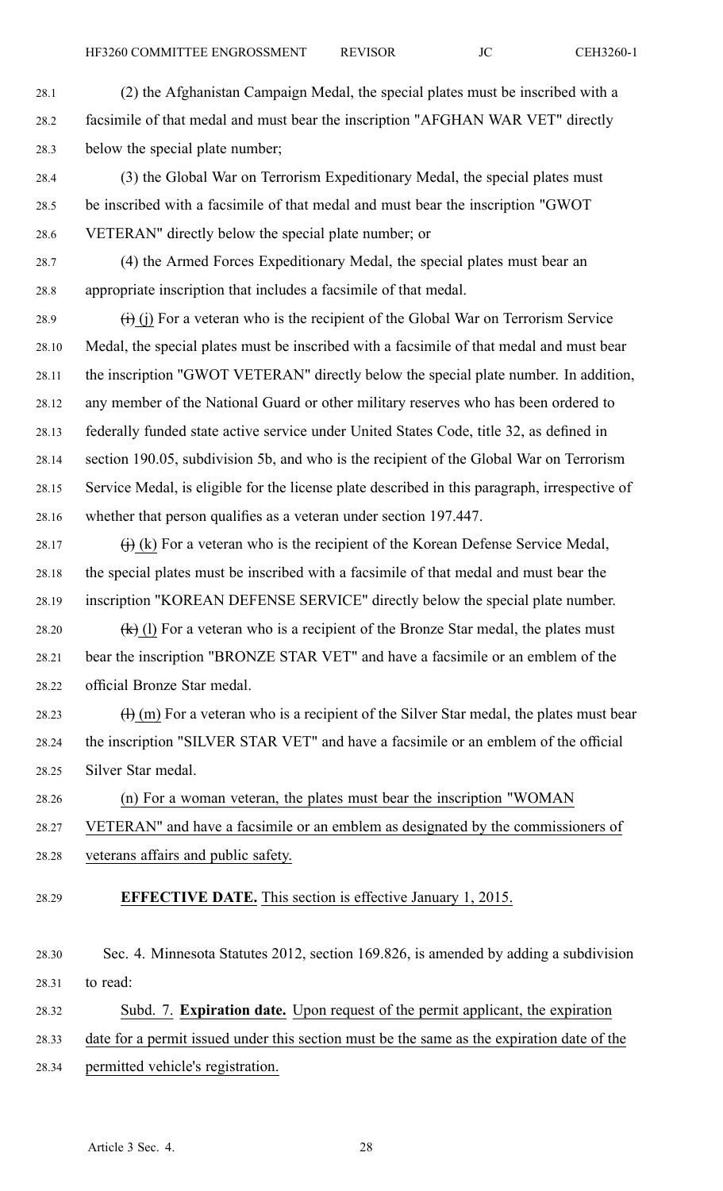28.1 (2) the Afghanistan Campaign Medal, the special plates must be inscribed with <sup>a</sup> 28.2 facsimile of that medal and must bear the inscription "AFGHAN WAR VET" directly 28.3 below the special plate number;

- 28.4 (3) the Global War on Terrorism Expeditionary Medal, the special plates must 28.5 be inscribed with <sup>a</sup> facsimile of that medal and must bear the inscription "GWOT 28.6 VETERAN" directly below the special plate number; or
- 28.7 (4) the Armed Forces Expeditionary Medal, the special plates must bear an 28.8 appropriate inscription that includes <sup>a</sup> facsimile of that medal.
- 28.9  $(i)$  (i) For a veteran who is the recipient of the Global War on Terrorism Service 28.10 Medal, the special plates must be inscribed with <sup>a</sup> facsimile of that medal and must bear 28.11 the inscription "GWOT VETERAN" directly below the special plate number. In addition, 28.12 any member of the National Guard or other military reserves who has been ordered to 28.13 federally funded state active service under United States Code, title 32, as defined in 28.14 section 190.05, subdivision 5b, and who is the recipient of the Global War on Terrorism 28.15 Service Medal, is eligible for the license plate described in this paragraph, irrespective of 28.16 whether that person qualifies as <sup>a</sup> veteran under section 197.447.
- 28.17  $\qquad (i)$  (k) For a veteran who is the recipient of the Korean Defense Service Medal, 28.18 the special plates must be inscribed with <sup>a</sup> facsimile of that medal and must bear the 28.19 inscription "KOREAN DEFENSE SERVICE" directly below the special plate number.
- 28.20  $(k)$  (l) For a veteran who is a recipient of the Bronze Star medal, the plates must 28.21 bear the inscription "BRONZE STAR VET" and have <sup>a</sup> facsimile or an emblem of the 28.22 official Bronze Star medal.
- 28.23  $\text{(H)}$  (m) For a veteran who is a recipient of the Silver Star medal, the plates must bear 28.24 the inscription "SILVER STAR VET" and have <sup>a</sup> facsimile or an emblem of the official 28.25 Silver Star medal.
- 28.26 (n) For <sup>a</sup> woman veteran, the plates must bear the inscription "WOMAN
- 28.27 VETERAN" and have <sup>a</sup> facsimile or an emblem as designated by the commissioners of
- 28.28 veterans affairs and public safety.
- 28.29 **EFFECTIVE DATE.** This section is effective January 1, 2015.
- 28.30 Sec. 4. Minnesota Statutes 2012, section 169.826, is amended by adding <sup>a</sup> subdivision 28.31 to read:
- 28.32 Subd. 7. **Expiration date.** Upon reques<sup>t</sup> of the permit applicant, the expiration
- 28.33 date for <sup>a</sup> permit issued under this section must be the same as the expiration date of the
- 28.34 permitted vehicle's registration.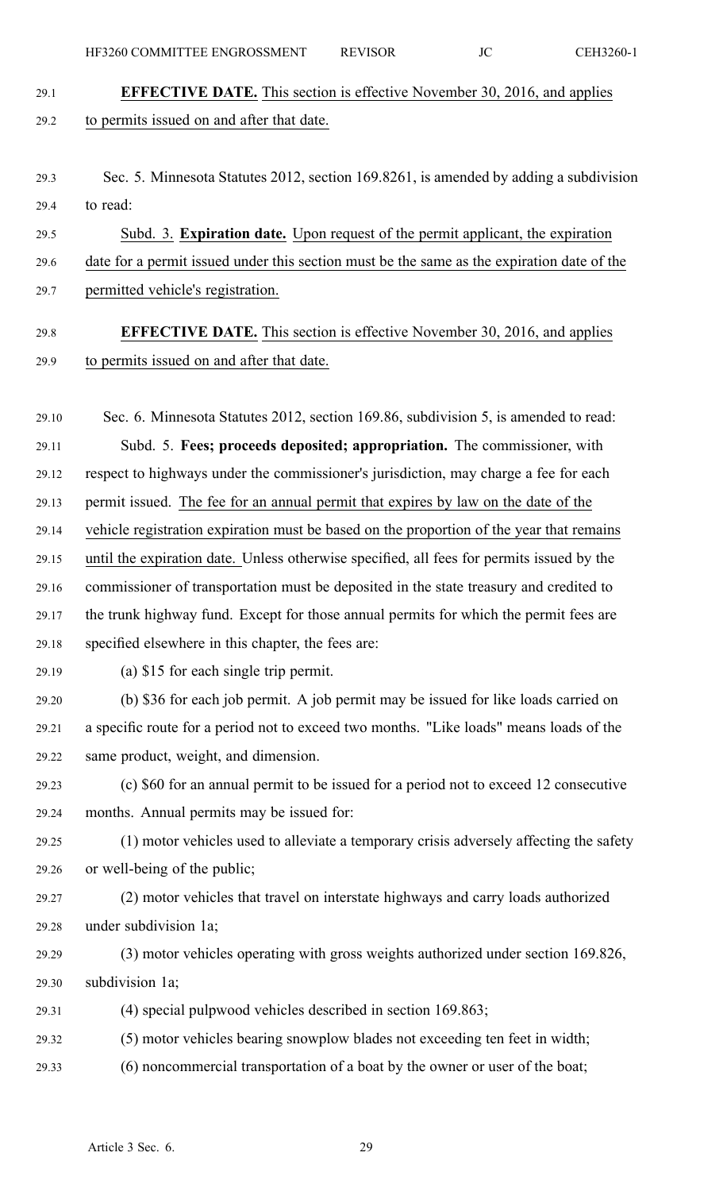- 29.1 **EFFECTIVE DATE.** This section is effective November 30, 2016, and applies 29.2 to permits issued on and after that date.
- 29.3 Sec. 5. Minnesota Statutes 2012, section 169.8261, is amended by adding <sup>a</sup> subdivision 29.4 to read:

29.5 Subd. 3. **Expiration date.** Upon reques<sup>t</sup> of the permit applicant, the expiration 29.6 date for <sup>a</sup> permit issued under this section must be the same as the expiration date of the 29.7 permitted vehicle's registration.

### 29.8 **EFFECTIVE DATE.** This section is effective November 30, 2016, and applies 29.9 to permits issued on and after that date.

29.10 Sec. 6. Minnesota Statutes 2012, section 169.86, subdivision 5, is amended to read: 29.11 Subd. 5. **Fees; proceeds deposited; appropriation.** The commissioner, with 29.12 respec<sup>t</sup> to highways under the commissioner's jurisdiction, may charge <sup>a</sup> fee for each 29.13 permit issued. The fee for an annual permit that expires by law on the date of the 29.14 vehicle registration expiration must be based on the proportion of the year that remains 29.15 until the expiration date. Unless otherwise specified, all fees for permits issued by the 29.16 commissioner of transportation must be deposited in the state treasury and credited to 29.17 the trunk highway fund. Except for those annual permits for which the permit fees are 29.18 specified elsewhere in this chapter, the fees are: 29.19 (a) \$15 for each single trip permit. 29.20 (b) \$36 for each job permit. A job permit may be issued for like loads carried on

29.21 <sup>a</sup> specific route for <sup>a</sup> period not to exceed two months. "Like loads" means loads of the 29.22 same product, weight, and dimension.

29.23 (c) \$60 for an annual permit to be issued for <sup>a</sup> period not to exceed 12 consecutive 29.24 months. Annual permits may be issued for:

29.25 (1) motor vehicles used to alleviate <sup>a</sup> temporary crisis adversely affecting the safety 29.26 or well-being of the public;

- 29.27 (2) motor vehicles that travel on interstate highways and carry loads authorized 29.28 under subdivision 1a;
- 29.29 (3) motor vehicles operating with gross weights authorized under section 169.826, 29.30 subdivision 1a;
- 29.31 (4) special pulpwood vehicles described in section 169.863;
- 29.32 (5) motor vehicles bearing snowplow blades not exceeding ten feet in width;
- 29.33 (6) noncommercial transportation of <sup>a</sup> boat by the owner or user of the boat;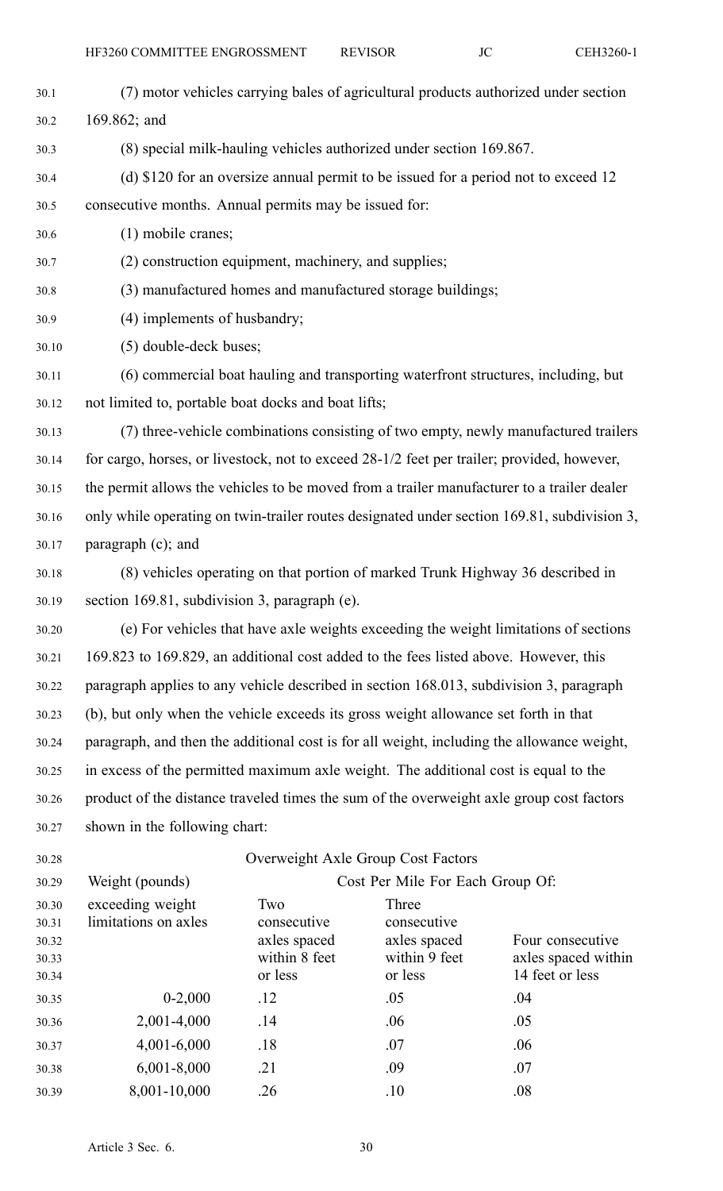| 30.1  | (7) motor vehicles carrying bales of agricultural products authorized under section         |                                    |                                                            |                                                                                     |  |
|-------|---------------------------------------------------------------------------------------------|------------------------------------|------------------------------------------------------------|-------------------------------------------------------------------------------------|--|
| 30.2  | 169.862; and                                                                                |                                    |                                                            |                                                                                     |  |
| 30.3  | (8) special milk-hauling vehicles authorized under section 169.867.                         |                                    |                                                            |                                                                                     |  |
| 30.4  |                                                                                             |                                    |                                                            | (d) \$120 for an oversize annual permit to be issued for a period not to exceed 12  |  |
| 30.5  | consecutive months. Annual permits may be issued for:                                       |                                    |                                                            |                                                                                     |  |
| 30.6  | $(1)$ mobile cranes;                                                                        |                                    |                                                            |                                                                                     |  |
| 30.7  | (2) construction equipment, machinery, and supplies;                                        |                                    |                                                            |                                                                                     |  |
| 30.8  |                                                                                             |                                    | (3) manufactured homes and manufactured storage buildings; |                                                                                     |  |
| 30.9  | (4) implements of husbandry;                                                                |                                    |                                                            |                                                                                     |  |
| 30.10 | (5) double-deck buses;                                                                      |                                    |                                                            |                                                                                     |  |
| 30.11 |                                                                                             |                                    |                                                            | (6) commercial boat hauling and transporting waterfront structures, including, but  |  |
| 30.12 | not limited to, portable boat docks and boat lifts;                                         |                                    |                                                            |                                                                                     |  |
| 30.13 |                                                                                             |                                    |                                                            | (7) three-vehicle combinations consisting of two empty, newly manufactured trailers |  |
| 30.14 | for cargo, horses, or livestock, not to exceed 28-1/2 feet per trailer; provided, however,  |                                    |                                                            |                                                                                     |  |
| 30.15 | the permit allows the vehicles to be moved from a trailer manufacturer to a trailer dealer  |                                    |                                                            |                                                                                     |  |
| 30.16 | only while operating on twin-trailer routes designated under section 169.81, subdivision 3, |                                    |                                                            |                                                                                     |  |
| 30.17 | paragraph (c); and                                                                          |                                    |                                                            |                                                                                     |  |
| 30.18 | (8) vehicles operating on that portion of marked Trunk Highway 36 described in              |                                    |                                                            |                                                                                     |  |
| 30.19 | section 169.81, subdivision 3, paragraph (e).                                               |                                    |                                                            |                                                                                     |  |
| 30.20 | (e) For vehicles that have axle weights exceeding the weight limitations of sections        |                                    |                                                            |                                                                                     |  |
| 30.21 | 169.823 to 169.829, an additional cost added to the fees listed above. However, this        |                                    |                                                            |                                                                                     |  |
| 30.22 | paragraph applies to any vehicle described in section 168.013, subdivision 3, paragraph     |                                    |                                                            |                                                                                     |  |
| 30.23 | (b), but only when the vehicle exceeds its gross weight allowance set forth in that         |                                    |                                                            |                                                                                     |  |
| 30.24 | paragraph, and then the additional cost is for all weight, including the allowance weight,  |                                    |                                                            |                                                                                     |  |
| 30.25 | in excess of the permitted maximum axle weight. The additional cost is equal to the         |                                    |                                                            |                                                                                     |  |
| 30.26 | product of the distance traveled times the sum of the overweight axle group cost factors    |                                    |                                                            |                                                                                     |  |
| 30.27 | shown in the following chart:                                                               |                                    |                                                            |                                                                                     |  |
| 30.28 |                                                                                             | Overweight Axle Group Cost Factors |                                                            |                                                                                     |  |
| 30.29 | Weight (pounds)                                                                             |                                    | Cost Per Mile For Each Group Of:                           |                                                                                     |  |
| 30.30 | exceeding weight                                                                            | Two                                | Three                                                      |                                                                                     |  |
| 30.31 | limitations on axles                                                                        | consecutive                        | consecutive                                                |                                                                                     |  |
| 30.32 |                                                                                             | axles spaced                       | axles spaced                                               | Four consecutive                                                                    |  |

axles spaced within

14 feet or less

within 8 feet 30.33 within 9 feet

30.35 0-2,000 .12 .05 .04

30.36 2,001-4,000 .14 .06 .05

30.37 4,001-6,000 .18 .07 .06 30.38 6,001-8,000 .21 .09 .07 30.39 8,001-10,000 .26 .10 .08

or less 30.34 or less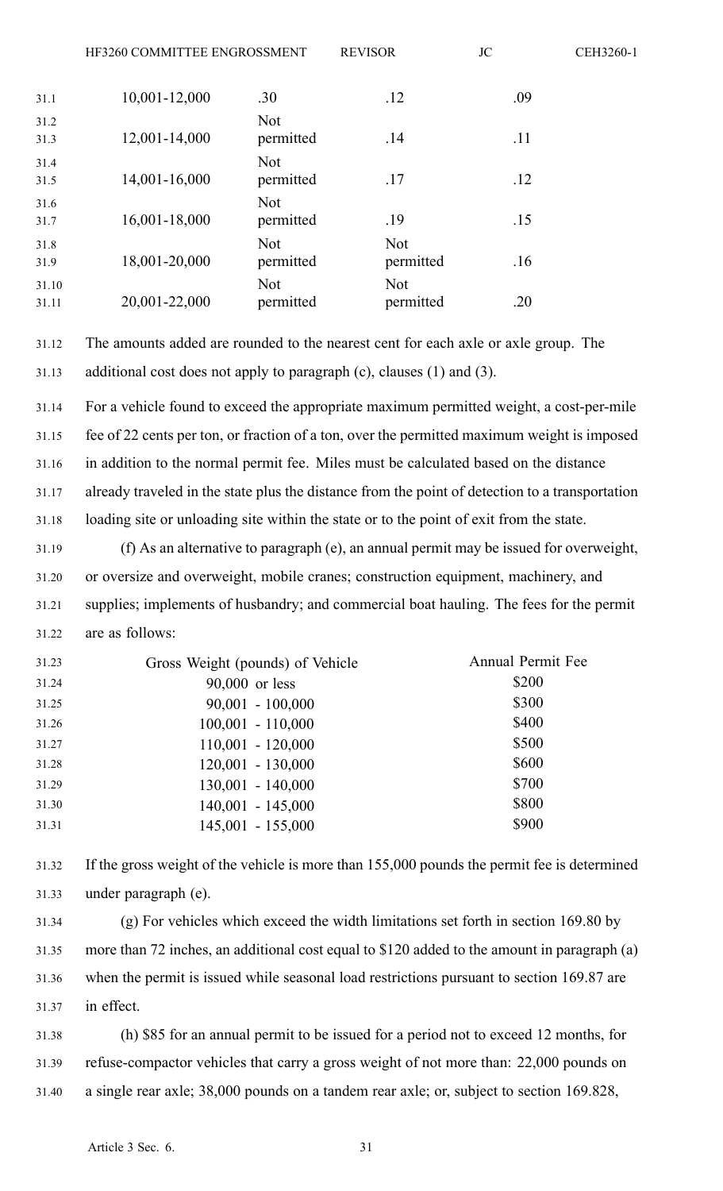| 31.1           | 10,001-12,000 | .30                     | .12                     | .09 |
|----------------|---------------|-------------------------|-------------------------|-----|
| 31.2<br>31.3   | 12,001-14,000 | <b>Not</b><br>permitted | .14                     | .11 |
| 31.4<br>31.5   | 14,001-16,000 | <b>Not</b><br>permitted | .17                     | .12 |
| 31.6<br>31.7   | 16,001-18,000 | <b>Not</b><br>permitted | .19                     | .15 |
| 31.8<br>31.9   | 18,001-20,000 | <b>Not</b><br>permitted | <b>Not</b><br>permitted | .16 |
| 31.10<br>31.11 | 20,001-22,000 | <b>Not</b><br>permitted | <b>Not</b><br>permitted | .20 |

31.12 The amounts added are rounded to the nearest cent for each axle or axle group. The 31.13 additional cost does not apply to paragraph (c), clauses (1) and (3).

31.14 For <sup>a</sup> vehicle found to exceed the appropriate maximum permitted weight, <sup>a</sup> cost-per-mile 31.15 fee of 22 cents per ton, or fraction of <sup>a</sup> ton, over the permitted maximum weight is imposed 31.16 in addition to the normal permit fee. Miles must be calculated based on the distance 31.17 already traveled in the state plus the distance from the point of detection to <sup>a</sup> transportation 31.18 loading site or unloading site within the state or to the point of exit from the state.

31.19 (f) As an alternative to paragraph (e), an annual permit may be issued for overweight, 31.20 or oversize and overweight, mobile cranes; construction equipment, machinery, and 31.21 supplies; implements of husbandry; and commercial boat hauling. The fees for the permit 31.22 are as follows:

| 31.23 | Gross Weight (pounds) of Vehicle | Annual Permit Fee |
|-------|----------------------------------|-------------------|
| 31.24 | 90,000 or less                   | \$200             |
| 31.25 | $90,001 - 100,000$               | \$300             |
| 31.26 | $100,001 - 110,000$              | \$400             |
| 31.27 | $110,001 - 120,000$              | \$500             |
| 31.28 | $120,001 - 130,000$              | \$600             |
| 31.29 | $130,001 - 140,000$              | \$700             |
| 31.30 | $140,001 - 145,000$              | \$800             |
| 31.31 | $145,001 - 155,000$              | \$900             |
|       |                                  |                   |

31.32 If the gross weight of the vehicle is more than 155,000 pounds the permit fee is determined 31.33 under paragraph (e).

31.34 (g) For vehicles which exceed the width limitations set forth in section 169.80 by 31.35 more than 72 inches, an additional cost equal to \$120 added to the amount in paragraph (a) 31.36 when the permit is issued while seasonal load restrictions pursuan<sup>t</sup> to section 169.87 are 31.37 in effect.

31.38 (h) \$85 for an annual permit to be issued for <sup>a</sup> period not to exceed 12 months, for 31.39 refuse-compactor vehicles that carry <sup>a</sup> gross weight of not more than: 22,000 pounds on 31.40 <sup>a</sup> single rear axle; 38,000 pounds on <sup>a</sup> tandem rear axle; or, subject to section 169.828,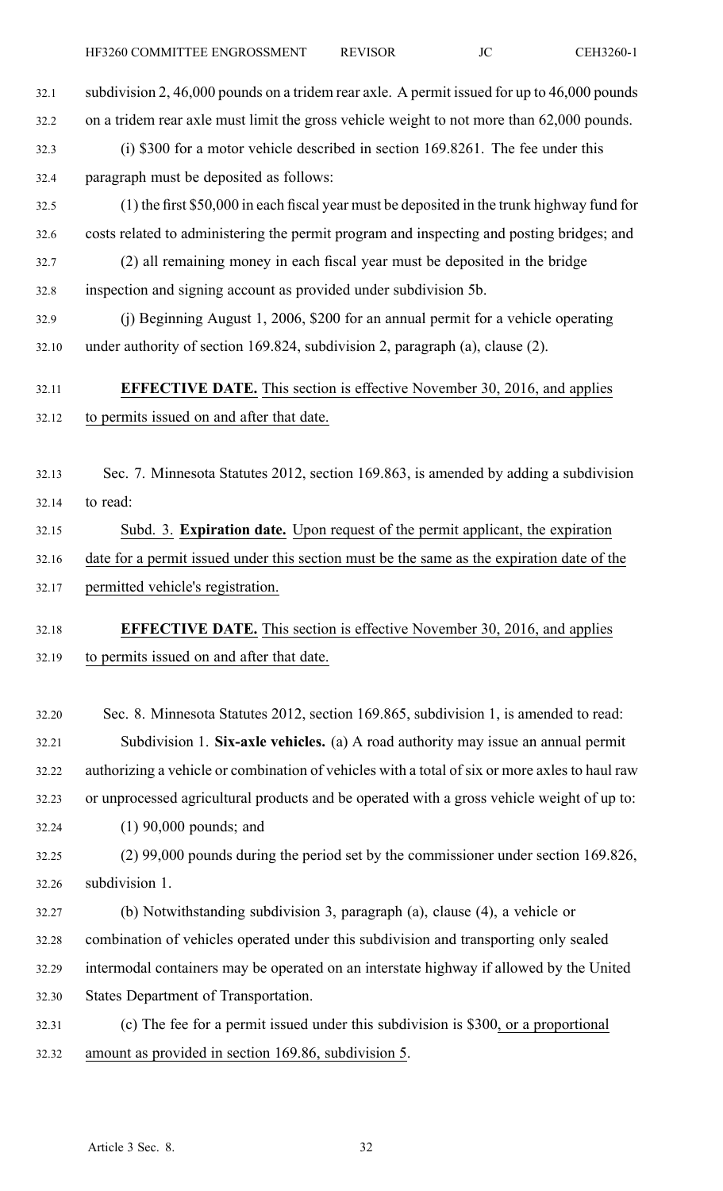- 32.3 (i) \$300 for <sup>a</sup> motor vehicle described in section 169.8261. The fee under this 32.4 paragraph must be deposited as follows:
- 32.5 (1) the first \$50,000 in each fiscal year must be deposited in the trunk highway fund for 32.6 costs related to administering the permit program and inspecting and posting bridges; and
- 32.7 (2) all remaining money in each fiscal year must be deposited in the bridge 32.8 inspection and signing account as provided under subdivision 5b.
- 32.9 (j) Beginning August 1, 2006, \$200 for an annual permit for <sup>a</sup> vehicle operating 32.10 under authority of section 169.824, subdivision 2, paragraph (a), clause (2).

## 32.11 **EFFECTIVE DATE.** This section is effective November 30, 2016, and applies 32.12 to permits issued on and after that date.

- 32.13 Sec. 7. Minnesota Statutes 2012, section 169.863, is amended by adding <sup>a</sup> subdivision 32.14 to read:
- 32.15 Subd. 3. **Expiration date.** Upon reques<sup>t</sup> of the permit applicant, the expiration 32.16 date for <sup>a</sup> permit issued under this section must be the same as the expiration date of the 32.17 permitted vehicle's registration.

## 32.18 **EFFECTIVE DATE.** This section is effective November 30, 2016, and applies 32.19 to permits issued on and after that date.

- 32.20 Sec. 8. Minnesota Statutes 2012, section 169.865, subdivision 1, is amended to read: 32.21 Subdivision 1. **Six-axle vehicles.** (a) A road authority may issue an annual permit 32.22 authorizing <sup>a</sup> vehicle or combination of vehicles with <sup>a</sup> total of six or more axles to haul raw 32.23 or unprocessed agricultural products and be operated with <sup>a</sup> gross vehicle weight of up to:
- 32.24 (1) 90,000 pounds; and
- 32.25 (2) 99,000 pounds during the period set by the commissioner under section 169.826, 32.26 subdivision 1.
- 32.27 (b) Notwithstanding subdivision 3, paragraph (a), clause (4), <sup>a</sup> vehicle or 32.28 combination of vehicles operated under this subdivision and transporting only sealed 32.29 intermodal containers may be operated on an interstate highway if allowed by the United 32.30 States Department of Transportation.
- 32.31 (c) The fee for <sup>a</sup> permit issued under this subdivision is \$300, or <sup>a</sup> proportional 32.32 amount as provided in section 169.86, subdivision 5.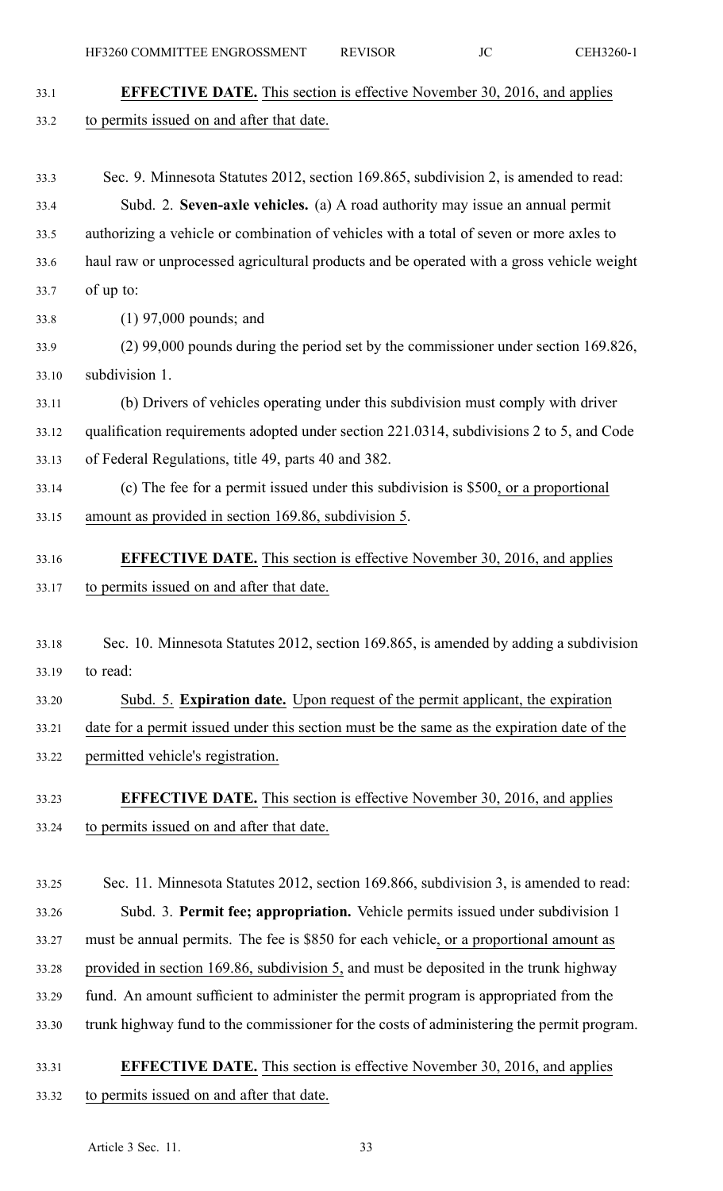| 33.1  | <b>EFFECTIVE DATE.</b> This section is effective November 30, 2016, and applies            |
|-------|--------------------------------------------------------------------------------------------|
| 33.2  | to permits issued on and after that date.                                                  |
|       |                                                                                            |
| 33.3  | Sec. 9. Minnesota Statutes 2012, section 169.865, subdivision 2, is amended to read:       |
| 33.4  | Subd. 2. Seven-axle vehicles. (a) A road authority may issue an annual permit              |
| 33.5  | authorizing a vehicle or combination of vehicles with a total of seven or more axles to    |
| 33.6  | haul raw or unprocessed agricultural products and be operated with a gross vehicle weight  |
| 33.7  | of up to:                                                                                  |
| 33.8  | $(1)$ 97,000 pounds; and                                                                   |
| 33.9  | $(2)$ 99,000 pounds during the period set by the commissioner under section 169.826,       |
| 33.10 | subdivision 1.                                                                             |
| 33.11 | (b) Drivers of vehicles operating under this subdivision must comply with driver           |
| 33.12 | qualification requirements adopted under section 221.0314, subdivisions 2 to 5, and Code   |
| 33.13 | of Federal Regulations, title 49, parts 40 and 382.                                        |
| 33.14 | (c) The fee for a permit issued under this subdivision is \$500, or a proportional         |
| 33.15 | amount as provided in section 169.86, subdivision 5.                                       |
| 33.16 | <b>EFFECTIVE DATE.</b> This section is effective November 30, 2016, and applies            |
| 33.17 | to permits issued on and after that date.                                                  |
|       |                                                                                            |
| 33.18 | Sec. 10. Minnesota Statutes 2012, section 169.865, is amended by adding a subdivision      |
| 33.19 | to read:                                                                                   |
| 33.20 | Subd. 5. Expiration date. Upon request of the permit applicant, the expiration             |
| 33.21 | date for a permit issued under this section must be the same as the expiration date of the |
| 33.22 | permitted vehicle's registration.                                                          |
| 33.23 | <b>EFFECTIVE DATE.</b> This section is effective November 30, 2016, and applies            |
| 33.24 | to permits issued on and after that date.                                                  |
|       |                                                                                            |
| 33.25 | Sec. 11. Minnesota Statutes 2012, section 169.866, subdivision 3, is amended to read:      |
| 33.26 | Subd. 3. Permit fee; appropriation. Vehicle permits issued under subdivision 1             |
| 33.27 | must be annual permits. The fee is \$850 for each vehicle, or a proportional amount as     |
| 33.28 | provided in section 169.86, subdivision 5, and must be deposited in the trunk highway      |
| 33.29 | fund. An amount sufficient to administer the permit program is appropriated from the       |
| 33.30 | trunk highway fund to the commissioner for the costs of administering the permit program.  |
|       |                                                                                            |

# 33.31 **EFFECTIVE DATE.** This section is effective November 30, 2016, and applies 33.32 to permits issued on and after that date.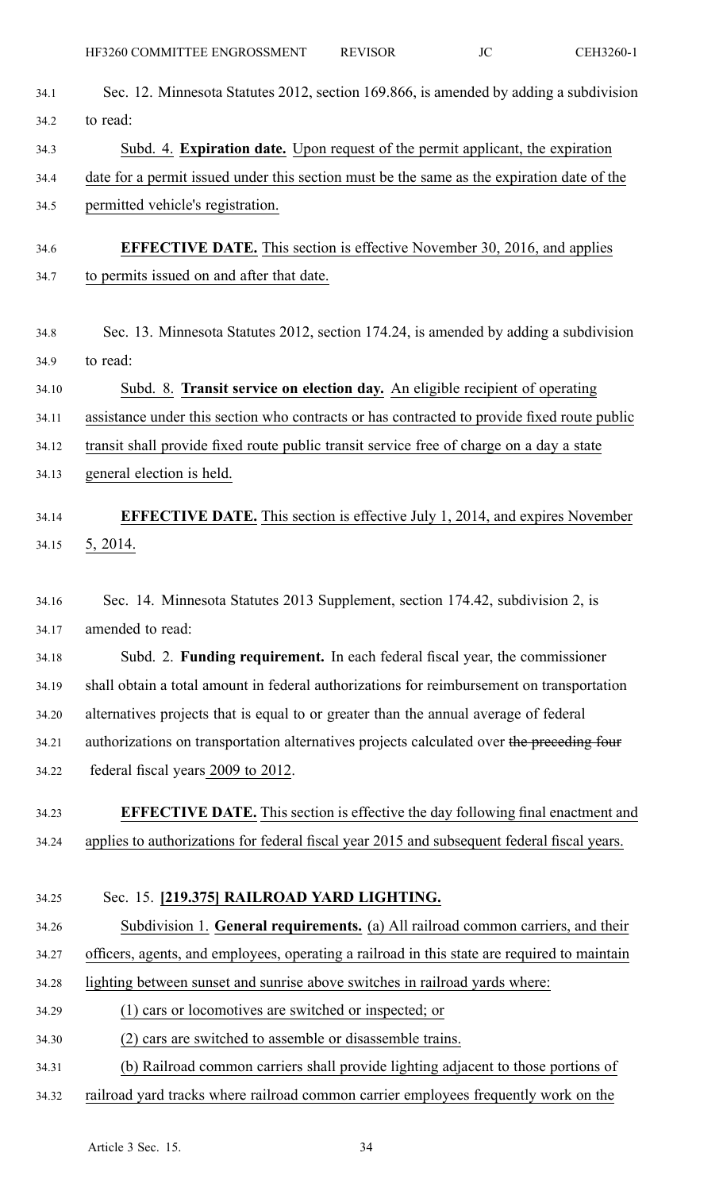| 34.1  | Sec. 12. Minnesota Statutes 2012, section 169.866, is amended by adding a subdivision        |
|-------|----------------------------------------------------------------------------------------------|
| 34.2  | to read:                                                                                     |
| 34.3  | Subd. 4. Expiration date. Upon request of the permit applicant, the expiration               |
| 34.4  | date for a permit issued under this section must be the same as the expiration date of the   |
| 34.5  | permitted vehicle's registration.                                                            |
| 34.6  | <b>EFFECTIVE DATE.</b> This section is effective November 30, 2016, and applies              |
| 34.7  | to permits issued on and after that date.                                                    |
| 34.8  | Sec. 13. Minnesota Statutes 2012, section 174.24, is amended by adding a subdivision         |
| 34.9  | to read:                                                                                     |
| 34.10 | Subd. 8. Transit service on election day. An eligible recipient of operating                 |
| 34.11 | assistance under this section who contracts or has contracted to provide fixed route public  |
| 34.12 | transit shall provide fixed route public transit service free of charge on a day a state     |
| 34.13 | general election is held.                                                                    |
| 34.14 | <b>EFFECTIVE DATE.</b> This section is effective July 1, 2014, and expires November          |
| 34.15 | 5, 2014.                                                                                     |
| 34.16 | Sec. 14. Minnesota Statutes 2013 Supplement, section 174.42, subdivision 2, is               |
| 34.17 | amended to read:                                                                             |
| 34.18 | Subd. 2. Funding requirement. In each federal fiscal year, the commissioner                  |
| 34.19 | shall obtain a total amount in federal authorizations for reimbursement on transportation    |
| 34.20 | alternatives projects that is equal to or greater than the annual average of federal         |
| 34.21 | authorizations on transportation alternatives projects calculated over the preceding four    |
| 34.22 | federal fiscal years 2009 to 2012.                                                           |
| 34.23 | <b>EFFECTIVE DATE.</b> This section is effective the day following final enactment and       |
| 34.24 | applies to authorizations for federal fiscal year 2015 and subsequent federal fiscal years.  |
| 34.25 | Sec. 15. [219.375] RAILROAD YARD LIGHTING.                                                   |
| 34.26 | Subdivision 1. General requirements. (a) All railroad common carriers, and their             |
| 34.27 | officers, agents, and employees, operating a railroad in this state are required to maintain |
| 34.28 | lighting between sunset and sunrise above switches in railroad yards where:                  |
| 34.29 | (1) cars or locomotives are switched or inspected; or                                        |
| 34.30 | (2) cars are switched to assemble or disassemble trains.                                     |
| 34.31 | (b) Railroad common carriers shall provide lighting adjacent to those portions of            |
| 34.32 | railroad yard tracks where railroad common carrier employees frequently work on the          |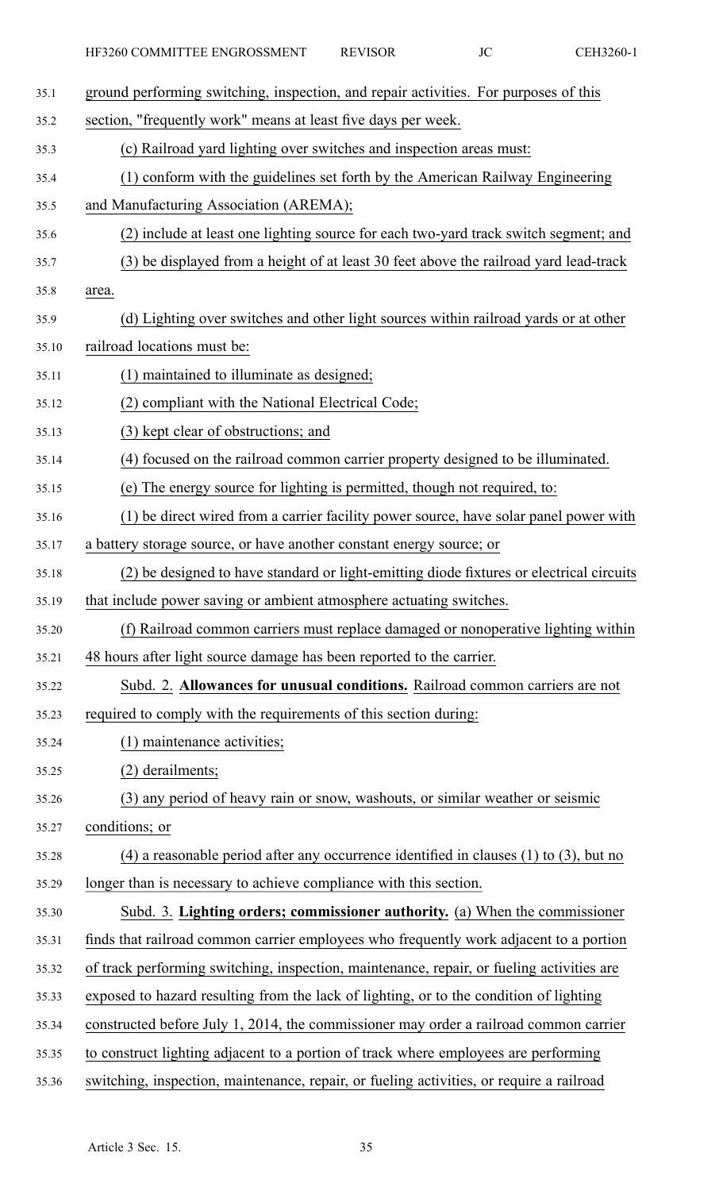| 35.1  | ground performing switching, inspection, and repair activities. For purposes of this         |
|-------|----------------------------------------------------------------------------------------------|
| 35.2  | section, "frequently work" means at least five days per week.                                |
| 35.3  | (c) Railroad yard lighting over switches and inspection areas must:                          |
| 35.4  | (1) conform with the guidelines set forth by the American Railway Engineering                |
| 35.5  | and Manufacturing Association (AREMA);                                                       |
| 35.6  | (2) include at least one lighting source for each two-yard track switch segment; and         |
| 35.7  | (3) be displayed from a height of at least 30 feet above the railroad yard lead-track        |
| 35.8  | area.                                                                                        |
| 35.9  | (d) Lighting over switches and other light sources within railroad yards or at other         |
| 35.10 | railroad locations must be:                                                                  |
| 35.11 | (1) maintained to illuminate as designed;                                                    |
| 35.12 | (2) compliant with the National Electrical Code;                                             |
| 35.13 | (3) kept clear of obstructions; and                                                          |
| 35.14 | (4) focused on the railroad common carrier property designed to be illuminated.              |
| 35.15 | (e) The energy source for lighting is permitted, though not required, to:                    |
| 35.16 | (1) be direct wired from a carrier facility power source, have solar panel power with        |
| 35.17 | a battery storage source, or have another constant energy source; or                         |
| 35.18 | (2) be designed to have standard or light-emitting diode fixtures or electrical circuits     |
| 35.19 | that include power saving or ambient atmosphere actuating switches.                          |
| 35.20 | (f) Railroad common carriers must replace damaged or nonoperative lighting within            |
| 35.21 | 48 hours after light source damage has been reported to the carrier.                         |
| 35.22 | Subd. 2. Allowances for unusual conditions. Railroad common carriers are not                 |
| 35.23 | required to comply with the requirements of this section during:                             |
| 35.24 | (1) maintenance activities;                                                                  |
| 35.25 | (2) derailments;                                                                             |
| 35.26 | (3) any period of heavy rain or snow, washouts, or similar weather or seismic                |
| 35.27 | conditions; or                                                                               |
| 35.28 | $(4)$ a reasonable period after any occurrence identified in clauses $(1)$ to $(3)$ , but no |
| 35.29 | longer than is necessary to achieve compliance with this section.                            |
| 35.30 | Subd. 3. Lighting orders; commissioner authority. (a) When the commissioner                  |
| 35.31 | finds that railroad common carrier employees who frequently work adjacent to a portion       |
| 35.32 | of track performing switching, inspection, maintenance, repair, or fueling activities are    |
| 35.33 | exposed to hazard resulting from the lack of lighting, or to the condition of lighting       |
| 35.34 | constructed before July 1, 2014, the commissioner may order a railroad common carrier        |
| 35.35 | to construct lighting adjacent to a portion of track where employees are performing          |
| 35.36 | switching, inspection, maintenance, repair, or fueling activities, or require a railroad     |
|       |                                                                                              |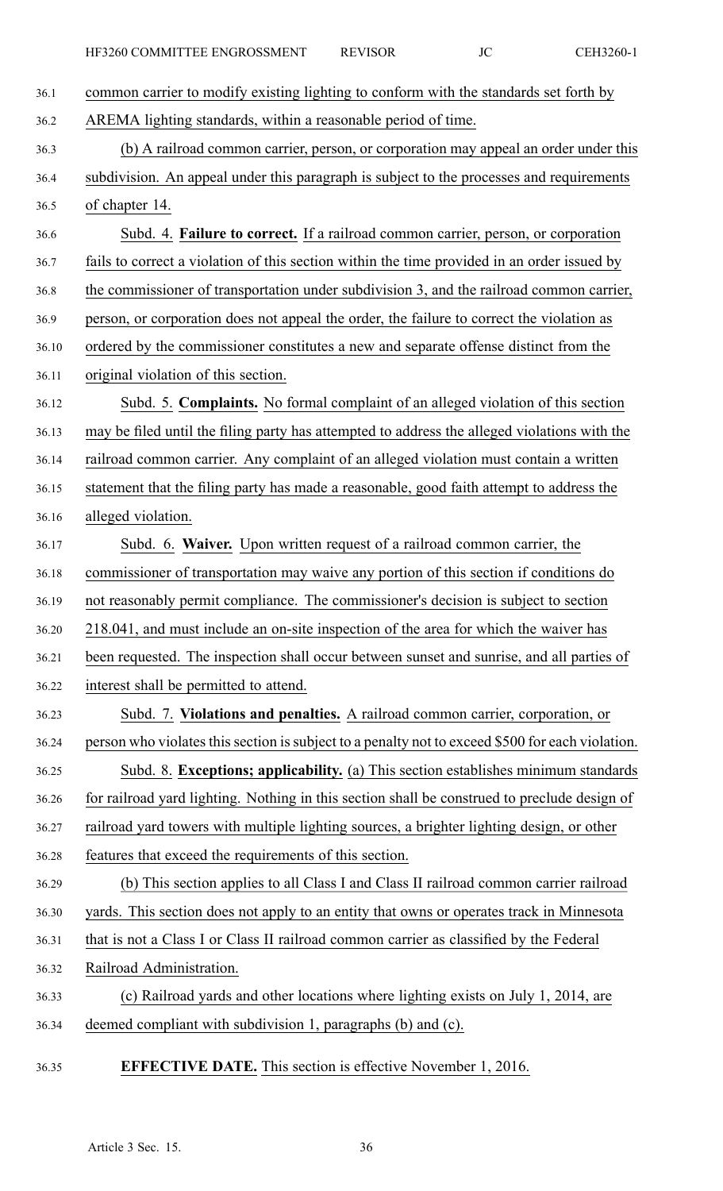| 36.1  | common carrier to modify existing lighting to conform with the standards set forth by            |
|-------|--------------------------------------------------------------------------------------------------|
| 36.2  | AREMA lighting standards, within a reasonable period of time.                                    |
| 36.3  | (b) A railroad common carrier, person, or corporation may appeal an order under this             |
| 36.4  | subdivision. An appeal under this paragraph is subject to the processes and requirements         |
| 36.5  | of chapter 14.                                                                                   |
| 36.6  | Subd. 4. Failure to correct. If a railroad common carrier, person, or corporation                |
| 36.7  | fails to correct a violation of this section within the time provided in an order issued by      |
| 36.8  | the commissioner of transportation under subdivision 3, and the railroad common carrier,         |
| 36.9  | person, or corporation does not appeal the order, the failure to correct the violation as        |
| 36.10 | ordered by the commissioner constitutes a new and separate offense distinct from the             |
| 36.11 | original violation of this section.                                                              |
| 36.12 | Subd. 5. Complaints. No formal complaint of an alleged violation of this section                 |
| 36.13 | may be filed until the filing party has attempted to address the alleged violations with the     |
| 36.14 | railroad common carrier. Any complaint of an alleged violation must contain a written            |
| 36.15 | statement that the filing party has made a reasonable, good faith attempt to address the         |
| 36.16 | alleged violation.                                                                               |
| 36.17 | Subd. 6. Waiver. Upon written request of a railroad common carrier, the                          |
| 36.18 | commissioner of transportation may waive any portion of this section if conditions do            |
| 36.19 | not reasonably permit compliance. The commissioner's decision is subject to section              |
| 36.20 | 218.041, and must include an on-site inspection of the area for which the waiver has             |
| 36.21 | been requested. The inspection shall occur between sunset and sunrise, and all parties of        |
| 36.22 | interest shall be permitted to attend.                                                           |
| 36.23 | Subd. 7. Violations and penalties. A railroad common carrier, corporation, or                    |
| 36.24 | person who violates this section is subject to a penalty not to exceed \$500 for each violation. |
| 36.25 | Subd. 8. Exceptions; applicability. (a) This section establishes minimum standards               |
| 36.26 | for railroad yard lighting. Nothing in this section shall be construed to preclude design of     |
| 36.27 | railroad yard towers with multiple lighting sources, a brighter lighting design, or other        |
| 36.28 | features that exceed the requirements of this section.                                           |
| 36.29 | (b) This section applies to all Class I and Class II railroad common carrier railroad            |
| 36.30 | yards. This section does not apply to an entity that owns or operates track in Minnesota         |
| 36.31 | that is not a Class I or Class II railroad common carrier as classified by the Federal           |
| 36.32 | Railroad Administration.                                                                         |
| 36.33 | (c) Railroad yards and other locations where lighting exists on July 1, 2014, are                |
| 36.34 | deemed compliant with subdivision 1, paragraphs (b) and (c).                                     |
| 36.35 | <b>EFFECTIVE DATE.</b> This section is effective November 1, 2016.                               |
|       |                                                                                                  |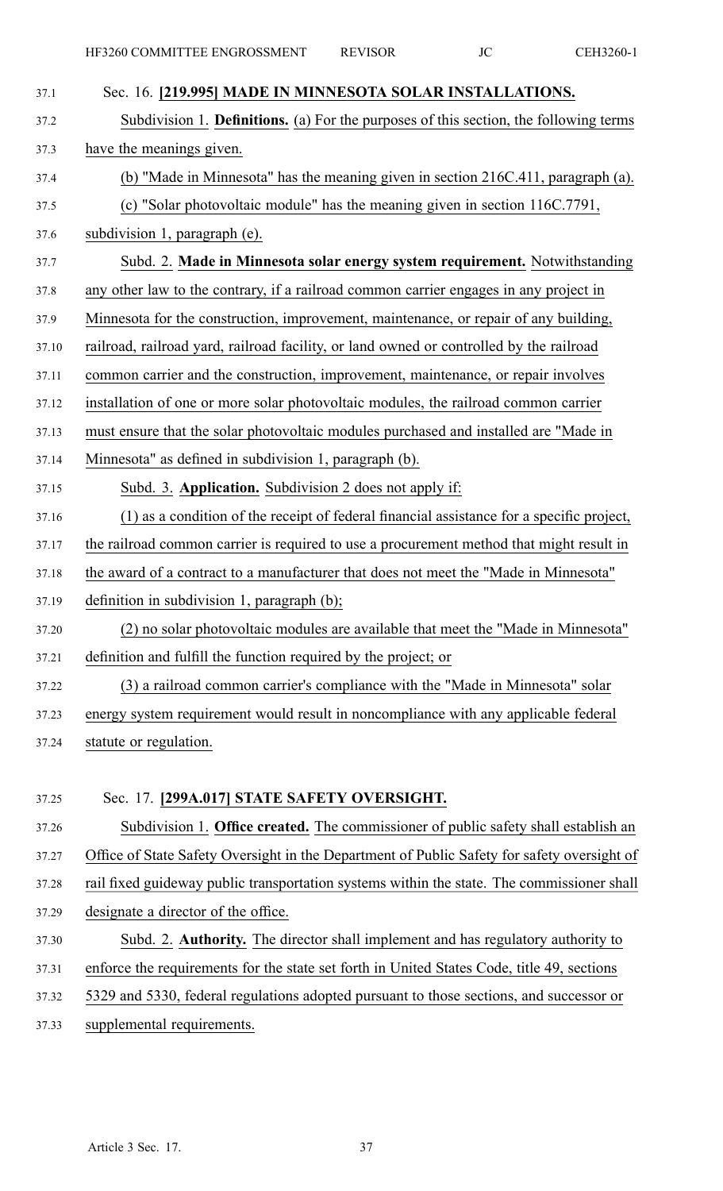| 37.1  | Sec. 16. [219.995] MADE IN MINNESOTA SOLAR INSTALLATIONS.                                    |
|-------|----------------------------------------------------------------------------------------------|
| 37.2  | Subdivision 1. <b>Definitions.</b> (a) For the purposes of this section, the following terms |
| 37.3  | have the meanings given.                                                                     |
| 37.4  | (b) "Made in Minnesota" has the meaning given in section 216C.411, paragraph (a).            |
| 37.5  | (c) "Solar photovoltaic module" has the meaning given in section 116C.7791,                  |
| 37.6  | subdivision 1, paragraph (e).                                                                |
| 37.7  | Subd. 2. Made in Minnesota solar energy system requirement. Notwithstanding                  |
| 37.8  | any other law to the contrary, if a railroad common carrier engages in any project in        |
| 37.9  | Minnesota for the construction, improvement, maintenance, or repair of any building,         |
| 37.10 | railroad, railroad yard, railroad facility, or land owned or controlled by the railroad      |
| 37.11 | common carrier and the construction, improvement, maintenance, or repair involves            |
| 37.12 | installation of one or more solar photovoltaic modules, the railroad common carrier          |
| 37.13 | must ensure that the solar photovoltaic modules purchased and installed are "Made in         |
| 37.14 | Minnesota" as defined in subdivision 1, paragraph (b).                                       |
| 37.15 | Subd. 3. Application. Subdivision 2 does not apply if:                                       |
| 37.16 | (1) as a condition of the receipt of federal financial assistance for a specific project,    |
| 37.17 | the railroad common carrier is required to use a procurement method that might result in     |
| 37.18 | the award of a contract to a manufacturer that does not meet the "Made in Minnesota"         |
| 37.19 | definition in subdivision 1, paragraph $(b)$ ;                                               |
| 37.20 | (2) no solar photovoltaic modules are available that meet the "Made in Minnesota"            |
| 37.21 | definition and fulfill the function required by the project; or                              |
| 37.22 | (3) a railroad common carrier's compliance with the "Made in Minnesota" solar                |
| 37.23 | energy system requirement would result in noncompliance with any applicable federal          |
| 37.24 | statute or regulation.                                                                       |
|       |                                                                                              |
| 37.25 | Sec. 17. [299A.017] STATE SAFETY OVERSIGHT.                                                  |
| 37.26 | Subdivision 1. Office created. The commissioner of public safety shall establish an          |
| 37.27 | Office of State Safety Oversight in the Department of Public Safety for safety oversight of  |
| 37.28 | rail fixed guideway public transportation systems within the state. The commissioner shall   |
| 37.29 | designate a director of the office.                                                          |
| 37.30 | Subd. 2. Authority. The director shall implement and has regulatory authority to             |
| 37.31 | enforce the requirements for the state set forth in United States Code, title 49, sections   |
| 37.32 | 5329 and 5330, federal regulations adopted pursuant to those sections, and successor or      |
| 37.33 | supplemental requirements.                                                                   |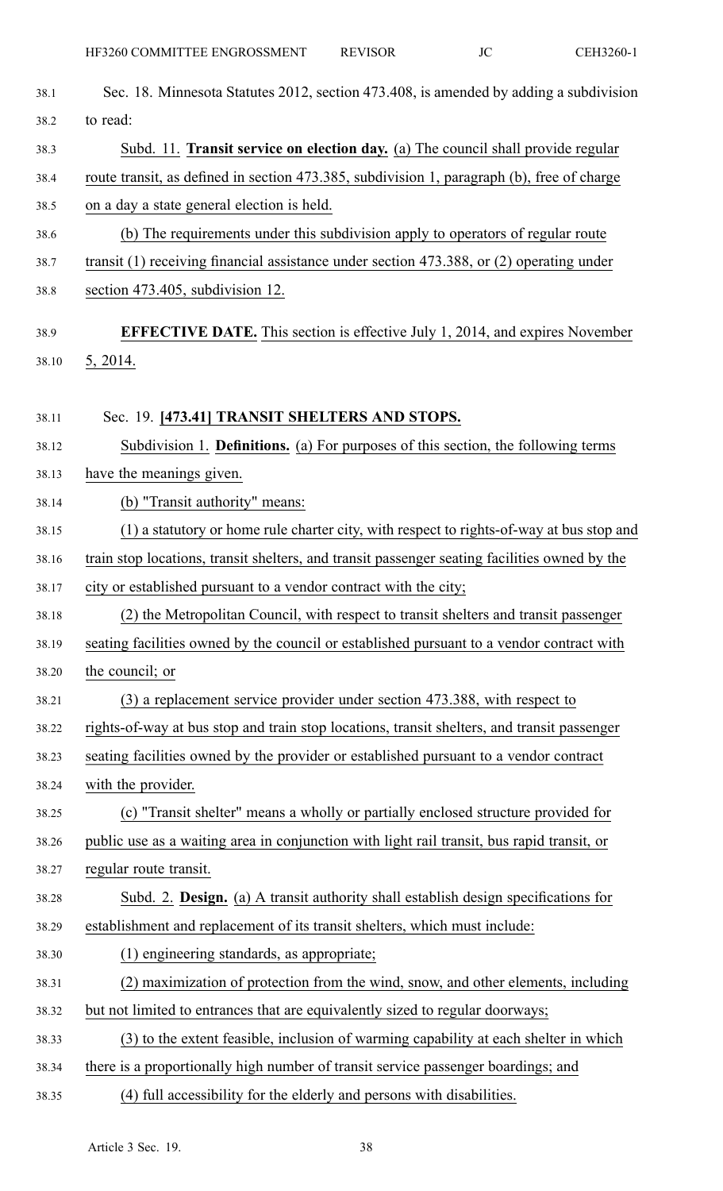| 38.1  | Sec. 18. Minnesota Statutes 2012, section 473.408, is amended by adding a subdivision         |
|-------|-----------------------------------------------------------------------------------------------|
| 38.2  | to read:                                                                                      |
| 38.3  | Subd. 11. Transit service on election day. (a) The council shall provide regular              |
| 38.4  | route transit, as defined in section 473.385, subdivision 1, paragraph (b), free of charge    |
| 38.5  | on a day a state general election is held.                                                    |
| 38.6  | (b) The requirements under this subdivision apply to operators of regular route               |
| 38.7  | transit $(1)$ receiving financial assistance under section 473.388, or $(2)$ operating under  |
| 38.8  | section 473.405, subdivision 12.                                                              |
|       |                                                                                               |
| 38.9  | <b>EFFECTIVE DATE.</b> This section is effective July 1, 2014, and expires November           |
| 38.10 | 5, 2014.                                                                                      |
| 38.11 | Sec. 19. [473.41] TRANSIT SHELTERS AND STOPS.                                                 |
| 38.12 | Subdivision 1. <b>Definitions.</b> (a) For purposes of this section, the following terms      |
| 38.13 | have the meanings given.                                                                      |
| 38.14 | (b) "Transit authority" means:                                                                |
| 38.15 | (1) a statutory or home rule charter city, with respect to rights-of-way at bus stop and      |
| 38.16 | train stop locations, transit shelters, and transit passenger seating facilities owned by the |
| 38.17 | city or established pursuant to a vendor contract with the city;                              |
| 38.18 | (2) the Metropolitan Council, with respect to transit shelters and transit passenger          |
| 38.19 | seating facilities owned by the council or established pursuant to a vendor contract with     |
| 38.20 | the council; or                                                                               |
| 38.21 | (3) a replacement service provider under section 473.388, with respect to                     |
| 38.22 | rights-of-way at bus stop and train stop locations, transit shelters, and transit passenger   |
| 38.23 | seating facilities owned by the provider or established pursuant to a vendor contract         |
| 38.24 | with the provider.                                                                            |
| 38.25 | (c) "Transit shelter" means a wholly or partially enclosed structure provided for             |
| 38.26 | public use as a waiting area in conjunction with light rail transit, bus rapid transit, or    |
| 38.27 | regular route transit.                                                                        |
| 38.28 | Subd. 2. Design. (a) A transit authority shall establish design specifications for            |
| 38.29 | establishment and replacement of its transit shelters, which must include:                    |
| 38.30 | (1) engineering standards, as appropriate;                                                    |
| 38.31 | (2) maximization of protection from the wind, snow, and other elements, including             |
| 38.32 | but not limited to entrances that are equivalently sized to regular doorways;                 |
| 38.33 | (3) to the extent feasible, inclusion of warming capability at each shelter in which          |
| 38.34 | there is a proportionally high number of transit service passenger boardings; and             |
| 38.35 | (4) full accessibility for the elderly and persons with disabilities.                         |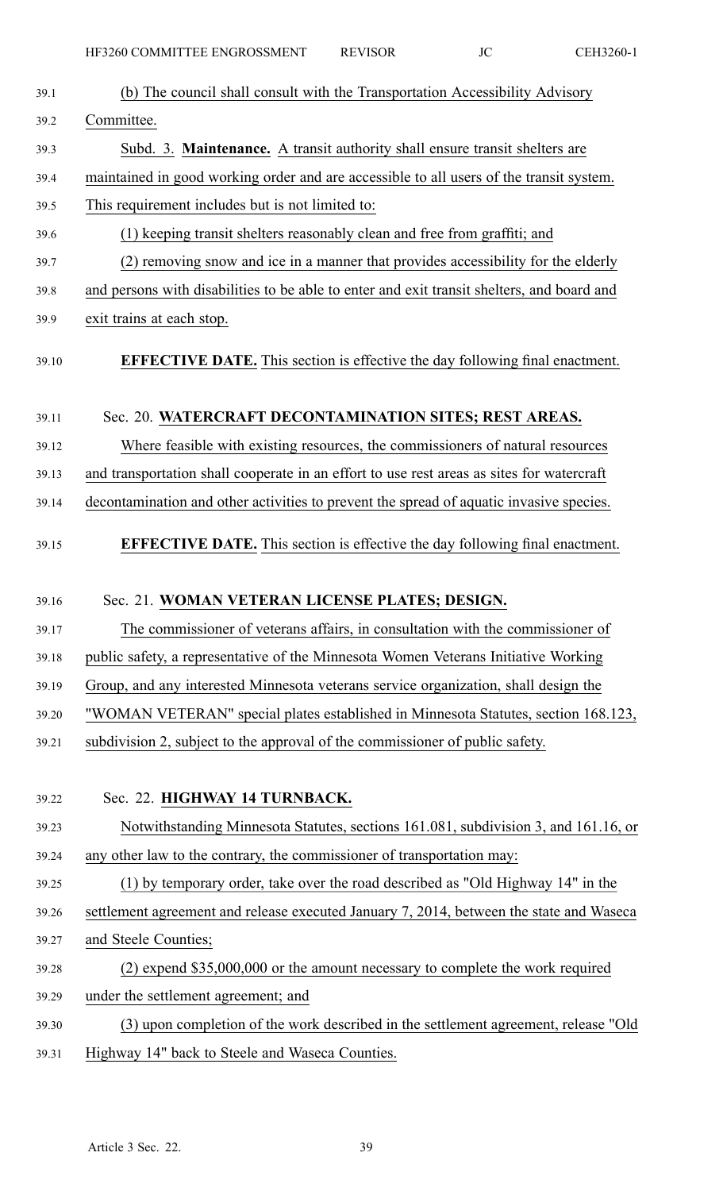| 39.1  | (b) The council shall consult with the Transportation Accessibility Advisory               |
|-------|--------------------------------------------------------------------------------------------|
| 39.2  | Committee.                                                                                 |
| 39.3  | Subd. 3. Maintenance. A transit authority shall ensure transit shelters are                |
| 39.4  | maintained in good working order and are accessible to all users of the transit system.    |
| 39.5  | This requirement includes but is not limited to:                                           |
| 39.6  | (1) keeping transit shelters reasonably clean and free from graffiti; and                  |
| 39.7  | (2) removing snow and ice in a manner that provides accessibility for the elderly          |
| 39.8  | and persons with disabilities to be able to enter and exit transit shelters, and board and |
| 39.9  | exit trains at each stop.                                                                  |
| 39.10 | <b>EFFECTIVE DATE.</b> This section is effective the day following final enactment.        |
| 39.11 | Sec. 20. WATERCRAFT DECONTAMINATION SITES; REST AREAS.                                     |
| 39.12 | Where feasible with existing resources, the commissioners of natural resources             |
| 39.13 | and transportation shall cooperate in an effort to use rest areas as sites for watercraft  |
| 39.14 | decontamination and other activities to prevent the spread of aquatic invasive species.    |
| 39.15 | <b>EFFECTIVE DATE.</b> This section is effective the day following final enactment.        |
| 39.16 | Sec. 21. WOMAN VETERAN LICENSE PLATES; DESIGN.                                             |
| 39.17 | The commissioner of veterans affairs, in consultation with the commissioner of             |
| 39.18 |                                                                                            |
|       | public safety, a representative of the Minnesota Women Veterans Initiative Working         |
| 39.19 | Group, and any interested Minnesota veterans service organization, shall design the        |
| 39.20 | "WOMAN VETERAN" special plates established in Minnesota Statutes, section 168.123,         |
| 39.21 | subdivision 2, subject to the approval of the commissioner of public safety.               |
|       |                                                                                            |
| 39.22 | Sec. 22. HIGHWAY 14 TURNBACK.                                                              |
| 39.23 | Notwithstanding Minnesota Statutes, sections 161.081, subdivision 3, and 161.16, or        |
| 39.24 | any other law to the contrary, the commissioner of transportation may:                     |
| 39.25 | (1) by temporary order, take over the road described as "Old Highway 14" in the            |
| 39.26 | settlement agreement and release executed January 7, 2014, between the state and Waseca    |
| 39.27 | and Steele Counties;                                                                       |
| 39.28 | (2) expend \$35,000,000 or the amount necessary to complete the work required              |
| 39.29 | under the settlement agreement; and                                                        |
| 39.30 | (3) upon completion of the work described in the settlement agreement, release "Old        |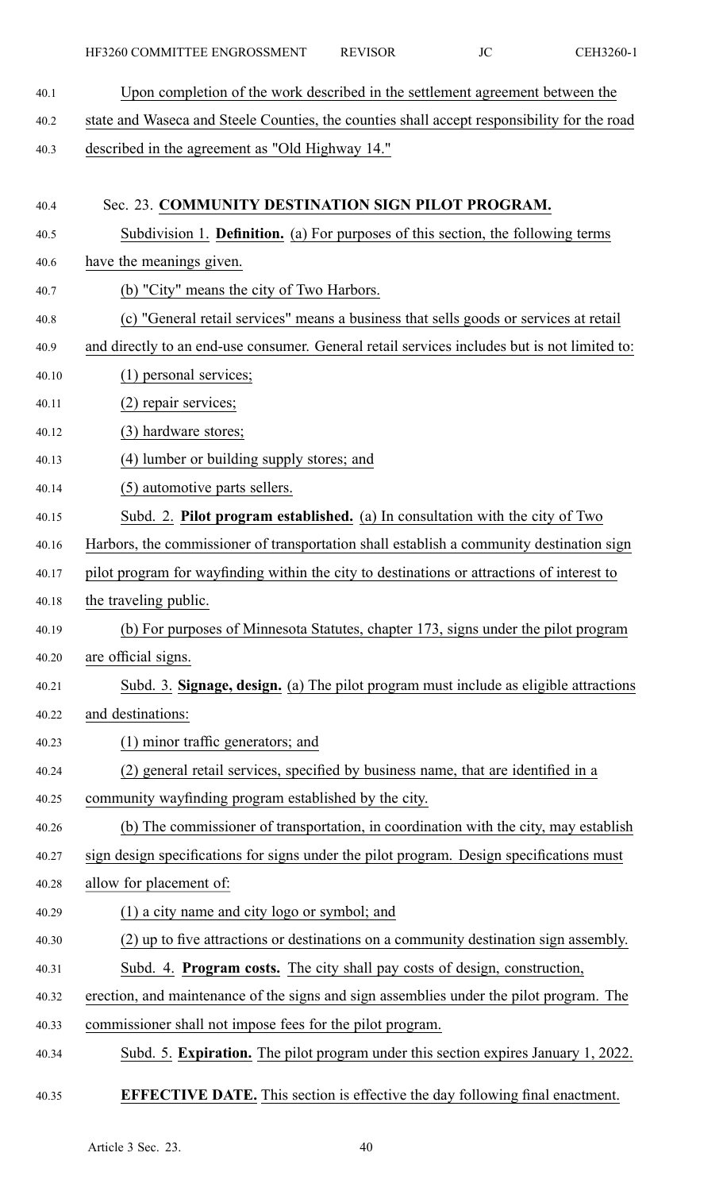40.1 Upon completion of the work described in the settlement agreemen<sup>t</sup> between the 40.2 state and Waseca and Steele Counties, the counties shall accep<sup>t</sup> responsibility for the road 40.3 described in the agreemen<sup>t</sup> as "Old Highway 14." 40.4 Sec. 23. **COMMUNITY DESTINATION SIGN PILOT PROGRAM.** 40.5 Subdivision 1. **Definition.** (a) For purposes of this section, the following terms 40.6 have the meanings given. 40.7 (b) "City" means the city of Two Harbors. 40.8 (c) "General retail services" means <sup>a</sup> business that sells goods or services at retail 40.9 and directly to an end-use consumer. General retail services includes but is not limited to: 40.10 (1) personal services; 40.11 (2) repair services; 40.12 (3) hardware stores; 40.13 (4) lumber or building supply stores; and 40.14 (5) automotive parts sellers. 40.15 Subd. 2. **Pilot program established.** (a) In consultation with the city of Two 40.16 Harbors, the commissioner of transportation shall establish <sup>a</sup> community destination sign 40.17 pilot program for wayfinding within the city to destinations or attractions of interest to 40.18 the traveling public. 40.19 (b) For purposes of Minnesota Statutes, chapter 173, signs under the pilot program 40.20 are official signs. 40.21 Subd. 3. **Signage, design.** (a) The pilot program must include as eligible attractions 40.22 and destinations: 40.23 (1) minor traffic generators; and 40.24 (2) general retail services, specified by business name, that are identified in <sup>a</sup> 40.25 community wayfinding program established by the city. 40.26 (b) The commissioner of transportation, in coordination with the city, may establish 40.27 sign design specifications for signs under the pilot program. Design specifications must 40.28 allow for placement of: 40.29 (1) <sup>a</sup> city name and city logo or symbol; and 40.30 (2) up to five attractions or destinations on <sup>a</sup> community destination sign assembly. 40.31 Subd. 4. **Program costs.** The city shall pay costs of design, construction, 40.32 erection, and maintenance of the signs and sign assemblies under the pilot program. The 40.33 commissioner shall not impose fees for the pilot program. 40.34 Subd. 5. **Expiration.** The pilot program under this section expires January 1, 2022.

#### 40.35 **EFFECTIVE DATE.** This section is effective the day following final enactment.